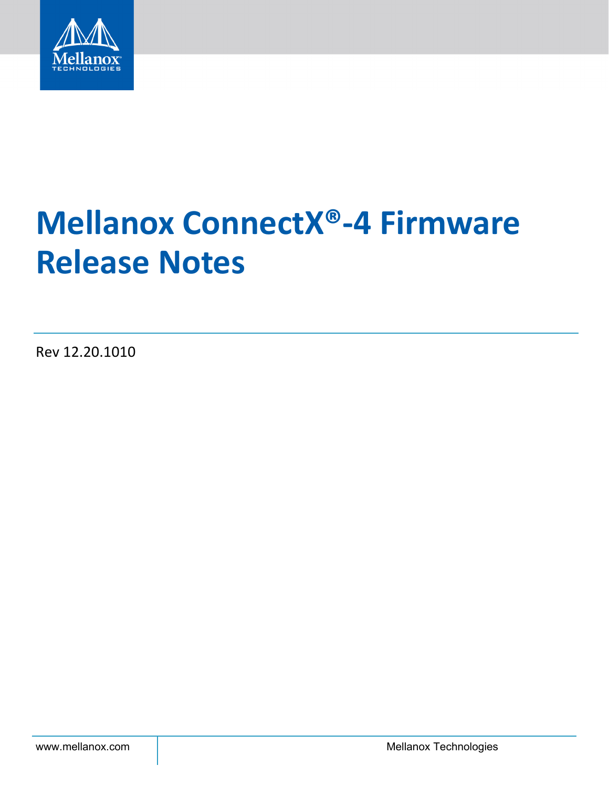

# **Mellanox ConnectX®-4 Firmware Release Notes**

Rev 12.20.1010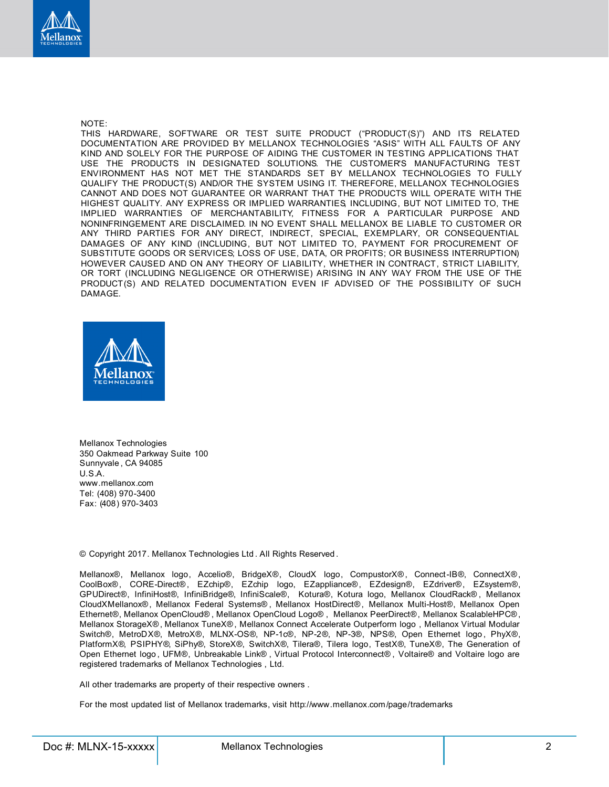

#### NOTE:

THIS HARDWARE, SOFTWARE OR TEST SUITE PRODUCT ("PRODUCT(S)") AND ITS RELATED DOCUMENTATION ARE PROVIDED BY MELLANOX TECHNOLOGIES "ASIS" WITH ALL FAULTS OF ANY KIND AND SOLELY FOR THE PURPOSE OF AIDING THE CUSTOMER IN TESTING APPLICATIONS THAT USE THE PRODUCTS IN DESIGNATED SOLUTIONS. THE CUSTOMER'S MANUFACTURING TEST ENVIRONMENT HAS NOT MET THE STANDARDS SET BY MELLANOX TECHNOLOGIES TO FULLY QUALIFY THE PRODUCT(S) AND/OR THE SYSTEM USING IT. THEREFORE, MELLANOX TECHNOLOGIES CANNOT AND DOES NOT GUARANTEE OR WARRANT THAT THE PRODUCTS WILL OPERATE WITH THE HIGHEST QUALITY. ANY EXPRESS OR IMPLIED WARRANTIES, INCLUDING, BUT NOT LIMITED TO, THE IMPLIED WARRANTIES OF MERCHANTABILITY, FITNESS FOR A PARTICULAR PURPOSE AND NONINFRINGEMENT ARE DISCLAIMED. IN NO EVENT SHALL MELLANOX BE LIABLE TO CUSTOMER OR ANY THIRD PARTIES FOR ANY DIRECT, INDIRECT, SPECIAL, EXEMPLARY, OR CONSEQUENTIAL DAMAGES OF ANY KIND (INCLUDING, BUT NOT LIMITED TO, PAYMENT FOR PROCUREMENT OF SUBSTITUTE GOODS OR SERVICES; LOSS OF USE, DATA, OR PROFITS; OR BUSINESS INTERRUPTION) HOWEVER CAUSED AND ON ANY THEORY OF LIABILITY, WHETHER IN CONTRACT, STRICT LIABILITY, OR TORT (INCLUDING NEGLIGENCE OR OTHERWISE) ARISING IN ANY WAY FROM THE USE OF THE PRODUCT(S) AND RELATED DOCUMENTATION EVEN IF ADVISED OF THE POSSIBILITY OF SUCH DAMAGE.



Mellanox Technologies 350 Oakmead Parkway Suite 100 Sunnyvale , CA 94085 U.S.A. www.mellanox.com Tel: (408) 970-3400 Fax: (408) 970-3403

© Copyright 2017. Mellanox Technologies Ltd . All Rights Reserved .

Mellanox®, Mellanox logo, Accelio®, BridgeX®, CloudX logo, CompustorX® , Connect-IB®, ConnectX® , CoolBox®, CORE-Direct® , EZchip®, EZchip logo, EZappliance®, EZdesign®, EZdriver®, EZsystem®, GPUDirect®, InfiniHost®, InfiniBridge®, InfiniScale®, Kotura®, Kotura logo, Mellanox CloudRack® , Mellanox CloudXMellanox®, Mellanox Federal Systems® , Mellanox HostDirect®, Mellanox Multi-Host®, Mellanox Open Ethernet®, Mellanox OpenCloud® , Mellanox OpenCloud Logo® , Mellanox PeerDirect®, Mellanox ScalableHPC® , Mellanox StorageX® , Mellanox TuneX® , Mellanox Connect Accelerate Outperform logo , Mellanox Virtual Modular Switch®, MetroDX®, MetroX®, MLNX-OS®, NP-1c®, NP-2®, NP-3®, NPS®, Open Ethernet logo , PhyX®, PlatformX®, PSIPHY®, SiPhy®, StoreX®, SwitchX®, Tilera®, Tilera logo, TestX®, TuneX®, The Generation of Open Ethernet logo , UFM®, Unbreakable Link® , Virtual Protocol Interconnect® , Voltaire® and Voltaire logo are registered trademarks of Mellanox Technologies , Ltd.

All other trademarks are property of their respective owners .

For the most updated list of Mellanox trademarks, visit http://www.mellanox.com/page/trademarks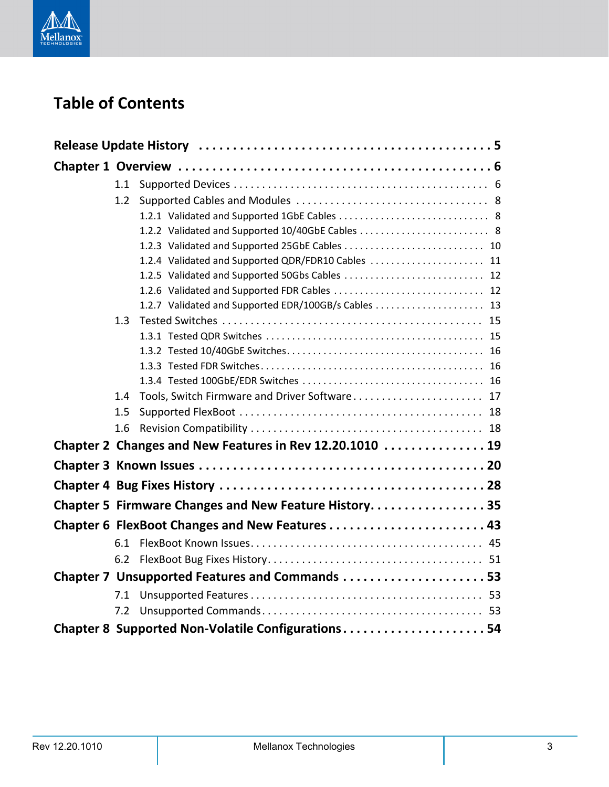

# **Table of Contents**

|  | 1.1 |                                                          |  |
|--|-----|----------------------------------------------------------|--|
|  | 1.2 |                                                          |  |
|  |     |                                                          |  |
|  |     |                                                          |  |
|  |     |                                                          |  |
|  |     | 1.2.4 Validated and Supported QDR/FDR10 Cables  11       |  |
|  |     | 1.2.5 Validated and Supported 50Gbs Cables  12           |  |
|  |     | 1.2.6 Validated and Supported FDR Cables  12             |  |
|  |     | 1.2.7 Validated and Supported EDR/100GB/s Cables  13     |  |
|  | 1.3 |                                                          |  |
|  |     |                                                          |  |
|  |     |                                                          |  |
|  |     |                                                          |  |
|  |     |                                                          |  |
|  | 1.4 | Tools, Switch Firmware and Driver Software 17            |  |
|  | 1.5 |                                                          |  |
|  | 1.6 |                                                          |  |
|  |     | Chapter 2 Changes and New Features in Rev 12.20.1010  19 |  |
|  |     |                                                          |  |
|  |     |                                                          |  |
|  |     | Chapter 5 Firmware Changes and New Feature History 35    |  |
|  |     |                                                          |  |
|  | 6.1 |                                                          |  |
|  | 6.2 |                                                          |  |
|  |     | Chapter 7 Unsupported Features and Commands 53           |  |
|  | 7.1 |                                                          |  |
|  | 7.2 |                                                          |  |
|  |     | Chapter 8 Supported Non-Volatile Configurations54        |  |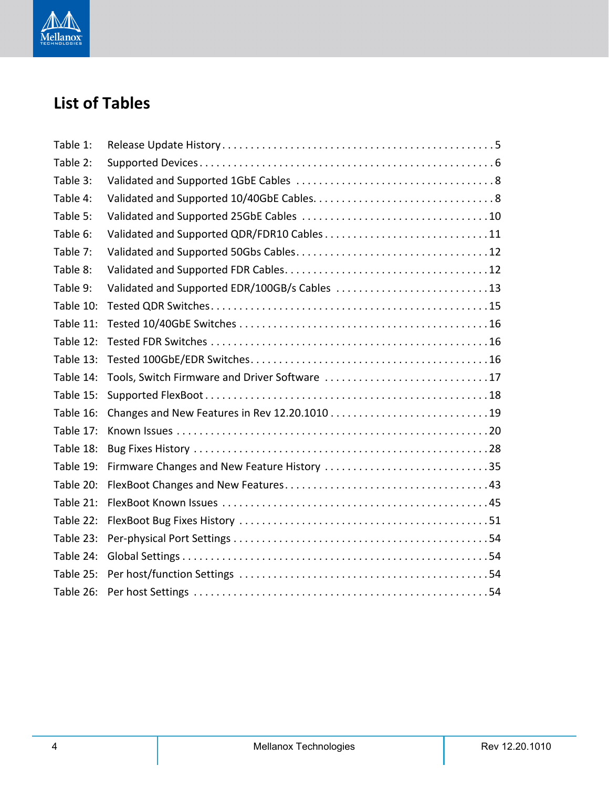

# **List of Tables**

| Table 1:  |                                               |
|-----------|-----------------------------------------------|
| Table 2:  |                                               |
| Table 3:  |                                               |
| Table 4:  |                                               |
| Table 5:  |                                               |
| Table 6:  | Validated and Supported QDR/FDR10 Cables11    |
| Table 7:  |                                               |
| Table 8:  |                                               |
| Table 9:  | Validated and Supported EDR/100GB/s Cables 13 |
| Table 10: |                                               |
| Table 11: |                                               |
| Table 12: |                                               |
| Table 13: |                                               |
| Table 14: | Tools, Switch Firmware and Driver Software 17 |
| Table 15: |                                               |
| Table 16: |                                               |
| Table 17: |                                               |
| Table 18: |                                               |
| Table 19: | Firmware Changes and New Feature History 35   |
| Table 20: |                                               |
| Table 21: |                                               |
| Table 22: |                                               |
| Table 23: |                                               |
| Table 24: |                                               |
|           |                                               |
|           |                                               |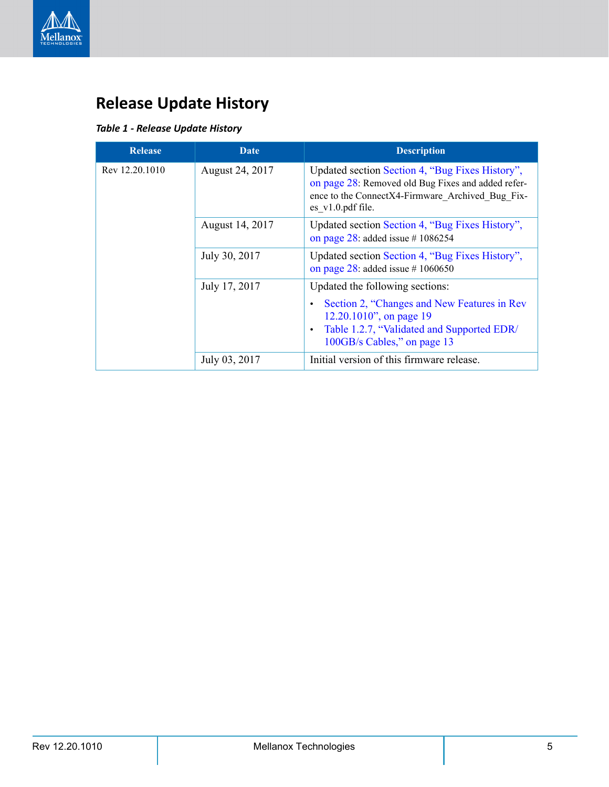

# <span id="page-4-0"></span>**Release Update History**

### <span id="page-4-1"></span>*Table 1 - Release Update History*

| <b>Release</b> | Date            | <b>Description</b>                                                                                                                                                               |
|----------------|-----------------|----------------------------------------------------------------------------------------------------------------------------------------------------------------------------------|
| Rev 12.20.1010 | August 24, 2017 | Updated section Section 4, "Bug Fixes History",<br>on page 28: Removed old Bug Fixes and added refer-<br>ence to the ConnectX4-Firmware Archived Bug Fix-<br>$es$ v1.0.pdf file. |
|                | August 14, 2017 | Updated section Section 4, "Bug Fixes History",<br>on page 28: added issue #1086254                                                                                              |
|                | July 30, 2017   | Updated section Section 4, "Bug Fixes History",<br>on page 28: added issue #1060650                                                                                              |
|                | July 17, 2017   | Updated the following sections:                                                                                                                                                  |
|                |                 | Section 2, "Changes and New Features in Rev<br>12.20.1010", on page 19<br>Table 1.2.7, "Validated and Supported EDR/<br>$\bullet$<br>100GB/s Cables," on page 13                 |
|                | July 03, 2017   | Initial version of this firmware release.                                                                                                                                        |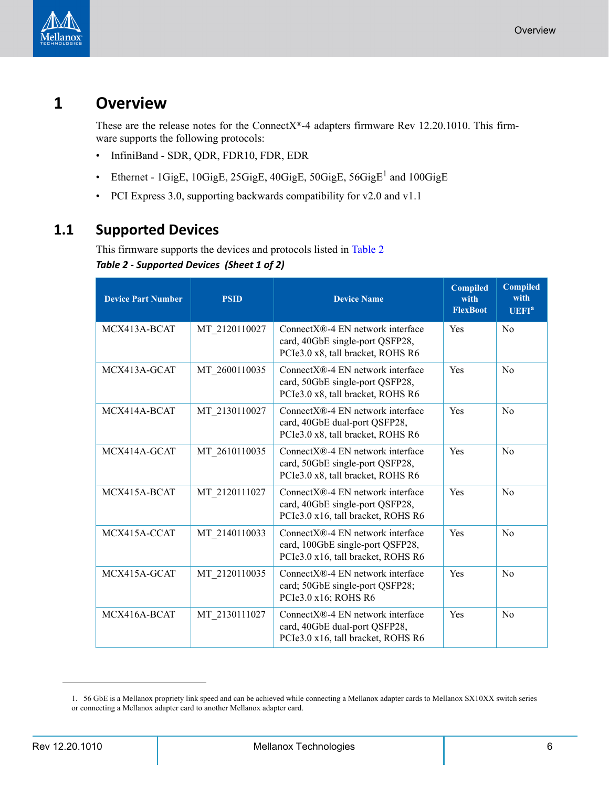

# <span id="page-5-0"></span>**1 Overview**

These are the release notes for the ConnectX®-4 adapters firmware Rev 12.20.1010. This firmware supports the following protocols:

- InfiniBand SDR, QDR, FDR10, FDR, EDR
- Ethernet  $1$ GigE,  $10$ GigE,  $25$ GigE,  $40$ GigE,  $50$ GigE,  $56$ GigE<sup>1</sup> and  $100$ GigE
- PCI Express 3.0, supporting backwards compatibility for v2.0 and v1.1

### <span id="page-5-2"></span><span id="page-5-1"></span>**1.1 Supported Devices**

This firmware supports the devices and protocols listed in [Table](#page-5-2) 2 *Table 2 - Supported Devices (Sheet 1 of 2)*

| <b>Device Part Number</b> | <b>PSID</b>   | <b>Device Name</b>                                                                                                  | <b>Compiled</b><br>with<br><b>FlexBoot</b> | <b>Compiled</b><br>with<br>UEFI <sup>a</sup> |
|---------------------------|---------------|---------------------------------------------------------------------------------------------------------------------|--------------------------------------------|----------------------------------------------|
| MCX413A-BCAT              | MT 2120110027 | ConnectX®-4 EN network interface<br>card, 40GbE single-port QSFP28,<br>PCIe3.0 x8, tall bracket, ROHS R6            | Yes                                        | N <sub>0</sub>                               |
| MCX413A-GCAT              | MT_2600110035 | Connect $X \otimes -4$ EN network interface<br>card, 50GbE single-port QSFP28,<br>PCIe3.0 x8, tall bracket, ROHS R6 | Yes                                        | N <sub>0</sub>                               |
| MCX414A-BCAT              | MT 2130110027 | $ConnectX@-4 EN$ network interface<br>card, 40GbE dual-port QSFP28,<br>PCIe3.0 x8, tall bracket, ROHS R6            | Yes                                        | N <sub>0</sub>                               |
| MCX414A-GCAT              | MT 2610110035 | ConnectX®-4 EN network interface<br>card, 50GbE single-port QSFP28,<br>PCIe3.0 x8, tall bracket, ROHS R6            | Yes                                        | N <sub>0</sub>                               |
| MCX415A-BCAT              | MT 2120111027 | ConnectX®-4 EN network interface<br>card, 40GbE single-port QSFP28,<br>PCIe3.0 x16, tall bracket, ROHS R6           | Yes                                        | N <sub>0</sub>                               |
| MCX415A-CCAT              | MT 2140110033 | ConnectX®-4 EN network interface<br>card, 100GbE single-port QSFP28,<br>PCIe3.0 x16, tall bracket, ROHS R6          | Yes                                        | N <sub>0</sub>                               |
| MCX415A-GCAT              | MT 2120110035 | ConnectX®-4 EN network interface<br>card; 50GbE single-port QSFP28;<br>PCIe3.0 x16; ROHS R6                         | Yes                                        | No                                           |
| MCX416A-BCAT              | MT 2130111027 | Connect $X \otimes -4$ EN network interface<br>card, 40GbE dual-port QSFP28,<br>PCIe3.0 x16, tall bracket, ROHS R6  | Yes                                        | No                                           |

<sup>1. 56</sup> GbE is a Mellanox propriety link speed and can be achieved while connecting a Mellanox adapter cards to Mellanox SX10XX switch series or connecting a Mellanox adapter card to another Mellanox adapter card.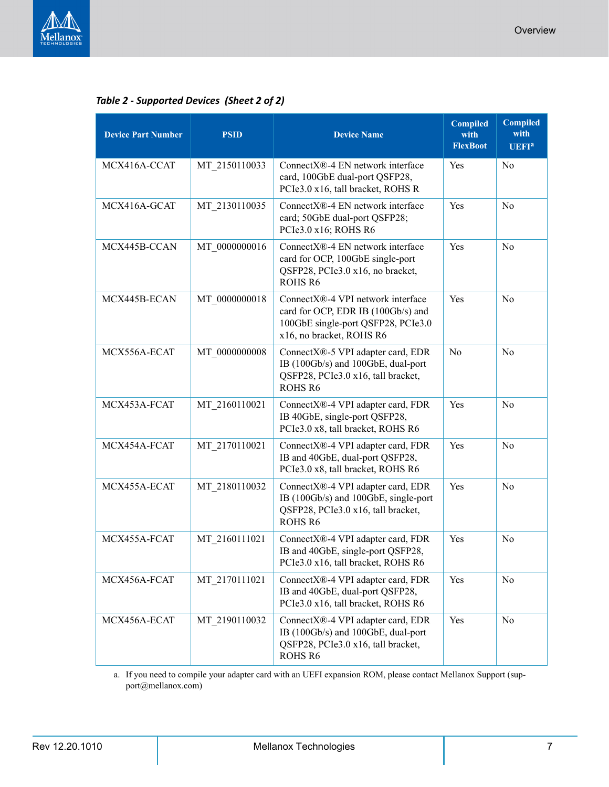

| <b>Device Part Number</b> | <b>PSID</b>   | <b>Device Name</b>                                                                                                                        | <b>Compiled</b><br>with<br><b>FlexBoot</b> | <b>Compiled</b><br>with<br><b>UEFI</b> <sup>a</sup> |
|---------------------------|---------------|-------------------------------------------------------------------------------------------------------------------------------------------|--------------------------------------------|-----------------------------------------------------|
| MCX416A-CCAT              | MT_2150110033 | ConnectX®-4 EN network interface<br>card, 100GbE dual-port QSFP28,<br>PCIe3.0 x16, tall bracket, ROHS R                                   | Yes                                        | N <sub>0</sub>                                      |
| MCX416A-GCAT              | MT 2130110035 | ConnectX®-4 EN network interface<br>card; 50GbE dual-port QSFP28;<br>PCIe3.0 x16; ROHS R6                                                 | Yes                                        | N <sub>0</sub>                                      |
| MCX445B-CCAN              | MT 0000000016 | ConnectX®-4 EN network interface<br>card for OCP, 100GbE single-port<br>QSFP28, PCIe3.0 x16, no bracket,<br>ROHS <sub>R6</sub>            | Yes                                        | N <sub>o</sub>                                      |
| MCX445B-ECAN              | MT 0000000018 | ConnectX®-4 VPI network interface<br>card for OCP, EDR IB (100Gb/s) and<br>100GbE single-port QSFP28, PCIe3.0<br>x16, no bracket, ROHS R6 | Yes                                        | N <sub>0</sub>                                      |
| MCX556A-ECAT              | MT 0000000008 | ConnectX®-5 VPI adapter card, EDR<br>IB (100Gb/s) and 100GbE, dual-port<br>QSFP28, PCIe3.0 x16, tall bracket,<br><b>ROHS R6</b>           | N <sub>0</sub>                             | N <sub>o</sub>                                      |
| MCX453A-FCAT              | MT 2160110021 | ConnectX®-4 VPI adapter card, FDR<br>IB 40GbE, single-port QSFP28,<br>PCIe3.0 x8, tall bracket, ROHS R6                                   | Yes                                        | N <sub>0</sub>                                      |
| MCX454A-FCAT              | MT 2170110021 | ConnectX®-4 VPI adapter card, FDR<br>IB and 40GbE, dual-port QSFP28,<br>PCIe3.0 x8, tall bracket, ROHS R6                                 | Yes                                        | N <sub>o</sub>                                      |
| MCX455A-ECAT              | MT 2180110032 | ConnectX®-4 VPI adapter card, EDR<br>IB (100Gb/s) and 100GbE, single-port<br>QSFP28, PCIe3.0 x16, tall bracket,<br>ROHS <sub>R6</sub>     | Yes                                        | N <sub>0</sub>                                      |
| MCX455A-FCAT              | MT 2160111021 | ConnectX®-4 VPI adapter card, FDR<br>IB and 40GbE, single-port QSFP28,<br>PCIe3.0 x16, tall bracket, ROHS R6                              | Yes                                        | N <sub>o</sub>                                      |
| MCX456A-FCAT              | MT 2170111021 | ConnectX®-4 VPI adapter card, FDR<br>IB and 40GbE, dual-port QSFP28,<br>PCIe3.0 x16, tall bracket, ROHS R6                                | Yes                                        | N <sub>0</sub>                                      |
| MCX456A-ECAT              | MT 2190110032 | ConnectX®-4 VPI adapter card, EDR<br>IB (100Gb/s) and 100GbE, dual-port<br>QSFP28, PCIe3.0 x16, tall bracket,<br><b>ROHS R6</b>           | Yes                                        | No                                                  |

a. If you need to compile your adapter card with an UEFI expansion ROM, please contact Mellanox Support (support@mellanox.com)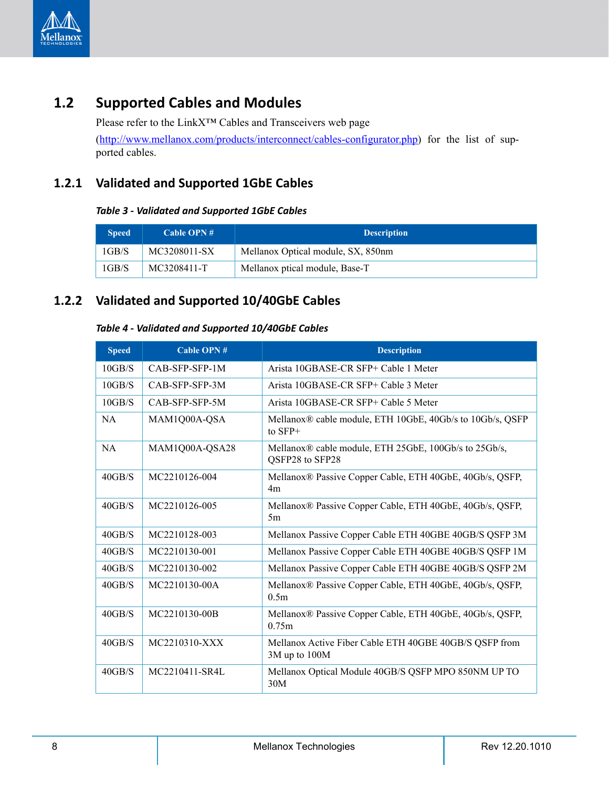

# <span id="page-7-0"></span>**1.2 Supported Cables and Modules**

Please refer to the LinkX™ Cables and Transceivers web page [\(http://www.mellanox.com/products/interconnect/cables-configurator.php](http://www.mellanox.com/products/interconnect/cables-configurator.php)) for the list of supported cables.

### <span id="page-7-3"></span><span id="page-7-1"></span>**1.2.1 Validated and Supported 1GbE Cables**

### *Table 3 - Validated and Supported 1GbE Cables*

| <b>Speed</b> | Cable OPN $#$ | <b>Description</b>                 |
|--------------|---------------|------------------------------------|
| $1$ GB/S     | MC3208011-SX  | Mellanox Optical module, SX, 850nm |
| 1GB/S        | MC3208411-T   | Mellanox ptical module, Base-T     |

### <span id="page-7-4"></span><span id="page-7-2"></span>**1.2.2 Validated and Supported 10/40GbE Cables**

### *Table 4 - Validated and Supported 10/40GbE Cables*

| <b>Speed</b> | Cable OPN #    | <b>Description</b>                                                                 |
|--------------|----------------|------------------------------------------------------------------------------------|
| 10GB/S       | CAB-SFP-SFP-1M | Arista 10GBASE-CR SFP+ Cable 1 Meter                                               |
| 10GB/S       | CAB-SFP-SFP-3M | Arista 10GBASE-CR SFP+ Cable 3 Meter                                               |
| 10GB/S       | CAB-SFP-SFP-5M | Arista 10GBASE-CR SFP+ Cable 5 Meter                                               |
| <b>NA</b>    | MAM1Q00A-QSA   | Mellanox <sup>®</sup> cable module, ETH 10GbE, 40Gb/s to 10Gb/s, QSFP<br>to $SFP+$ |
| <b>NA</b>    | MAM1Q00A-QSA28 | Mellanox® cable module, ETH 25GbE, 100Gb/s to 25Gb/s,<br>QSFP28 to SFP28           |
| 40GB/S       | MC2210126-004  | Mellanox® Passive Copper Cable, ETH 40GbE, 40Gb/s, QSFP,<br>4m                     |
| 40GB/S       | MC2210126-005  | Mellanox® Passive Copper Cable, ETH 40GbE, 40Gb/s, QSFP,<br>5m                     |
| 40GB/S       | MC2210128-003  | Mellanox Passive Copper Cable ETH 40GBE 40GB/S QSFP 3M                             |
| 40GB/S       | MC2210130-001  | Mellanox Passive Copper Cable ETH 40GBE 40GB/S QSFP 1M                             |
| 40GB/S       | MC2210130-002  | Mellanox Passive Copper Cable ETH 40GBE 40GB/S QSFP 2M                             |
| 40GB/S       | MC2210130-00A  | Mellanox® Passive Copper Cable, ETH 40GbE, 40Gb/s, QSFP,<br>0.5 <sub>m</sub>       |
| 40GB/S       | MC2210130-00B  | Mellanox® Passive Copper Cable, ETH 40GbE, 40Gb/s, QSFP,<br>0.75m                  |
| 40GB/S       | MC2210310-XXX  | Mellanox Active Fiber Cable ETH 40GBE 40GB/S QSFP from<br>3M up to 100M            |
| 40GB/S       | MC2210411-SR4L | Mellanox Optical Module 40GB/S QSFP MPO 850NM UP TO<br>30M                         |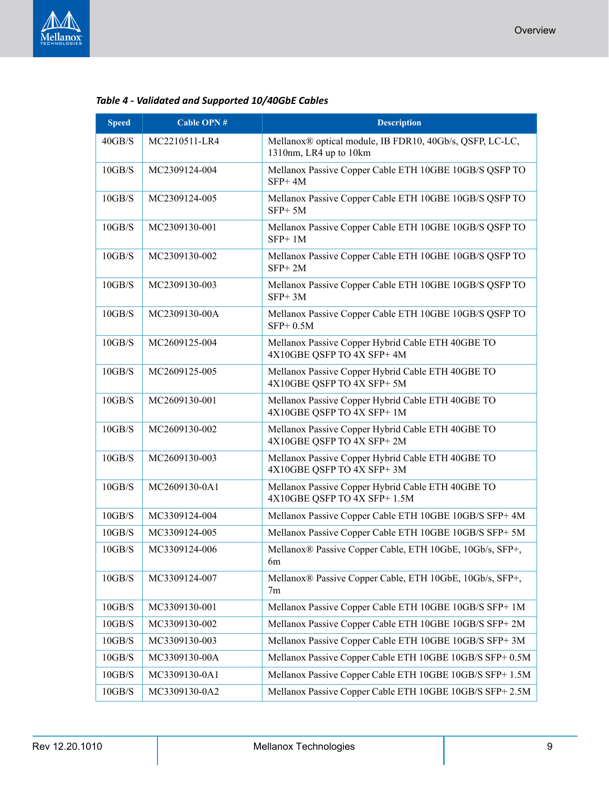

| 40GB/S   | MC2210511-LR4 | Mellanox® optical module, IB FDR10, 40Gb/s, QSFP, LC-LC,<br>1310nm, LR4 up to 10km |
|----------|---------------|------------------------------------------------------------------------------------|
| 10GB/S   | MC2309124-004 | Mellanox Passive Copper Cable ETH 10GBE 10GB/S QSFP TO<br>$SFP+4M$                 |
| 10GB/S   | MC2309124-005 | Mellanox Passive Copper Cable ETH 10GBE 10GB/S QSFP TO<br>$SFP+5M$                 |
| 10GB/S   | MC2309130-001 | Mellanox Passive Copper Cable ETH 10GBE 10GB/S QSFP TO<br>$SFP+1M$                 |
| 10GB/S   | MC2309130-002 | Mellanox Passive Copper Cable ETH 10GBE 10GB/S QSFP TO<br>$SFP+2M$                 |
| 10GB/S   | MC2309130-003 | Mellanox Passive Copper Cable ETH 10GBE 10GB/S QSFP TO<br>$SFP+3M$                 |
| 10GB/S   | MC2309130-00A | Mellanox Passive Copper Cable ETH 10GBE 10GB/S QSFP TO<br>$SFP+0.5M$               |
| 10GB/S   | MC2609125-004 | Mellanox Passive Copper Hybrid Cable ETH 40GBE TO<br>4X10GBE QSFP TO 4X SFP+4M     |
| 10GB/S   | MC2609125-005 | Mellanox Passive Copper Hybrid Cable ETH 40GBE TO<br>4X10GBE QSFP TO 4X SFP+5M     |
| 10GB/S   | MC2609130-001 | Mellanox Passive Copper Hybrid Cable ETH 40GBE TO<br>4X10GBE QSFP TO 4X SFP+1M     |
| 10GB/S   | MC2609130-002 | Mellanox Passive Copper Hybrid Cable ETH 40GBE TO<br>4X10GBE QSFP TO 4X SFP+2M     |
| 10GB/S   | MC2609130-003 | Mellanox Passive Copper Hybrid Cable ETH 40GBE TO<br>4X10GBE QSFP TO 4X SFP+3M     |
| 10GB/S   | MC2609130-0A1 | Mellanox Passive Copper Hybrid Cable ETH 40GBE TO<br>4X10GBE QSFP TO 4X SFP+ 1.5M  |
| 10GB/S   | MC3309124-004 | Mellanox Passive Copper Cable ETH 10GBE 10GB/S SFP+ 4M                             |
| 10GB/S   | MC3309124-005 | Mellanox Passive Copper Cable ETH 10GBE 10GB/S SFP+ 5M                             |
| 10GB/S   | MC3309124-006 | Mellanox® Passive Copper Cable, ETH 10GbE, 10Gb/s, SFP+,<br>6m                     |
| $10GB/S$ | MC3309124-007 | Mellanox® Passive Copper Cable, ETH 10GbE, 10Gb/s, SFP+,<br>7 <sub>m</sub>         |
| 10GB/S   | MC3309130-001 | Mellanox Passive Copper Cable ETH 10GBE 10GB/S SFP+ 1M                             |
| 10GB/S   | MC3309130-002 | Mellanox Passive Copper Cable ETH 10GBE 10GB/S SFP+ 2M                             |
| 10GB/S   | MC3309130-003 | Mellanox Passive Copper Cable ETH 10GBE 10GB/S SFP+ 3M                             |
| 10GB/S   | MC3309130-00A | Mellanox Passive Copper Cable ETH 10GBE 10GB/S SFP+ 0.5M                           |
| 10GB/S   | MC3309130-0A1 | Mellanox Passive Copper Cable ETH 10GBE 10GB/S SFP+ 1.5M                           |
| 10GB/S   | MC3309130-0A2 | Mellanox Passive Copper Cable ETH 10GBE 10GB/S SFP+ 2.5M                           |

*Table 4 - Validated and Supported 10/40GbE Cables*

**Speed Cable OPN # Description**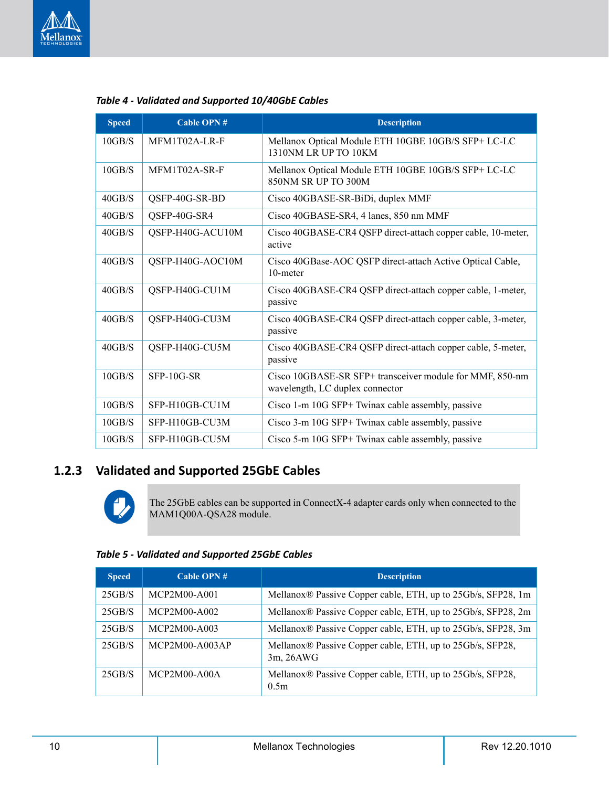

| <b>Speed</b> | <b>Cable OPN#</b> | <b>Description</b>                                                                          |
|--------------|-------------------|---------------------------------------------------------------------------------------------|
| 10GB/S       | MFM1T02A-LR-F     | Mellanox Optical Module ETH 10GBE 10GB/S SFP+ LC-LC<br>1310NM LR UP TO 10KM                 |
| 10GB/S       | MFM1T02A-SR-F     | Mellanox Optical Module ETH 10GBE 10GB/S SFP+ LC-LC<br>850NM SR UP TO 300M                  |
| 40GB/S       | QSFP-40G-SR-BD    | Cisco 40GBASE-SR-BiDi, duplex MMF                                                           |
| 40GB/S       | QSFP-40G-SR4      | Cisco 40GBASE-SR4, 4 lanes, 850 nm MMF                                                      |
| 40GB/S       | QSFP-H40G-ACU10M  | Cisco 40GBASE-CR4 QSFP direct-attach copper cable, 10-meter,<br>active                      |
| 40GB/S       | QSFP-H40G-AOC10M  | Cisco 40GBase-AOC QSFP direct-attach Active Optical Cable,<br>10-meter                      |
| 40GB/S       | QSFP-H40G-CU1M    | Cisco 40GBASE-CR4 QSFP direct-attach copper cable, 1-meter,<br>passive                      |
| 40GB/S       | QSFP-H40G-CU3M    | Cisco 40GBASE-CR4 QSFP direct-attach copper cable, 3-meter,<br>passive                      |
| 40GB/S       | QSFP-H40G-CU5M    | Cisco 40GBASE-CR4 QSFP direct-attach copper cable, 5-meter,<br>passive                      |
| 10GB/S       | $SFP-10G-SR$      | Cisco 10GBASE-SR SFP+ transceiver module for MMF, 850-nm<br>wavelength, LC duplex connector |
| 10GB/S       | SFP-H10GB-CU1M    | Cisco 1-m 10G SFP+ Twinax cable assembly, passive                                           |
| 10GB/S       | SFP-H10GB-CU3M    | Cisco 3-m 10G SFP+ Twinax cable assembly, passive                                           |
| 10GB/S       | SFP-H10GB-CU5M    | Cisco 5-m 10G SFP+ Twinax cable assembly, passive                                           |

*Table 4 - Validated and Supported 10/40GbE Cables*

### <span id="page-9-0"></span>**1.2.3 Validated and Supported 25GbE Cables**



The 25GbE cables can be supported in ConnectX-4 adapter cards only when connected to the MAM1Q00A-QSA28 module.

#### <span id="page-9-1"></span>*Table 5 - Validated and Supported 25GbE Cables*

| <b>Speed</b> | Cable OPN $#$    | <b>Description</b>                                                            |
|--------------|------------------|-------------------------------------------------------------------------------|
| 25GB/S       | MCP2M00-A001     | Mellanox <sup>®</sup> Passive Copper cable, ETH, up to 25Gb/s, SFP28, 1m      |
| 25GB/S       | MCP2M00-A002     | Mellanox® Passive Copper cable, ETH, up to 25Gb/s, SFP28, 2m                  |
| 25GB/S       | MCP2M00-A003     | Mellanox® Passive Copper cable, ETH, up to 25Gb/s, SFP28, 3m                  |
| 25GB/S       | $MCP2M00-A003AP$ | Mellanox® Passive Copper cable, ETH, up to 25Gb/s, SFP28,<br>3m, 26AWG        |
| 25GB/S       | $MCP2M00-A00A$   | Mellanox <sup>®</sup> Passive Copper cable, ETH, up to 25Gb/s, SFP28,<br>0.5m |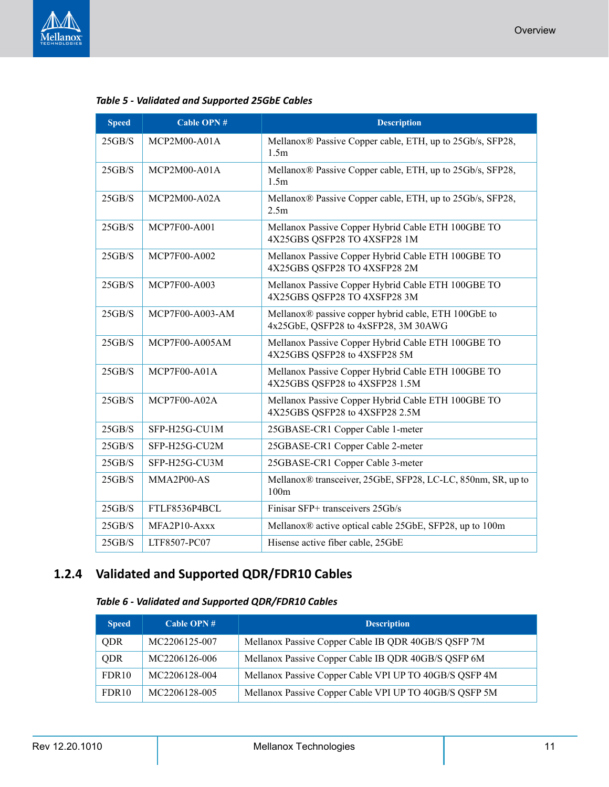

| <b>Speed</b> | <b>Cable OPN#</b>                                                                   | <b>Description</b>                                                                           |  |
|--------------|-------------------------------------------------------------------------------------|----------------------------------------------------------------------------------------------|--|
| 25GB/S       | MCP2M00-A01A                                                                        | Mellanox® Passive Copper cable, ETH, up to 25Gb/s, SFP28,<br>1.5m                            |  |
| 25GB/S       | Mellanox® Passive Copper cable, ETH, up to 25Gb/s, SFP28,<br>$MCP2M00-A01A$<br>1.5m |                                                                                              |  |
| 25GB/S       | MCP2M00-A02A                                                                        | Mellanox® Passive Copper cable, ETH, up to 25Gb/s, SFP28,<br>2.5m                            |  |
| 25GB/S       | MCP7F00-A001                                                                        | Mellanox Passive Copper Hybrid Cable ETH 100GBE TO<br>4X25GBS QSFP28 TO 4XSFP28 1M           |  |
| 25GB/S       | <b>MCP7F00-A002</b>                                                                 | Mellanox Passive Copper Hybrid Cable ETH 100GBE TO<br>4X25GBS QSFP28 TO 4XSFP28 2M           |  |
| 25GB/S       | MCP7F00-A003                                                                        | Mellanox Passive Copper Hybrid Cable ETH 100GBE TO<br>4X25GBS QSFP28 TO 4XSFP28 3M           |  |
| 25GB/S       | MCP7F00-A003-AM                                                                     | Mellanox® passive copper hybrid cable, ETH 100GbE to<br>4x25GbE, QSFP28 to 4xSFP28, 3M 30AWG |  |
| 25GB/S       | <b>MCP7F00-A005AM</b>                                                               | Mellanox Passive Copper Hybrid Cable ETH 100GBE TO<br>4X25GBS QSFP28 to 4XSFP28 5M           |  |
| 25GB/S       | MCP7F00-A01A                                                                        | Mellanox Passive Copper Hybrid Cable ETH 100GBE TO<br>4X25GBS QSFP28 to 4XSFP28 1.5M         |  |
| 25GB/S       | MCP7F00-A02A                                                                        | Mellanox Passive Copper Hybrid Cable ETH 100GBE TO<br>4X25GBS QSFP28 to 4XSFP28 2.5M         |  |
| 25GB/S       | SFP-H25G-CU1M                                                                       | 25GBASE-CR1 Copper Cable 1-meter                                                             |  |
| 25GB/S       | SFP-H25G-CU2M                                                                       | 25GBASE-CR1 Copper Cable 2-meter                                                             |  |
| 25GB/S       | SFP-H25G-CU3M                                                                       | 25GBASE-CR1 Copper Cable 3-meter                                                             |  |
| 25GB/S       | MMA2P00-AS                                                                          | Mellanox® transceiver, 25GbE, SFP28, LC-LC, 850nm, SR, up to<br>100m                         |  |
| 25GB/S       | FTLF8536P4BCL                                                                       | Finisar SFP+ transceivers 25Gb/s                                                             |  |
| 25GB/S       | MFA2P10-Axxx                                                                        | Mellanox® active optical cable 25GbE, SFP28, up to 100m                                      |  |
| 25GB/S       | LTF8507-PC07                                                                        | Hisense active fiber cable, 25GbE                                                            |  |

### <span id="page-10-1"></span><span id="page-10-0"></span>**1.2.4 Validated and Supported QDR/FDR10 Cables**

### *Table 6 - Validated and Supported QDR/FDR10 Cables*

| <b>Speed</b>      | Cable OPN $#$ | <b>Description</b>                                     |  |  |  |
|-------------------|---------------|--------------------------------------------------------|--|--|--|
| QDR               | MC2206125-007 | Mellanox Passive Copper Cable IB QDR 40GB/S QSFP 7M    |  |  |  |
| QDR               | MC2206126-006 | Mellanox Passive Copper Cable IB QDR 40GB/S QSFP 6M    |  |  |  |
| FDR <sub>10</sub> | MC2206128-004 | Mellanox Passive Copper Cable VPI UP TO 40GB/S QSFP 4M |  |  |  |
| FDR <sub>10</sub> | MC2206128-005 | Mellanox Passive Copper Cable VPI UP TO 40GB/S QSFP 5M |  |  |  |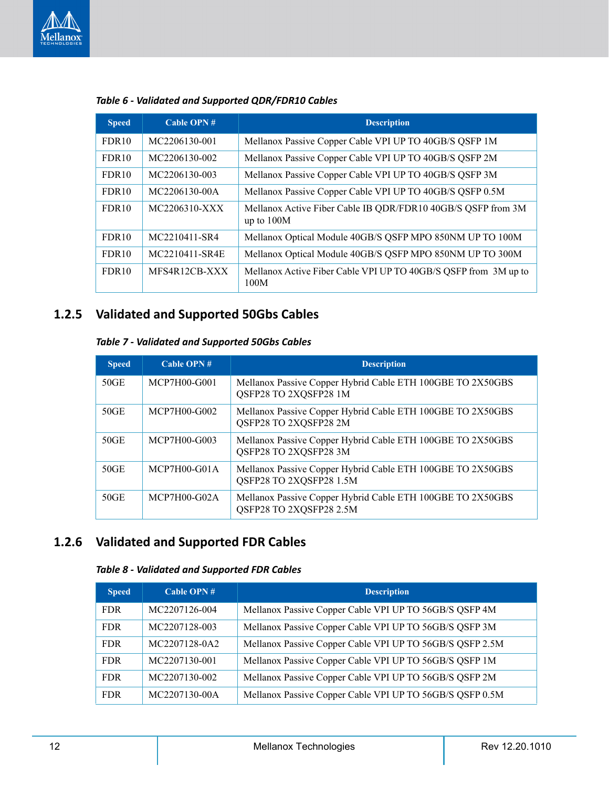

| <b>Speed</b>      | <b>Cable OPN#</b> | <b>Description</b>                                                           |  |  |  |
|-------------------|-------------------|------------------------------------------------------------------------------|--|--|--|
| FDR <sub>10</sub> | MC2206130-001     | Mellanox Passive Copper Cable VPI UP TO 40GB/S QSFP 1M                       |  |  |  |
| FDR <sub>10</sub> | MC2206130-002     | Mellanox Passive Copper Cable VPI UP TO 40GB/S QSFP 2M                       |  |  |  |
| FDR <sub>10</sub> | MC2206130-003     | Mellanox Passive Copper Cable VPI UP TO 40GB/S QSFP 3M                       |  |  |  |
| FDR <sub>10</sub> | MC2206130-00A     | Mellanox Passive Copper Cable VPI UP TO 40GB/S QSFP 0.5M                     |  |  |  |
| FDR <sub>10</sub> | MC2206310-XXX     | Mellanox Active Fiber Cable IB QDR/FDR10 40GB/S QSFP from 3M<br>up to $100M$ |  |  |  |
| FDR <sub>10</sub> | MC2210411-SR4     | Mellanox Optical Module 40GB/S QSFP MPO 850NM UP TO 100M                     |  |  |  |
| FDR <sub>10</sub> | MC2210411-SR4E    | Mellanox Optical Module 40GB/S QSFP MPO 850NM UP TO 300M                     |  |  |  |
| FDR <sub>10</sub> | MFS4R12CB-XXX     | Mellanox Active Fiber Cable VPI UP TO 40GB/S QSFP from 3M up to<br>100M      |  |  |  |

### *Table 6 - Validated and Supported QDR/FDR10 Cables*

### <span id="page-11-2"></span><span id="page-11-0"></span>**1.2.5 Validated and Supported 50Gbs Cables**

### *Table 7 - Validated and Supported 50Gbs Cables*

| <b>Speed</b> | Cable OPN $#$  | <b>Description</b>                                                                    |  |
|--------------|----------------|---------------------------------------------------------------------------------------|--|
| 50GE         | MCP7H00-G001   | Mellanox Passive Copper Hybrid Cable ETH 100GBE TO 2X50GBS<br>QSFP28 TO 2XQSFP28 1M   |  |
| 50GE         | MCP7H00-G002   | Mellanox Passive Copper Hybrid Cable ETH 100GBE TO 2X50GBS<br>QSFP28 TO 2XQSFP28 2M   |  |
| 50GE         | MCP7H00-G003   | Mellanox Passive Copper Hybrid Cable ETH 100GBE TO 2X50GBS<br>QSFP28 TO 2XQSFP28 3M   |  |
| 50GE         | $MCP7H00-G01A$ | Mellanox Passive Copper Hybrid Cable ETH 100GBE TO 2X50GBS<br>QSFP28 TO 2XQSFP28 1.5M |  |
| 50GE         | MCP7H00-G02A   | Mellanox Passive Copper Hybrid Cable ETH 100GBE TO 2X50GBS<br>QSFP28 TO 2XQSFP28 2.5M |  |

### <span id="page-11-3"></span><span id="page-11-1"></span>**1.2.6 Validated and Supported FDR Cables**

### *Table 8 - Validated and Supported FDR Cables*

| <b>Speed</b> | Cable OPN $#$ | Description                                              |  |  |  |
|--------------|---------------|----------------------------------------------------------|--|--|--|
| <b>FDR</b>   | MC2207126-004 | Mellanox Passive Copper Cable VPI UP TO 56GB/S QSFP 4M   |  |  |  |
| <b>FDR</b>   | MC2207128-003 | Mellanox Passive Copper Cable VPI UP TO 56GB/S QSFP 3M   |  |  |  |
| <b>FDR</b>   | MC2207128-0A2 | Mellanox Passive Copper Cable VPI UP TO 56GB/S QSFP 2.5M |  |  |  |
| <b>FDR</b>   | MC2207130-001 | Mellanox Passive Copper Cable VPI UP TO 56GB/S QSFP 1M   |  |  |  |
| <b>FDR</b>   | MC2207130-002 | Mellanox Passive Copper Cable VPI UP TO 56GB/S QSFP 2M   |  |  |  |
| <b>FDR</b>   | MC2207130-00A | Mellanox Passive Copper Cable VPI UP TO 56GB/S QSFP 0.5M |  |  |  |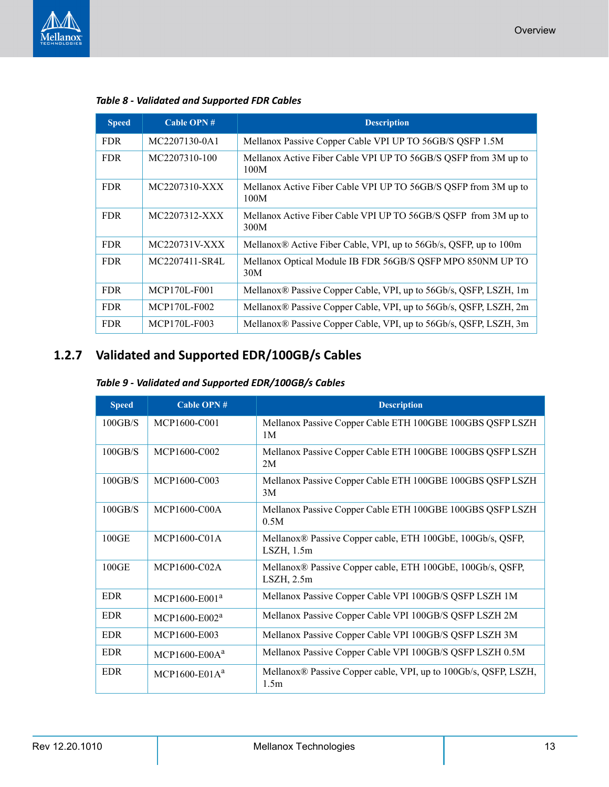

| <b>Speed</b> | <b>Cable OPN#</b> | <b>Description</b>                                                      |  |  |  |
|--------------|-------------------|-------------------------------------------------------------------------|--|--|--|
| <b>FDR</b>   | MC2207130-0A1     | Mellanox Passive Copper Cable VPI UP TO 56GB/S QSFP 1.5M                |  |  |  |
| <b>FDR</b>   | MC2207310-100     | Mellanox Active Fiber Cable VPI UP TO 56GB/S QSFP from 3M up to<br>100M |  |  |  |
| <b>FDR</b>   | MC2207310-XXX     | Mellanox Active Fiber Cable VPI UP TO 56GB/S QSFP from 3M up to<br>100M |  |  |  |
| <b>FDR</b>   | MC2207312-XXX     | Mellanox Active Fiber Cable VPI UP TO 56GB/S QSFP from 3M up to<br>300M |  |  |  |
| <b>FDR</b>   | MC220731V-XXX     | Mellanox® Active Fiber Cable, VPI, up to 56Gb/s, QSFP, up to 100m       |  |  |  |
| <b>FDR</b>   | MC2207411-SR4L    | Mellanox Optical Module IB FDR 56GB/S QSFP MPO 850NM UP TO<br>30M       |  |  |  |
| <b>FDR</b>   | MCP170L-F001      | Mellanox® Passive Copper Cable, VPI, up to 56Gb/s, QSFP, LSZH, 1m       |  |  |  |
| <b>FDR</b>   | MCP170L-F002      | Mellanox® Passive Copper Cable, VPI, up to 56Gb/s, QSFP, LSZH, 2m       |  |  |  |
| <b>FDR</b>   | MCP170L-F003      | Mellanox® Passive Copper Cable, VPI, up to 56Gb/s, QSFP, LSZH, 3m       |  |  |  |

# <span id="page-12-1"></span><span id="page-12-0"></span>**1.2.7 Validated and Supported EDR/100GB/s Cables**

<span id="page-12-2"></span>

| <b>Speed</b> | Cable OPN #       | <b>Description</b>                                                            |  |  |  |
|--------------|-------------------|-------------------------------------------------------------------------------|--|--|--|
| 100GB/S      | MCP1600-C001      | Mellanox Passive Copper Cable ETH 100GBE 100GBS QSFP LSZH<br>1M               |  |  |  |
| 100GB/S      | MCP1600-C002      | Mellanox Passive Copper Cable ETH 100GBE 100GBS QSFP LSZH<br>2M               |  |  |  |
| 100GB/S      | MCP1600-C003      | Mellanox Passive Copper Cable ETH 100GBE 100GBS QSFP LSZH<br>3M               |  |  |  |
| 100GB/S      | MCP1600-C00A      | Mellanox Passive Copper Cable ETH 100GBE 100GBS QSFP LSZH<br>0.5M             |  |  |  |
| 100GE        | MCP1600-C01A      | Mellanox® Passive Copper cable, ETH 100GbE, 100Gb/s, QSFP,<br>$LSZH$ , 1.5m   |  |  |  |
| 100GE        | MCP1600-C02A      | Mellanox® Passive Copper cable, ETH 100GbE, 100Gb/s, QSFP,<br>$LSZH$ , $2.5m$ |  |  |  |
| <b>EDR</b>   | $MCP1600 - E001a$ | Mellanox Passive Copper Cable VPI 100GB/S QSFP LSZH 1M                        |  |  |  |
| EDR          | $MCP1600 - E002a$ | Mellanox Passive Copper Cable VPI 100GB/S QSFP LSZH 2M                        |  |  |  |
| <b>EDR</b>   | MCP1600-E003      | Mellanox Passive Copper Cable VPI 100GB/S QSFP LSZH 3M                        |  |  |  |
| <b>EDR</b>   | $MCP1600-E00Aa$   | Mellanox Passive Copper Cable VPI 100GB/S QSFP LSZH 0.5M                      |  |  |  |
| EDR          | MCP1600-E01 $A^a$ | Mellanox® Passive Copper cable, VPI, up to 100Gb/s, QSFP, LSZH,<br>1.5m       |  |  |  |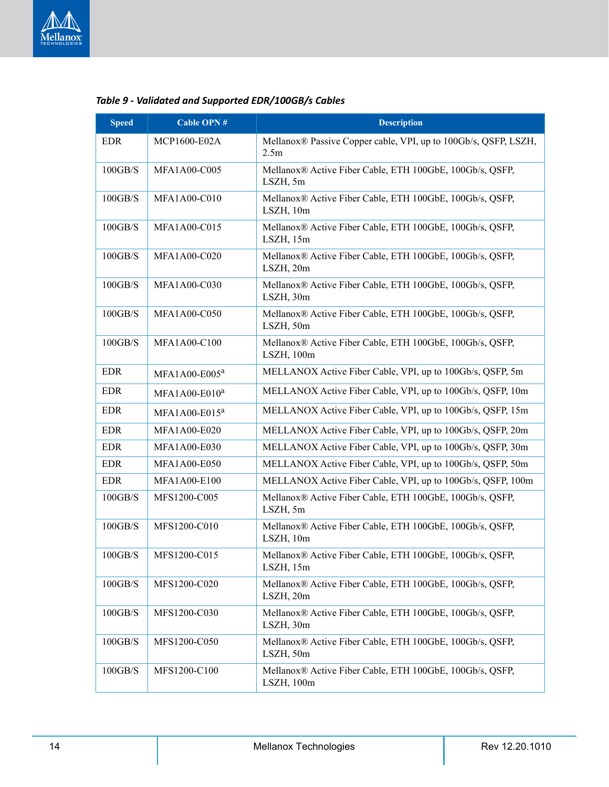

| <b>Speed</b> | <b>Cable OPN#</b>         | <b>Description</b>                                                                  |  |  |  |
|--------------|---------------------------|-------------------------------------------------------------------------------------|--|--|--|
| <b>EDR</b>   | MCP1600-E02A              | Mellanox® Passive Copper cable, VPI, up to 100Gb/s, QSFP, LSZH,<br>2.5 <sub>m</sub> |  |  |  |
| 100GB/S      | MFA1A00-C005              | Mellanox® Active Fiber Cable, ETH 100GbE, 100Gb/s, QSFP,<br>LSZH, 5m                |  |  |  |
| 100GB/S      | <b>MFA1A00-C010</b>       | Mellanox® Active Fiber Cable, ETH 100GbE, 100Gb/s, QSFP,<br>LSZH, 10m               |  |  |  |
| 100GB/S      | MFA1A00-C015              | Mellanox® Active Fiber Cable, ETH 100GbE, 100Gb/s, QSFP,<br>LSZH, 15m               |  |  |  |
| 100GB/S      | MFA1A00-C020              | Mellanox® Active Fiber Cable, ETH 100GbE, 100Gb/s, QSFP,<br>LSZH, 20m               |  |  |  |
| 100GB/S      | MFA1A00-C030              | Mellanox® Active Fiber Cable, ETH 100GbE, 100Gb/s, QSFP,<br>LSZH, 30m               |  |  |  |
| 100GB/S      | MFA1A00-C050              | Mellanox® Active Fiber Cable, ETH 100GbE, 100Gb/s, QSFP,<br>LSZH, 50m               |  |  |  |
| 100GB/S      | MFA1A00-C100              | Mellanox® Active Fiber Cable, ETH 100GbE, 100Gb/s, QSFP,<br>LSZH, 100m              |  |  |  |
| <b>EDR</b>   | MFA1A00-E005 <sup>a</sup> | MELLANOX Active Fiber Cable, VPI, up to 100Gb/s, QSFP, 5m                           |  |  |  |
| <b>EDR</b>   | MFA1A00-E010 <sup>a</sup> | MELLANOX Active Fiber Cable, VPI, up to 100Gb/s, QSFP, 10m                          |  |  |  |
| <b>EDR</b>   | MFA1A00-E015 <sup>a</sup> | MELLANOX Active Fiber Cable, VPI, up to 100Gb/s, QSFP, 15m                          |  |  |  |
| <b>EDR</b>   | MFA1A00-E020              | MELLANOX Active Fiber Cable, VPI, up to 100Gb/s, QSFP, 20m                          |  |  |  |
| <b>EDR</b>   | MFA1A00-E030              | MELLANOX Active Fiber Cable, VPI, up to 100Gb/s, QSFP, 30m                          |  |  |  |
| <b>EDR</b>   | <b>MFA1A00-E050</b>       | MELLANOX Active Fiber Cable, VPI, up to 100Gb/s, QSFP, 50m                          |  |  |  |
| <b>EDR</b>   | MFA1A00-E100              | MELLANOX Active Fiber Cable, VPI, up to 100Gb/s, QSFP, 100m                         |  |  |  |
| 100GB/S      | MFS1200-C005              | Mellanox® Active Fiber Cable, ETH 100GbE, 100Gb/s, QSFP,<br>LSZH, 5m                |  |  |  |
| 100GB/S      | MFS1200-C010              | Mellanox® Active Fiber Cable, ETH 100GbE, 100Gb/s, QSFP,<br>LSZH, 10m               |  |  |  |
| 100GB/S      | MFS1200-C015              | Mellanox® Active Fiber Cable, ETH 100GbE, 100Gb/s, QSFP,<br>$LSZH$ , 15m            |  |  |  |
| 100GB/S      | MFS1200-C020              | Mellanox® Active Fiber Cable, ETH 100GbE, 100Gb/s, QSFP,<br>LSZH, 20m               |  |  |  |
| 100GB/S      | MFS1200-C030              | Mellanox® Active Fiber Cable, ETH 100GbE, 100Gb/s, QSFP,<br>LSZH, 30m               |  |  |  |
| 100GB/S      | MFS1200-C050              | Mellanox® Active Fiber Cable, ETH 100GbE, 100Gb/s, QSFP,<br>LSZH, 50m               |  |  |  |
| 100GB/S      | MFS1200-C100              | Mellanox® Active Fiber Cable, ETH 100GbE, 100Gb/s, QSFP,<br>LSZH, 100m              |  |  |  |

### *Table 9 - Validated and Supported EDR/100GB/s Cables*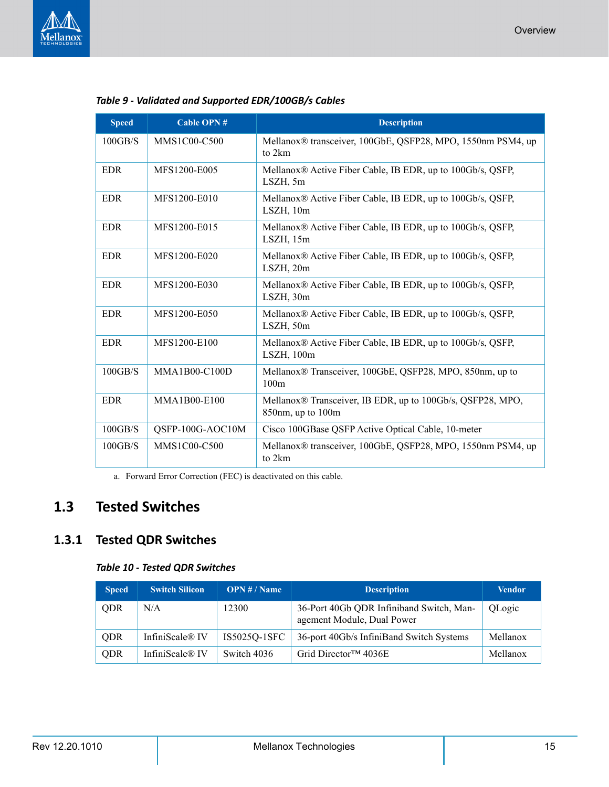

| <b>Speed</b> | <b>Cable OPN#</b> | <b>Description</b>                                                                                |  |  |  |
|--------------|-------------------|---------------------------------------------------------------------------------------------------|--|--|--|
| 100GB/S      | MMS1C00-C500      | Mellanox® transceiver, 100GbE, QSFP28, MPO, 1550nm PSM4, up<br>to 2km                             |  |  |  |
| <b>EDR</b>   | MFS1200-E005      | Mellanox® Active Fiber Cable, IB EDR, up to 100Gb/s, QSFP,<br>LSZH, 5m                            |  |  |  |
| <b>EDR</b>   | MFS1200-E010      | Mellanox® Active Fiber Cable, IB EDR, up to 100Gb/s, QSFP,<br>LSZH, 10m                           |  |  |  |
| <b>EDR</b>   | MFS1200-E015      | Mellanox® Active Fiber Cable, IB EDR, up to 100Gb/s, QSFP,<br>$LSZH$ , $15m$                      |  |  |  |
| <b>EDR</b>   | MFS1200-E020      | Mellanox® Active Fiber Cable, IB EDR, up to 100Gb/s, QSFP,<br>LSZH, 20m                           |  |  |  |
| <b>EDR</b>   | MFS1200-E030      | Mellanox® Active Fiber Cable, IB EDR, up to 100Gb/s, QSFP,<br>LSZH, 30m                           |  |  |  |
| <b>EDR</b>   | MFS1200-E050      | Mellanox® Active Fiber Cable, IB EDR, up to 100Gb/s, QSFP,<br>LSZH, 50m                           |  |  |  |
| <b>EDR</b>   | MFS1200-E100      | Mellanox® Active Fiber Cable, IB EDR, up to 100Gb/s, QSFP,<br>LSZH, 100m                          |  |  |  |
| 100GB/S      | MMA1B00-C100D     | Mellanox <sup>®</sup> Transceiver, 100GbE, QSFP28, MPO, 850nm, up to<br>100m                      |  |  |  |
| <b>EDR</b>   | MMA1B00-E100      | Mellanox <sup>®</sup> Transceiver, IB EDR, up to 100Gb/s, QSFP28, MPO,<br>$850$ nm, up to $100$ m |  |  |  |
| 100GB/S      | QSFP-100G-AOC10M  | Cisco 100GBase QSFP Active Optical Cable, 10-meter                                                |  |  |  |
| 100GB/S      | MMS1C00-C500      | Mellanox® transceiver, 100GbE, QSFP28, MPO, 1550nm PSM4, up<br>to 2km                             |  |  |  |
|              | $\sqrt{P}P$       |                                                                                                   |  |  |  |

*Table 9 - Validated and Supported EDR/100GB/s Cables*

a. Forward Error Correction (FEC) is deactivated on this cable.

# <span id="page-14-0"></span>**1.3 Tested Switches**

### <span id="page-14-2"></span><span id="page-14-1"></span>**1.3.1 Tested QDR Switches**

### *Table 10 - Tested QDR Switches*

| <b>Speed</b> | <b>Switch Silicon</b> | OPN # / Name | <b>Description</b>                                                     | <b>Vendor</b> |
|--------------|-----------------------|--------------|------------------------------------------------------------------------|---------------|
| <b>ODR</b>   | N/A                   | 12300        | 36-Port 40Gb QDR Infiniband Switch, Man-<br>agement Module, Dual Power | QLogic        |
| <b>QDR</b>   | InfiniScale® IV       | IS5025Q-1SFC | 36-port 40Gb/s InfiniBand Switch Systems                               | Mellanox      |
| <b>QDR</b>   | InfiniScale® IV       | Switch 4036  | Grid Director <sup>TM</sup> 4036E                                      | Mellanox      |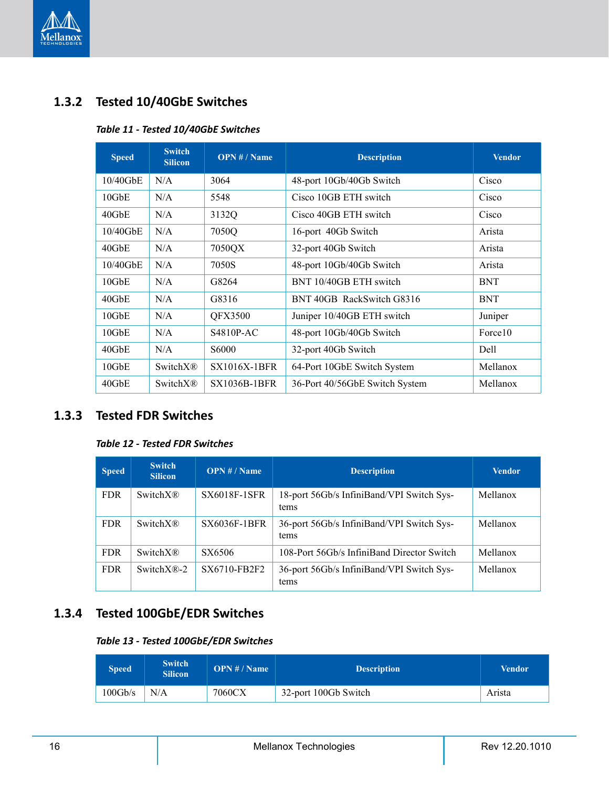

### <span id="page-15-3"></span><span id="page-15-0"></span>**1.3.2 Tested 10/40GbE Switches**

### *Table 11 - Tested 10/40GbE Switches*

| <b>Speed</b> | <b>Switch</b><br><b>Silicon</b> | OPN # / Name        | <b>Description</b>             | <b>Vendor</b> |
|--------------|---------------------------------|---------------------|--------------------------------|---------------|
| $10/40$ GbE  | N/A                             | 3064                | 48-port 10Gb/40Gb Switch       | Cisco         |
| $10$ GbE     | N/A                             | 5548                | Cisco 10GB ETH switch          | Cisco         |
| $40$ GbE     | N/A                             | 3132Q               | Cisco 40GB ETH switch          | Cisco         |
| $10/40$ GbE  | N/A                             | 7050Q               | 16-port 40Gb Switch            | Arista        |
| 40GbE        | N/A                             | 7050QX              | 32-port 40Gb Switch            | Arista        |
| 10/40GbE     | N/A                             | 7050S               | 48-port 10Gb/40Gb Switch       | Arista        |
| $10$ GbE     | N/A                             | G8264               | BNT 10/40GB ETH switch         | <b>BNT</b>    |
| $40$ GbE     | N/A                             | G8316               | BNT 40GB RackSwitch G8316      | <b>BNT</b>    |
| $10$ GbE     | N/A                             | <b>QFX3500</b>      | Juniper 10/40GB ETH switch     | Juniper       |
| $10$ GbE     | N/A                             | S4810P-AC           | 48-port 10Gb/40Gb Switch       | Force10       |
| $40$ GbE     | N/A                             | S6000               | 32-port 40Gb Switch            | Dell          |
| $10$ GbE     | <b>SwitchX®</b>                 | <b>SX1016X-1BFR</b> | 64-Port 10GbE Switch System    | Mellanox      |
| 40GbE        | <b>SwitchX®</b>                 | <b>SX1036B-1BFR</b> | 36-Port 40/56GbE Switch System | Mellanox      |

### <span id="page-15-4"></span><span id="page-15-1"></span>**1.3.3 Tested FDR Switches**

### *Table 12 - Tested FDR Switches*

| <b>Speed</b> | <b>Switch</b><br><b>Silicon</b> | <b>OPN</b> # / Name | <b>Description</b>                                | <b>Vendor</b> |
|--------------|---------------------------------|---------------------|---------------------------------------------------|---------------|
| <b>FDR</b>   | Switch $XR$                     | <b>SX6018F-1SFR</b> | 18-port 56Gb/s InfiniBand/VPI Switch Sys-<br>tems | Mellanox      |
| <b>FDR</b>   | Switch $XR$                     | <b>SX6036F-1BFR</b> | 36-port 56Gb/s InfiniBand/VPI Switch Sys-<br>tems | Mellanox      |
| <b>FDR</b>   | Switch $XR$                     | SX6506              | 108-Port 56Gb/s InfiniBand Director Switch        | Mellanox      |
| <b>FDR</b>   | Switch $X\mathbb{R}$ -2         | SX6710-FB2F2        | 36-port 56Gb/s InfiniBand/VPI Switch Sys-<br>tems | Mellanox      |

### <span id="page-15-5"></span><span id="page-15-2"></span>**1.3.4 Tested 100GbE/EDR Switches**

#### *Table 13 - Tested 100GbE/EDR Switches*

| Speed   | <b>Switch</b><br><b>Silicon</b> | OPN # / Name | <b>Description</b>   | Vendor |
|---------|---------------------------------|--------------|----------------------|--------|
| 100Gb/s | N/A                             | 7060CX       | 32-port 100Gb Switch | Arista |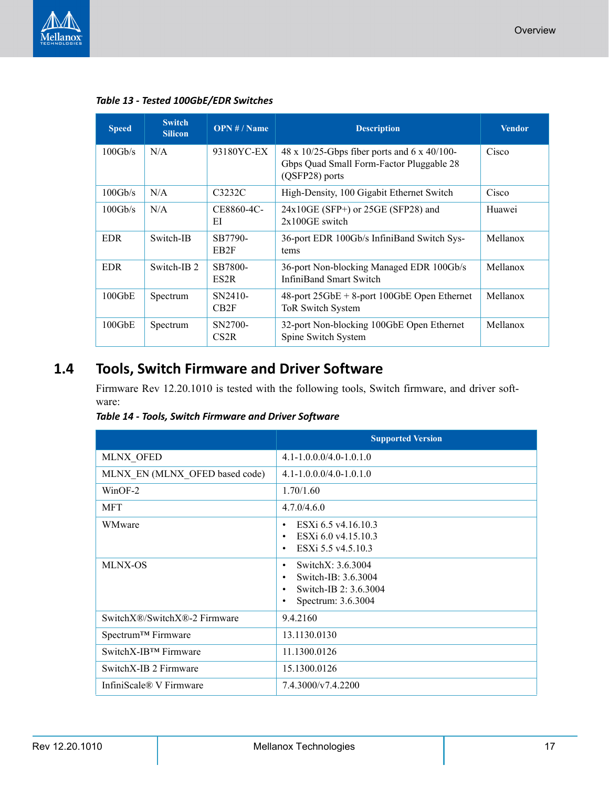

| <b>Speed</b> | <b>Switch</b><br><b>Silicon</b> | OPN # / Name                 | <b>Description</b>                                                                                        | <b>Vendor</b> |
|--------------|---------------------------------|------------------------------|-----------------------------------------------------------------------------------------------------------|---------------|
| 100Gb/s      | N/A                             | 93180YC-EX                   | 48 x 10/25-Gbps fiber ports and 6 x 40/100-<br>Gbps Quad Small Form-Factor Pluggable 28<br>(QSFP28) ports | Cisco         |
| 100Gb/s      | N/A                             | C3232C                       | High-Density, 100 Gigabit Ethernet Switch                                                                 | Cisco         |
| 100Gb/s      | N/A                             | CE8860-4C-<br>EI             | 24x10GE (SFP+) or 25GE (SFP28) and<br>$2x100$ GE switch                                                   | Huawei        |
| <b>EDR</b>   | Switch-IB                       | SB7790-<br>EB <sub>2</sub> F | 36-port EDR 100Gb/s InfiniBand Switch Sys-<br>tems                                                        | Mellanox      |
| <b>EDR</b>   | Switch-IB 2                     | SB7800-<br>ES <sub>2</sub> R | 36-port Non-blocking Managed EDR 100Gb/s<br><b>InfiniBand Smart Switch</b>                                | Mellanox      |
| $100$ GbE    | Spectrum                        | SN2410-<br>CB2F              | $48$ -port $25GbE + 8$ -port 100GbE Open Ethernet<br>ToR Switch System                                    | Mellanox      |
| $100$ GbE    | Spectrum                        | SN2700-<br>CS2R              | 32-port Non-blocking 100GbE Open Ethernet<br>Spine Switch System                                          | Mellanox      |

# <span id="page-16-0"></span>**1.4 Tools, Switch Firmware and Driver Software**

Firmware Rev 12.20.1010 is tested with the following tools, Switch firmware, and driver software:

<span id="page-16-1"></span>*Table 14 - Tools, Switch Firmware and Driver Software*

|                                | <b>Supported Version</b>                                                                                                    |
|--------------------------------|-----------------------------------------------------------------------------------------------------------------------------|
| <b>MLNX OFED</b>               | $4.1 - 1.0.0.0 / 4.0 - 1.0.1.0$                                                                                             |
| MLNX EN (MLNX OFED based code) | $4.1 - 1.0.0.0/4.0 - 1.0.1.0$                                                                                               |
| $WinOF-2$                      | 1.70/1.60                                                                                                                   |
| <b>MFT</b>                     | 4.7.0/4.6.0                                                                                                                 |
| WMware                         | ESXi 6.5 v4.16.10.3<br>٠<br>ESXi 6.0 v4.15.10.3<br>٠<br>ESXi 5.5 v4.5.10.3                                                  |
| <b>MLNX-OS</b>                 | SwitchX: 3.6.3004<br>٠<br>Switch-IB: 3.6.3004<br>$\bullet$<br>Switch-IB 2: 3.6.3004<br>$\bullet$<br>Spectrum: 3.6.3004<br>٠ |
| SwitchX®/SwitchX®-2 Firmware   | 9.4.2160                                                                                                                    |
| Spectrum <sup>™</sup> Firmware | 13.1130.0130                                                                                                                |
| SwitchX-IB™ Firmware           | 11.1300.0126                                                                                                                |
| Switch X-IB 2 Firmware         | 15.1300.0126                                                                                                                |
| InfiniScale® V Firmware        | 7.4.3000/v7.4.2200                                                                                                          |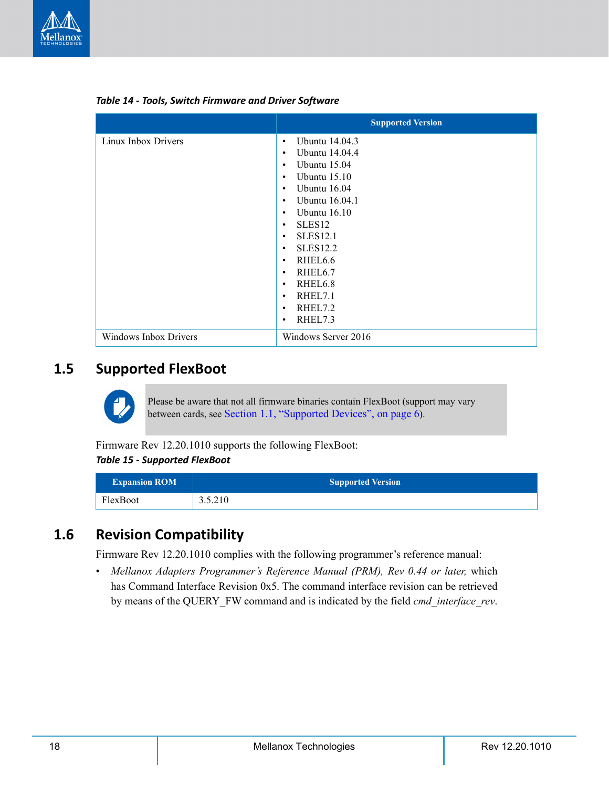

|                       | <b>Supported Version</b>           |
|-----------------------|------------------------------------|
| Linux Inbox Drivers   | <b>Ubuntu 14.04.3</b><br>$\bullet$ |
|                       | <b>Ubuntu 14.04.4</b><br>٠         |
|                       | <b>Ubuntu</b> 15.04<br>$\bullet$   |
|                       | Ubuntu $15.10$<br>$\bullet$        |
|                       | <b>Ubuntu</b> 16.04<br>٠           |
|                       | <b>Ubuntu</b> 16.04.1<br>$\bullet$ |
|                       | Ubuntu $16.10$<br>$\bullet$        |
|                       | SLES <sub>12</sub><br>٠            |
|                       | <b>SLES12.1</b><br>٠               |
|                       | <b>SLES12.2</b><br>٠               |
|                       | RHEL <sub>6.6</sub><br>$\bullet$   |
|                       | RHEL <sub>6.7</sub><br>$\bullet$   |
|                       | RHEL6.8<br>$\bullet$               |
|                       | RHEL7.1<br>$\bullet$               |
|                       | RHEL7.2<br>$\bullet$               |
|                       | RHEL7.3<br>$\bullet$               |
| Windows Inbox Drivers | Windows Server 2016                |

*Table 14 - Tools, Switch Firmware and Driver Software*

### <span id="page-17-0"></span>**1.5 Supported FlexBoot**



Please be aware that not all firmware binaries contain FlexBoot (support may vary between cards, see [Section 1.1, "Supported Devices", on page 6\)](#page-5-1).

<span id="page-17-2"></span>Firmware Rev 12.20.1010 supports the following FlexBoot: *Table 15 - Supported FlexBoot*

| <b>Expansion ROM</b> | <b>Supported Version</b> |
|----------------------|--------------------------|
| FlexBoot             | 3.5.210                  |

### <span id="page-17-1"></span>**1.6 Revision Compatibility**

Firmware Rev 12.20.1010 complies with the following programmer's reference manual:

• *Mellanox Adapters Programmer's Reference Manual (PRM), Rev 0.44 or later,* which has Command Interface Revision 0x5. The command interface revision can be retrieved by means of the QUERY\_FW command and is indicated by the field *cmd\_interface\_rev*.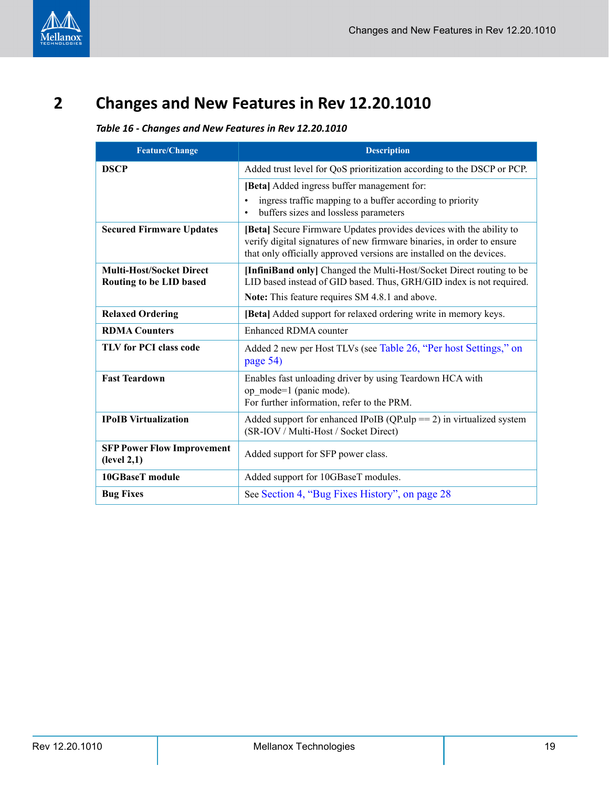# <span id="page-18-1"></span><span id="page-18-0"></span>**2 Changes and New Features in Rev 12.20.1010**

### <span id="page-18-2"></span>*Table 16 - Changes and New Features in Rev 12.20.1010*

| <b>Feature/Change</b>                                      | <b>Description</b>                                                                                                                                                                                                    |
|------------------------------------------------------------|-----------------------------------------------------------------------------------------------------------------------------------------------------------------------------------------------------------------------|
| <b>DSCP</b>                                                | Added trust level for QoS prioritization according to the DSCP or PCP.                                                                                                                                                |
|                                                            | [Beta] Added ingress buffer management for:                                                                                                                                                                           |
|                                                            | ingress traffic mapping to a buffer according to priority<br>buffers sizes and lossless parameters<br>$\bullet$                                                                                                       |
| <b>Secured Firmware Updates</b>                            | [Beta] Secure Firmware Updates provides devices with the ability to<br>verify digital signatures of new firmware binaries, in order to ensure<br>that only officially approved versions are installed on the devices. |
| <b>Multi-Host/Socket Direct</b><br>Routing to be LID based | [InfiniBand only] Changed the Multi-Host/Socket Direct routing to be<br>LID based instead of GID based. Thus, GRH/GID index is not required.                                                                          |
|                                                            | Note: This feature requires SM 4.8.1 and above.                                                                                                                                                                       |
| <b>Relaxed Ordering</b>                                    | [Beta] Added support for relaxed ordering write in memory keys.                                                                                                                                                       |
| <b>RDMA Counters</b>                                       | Enhanced RDMA counter                                                                                                                                                                                                 |
| <b>TLV for PCI class code</b>                              | Added 2 new per Host TLVs (see Table 26, "Per host Settings," on<br>page 54)                                                                                                                                          |
| <b>Fast Teardown</b>                                       | Enables fast unloading driver by using Teardown HCA with<br>op mode=1 (panic mode).<br>For further information, refer to the PRM.                                                                                     |
| <b>IPoIB</b> Virtualization                                | Added support for enhanced IPoIB ( $QP.ulp == 2$ ) in virtualized system<br>(SR-IOV / Multi-Host / Socket Direct)                                                                                                     |
| <b>SFP Power Flow Improvement</b><br>(level 2,1)           | Added support for SFP power class.                                                                                                                                                                                    |
| <b>10GBaseT</b> module                                     | Added support for 10GBaseT modules.                                                                                                                                                                                   |
| <b>Bug Fixes</b>                                           | See Section 4, "Bug Fixes History", on page 28                                                                                                                                                                        |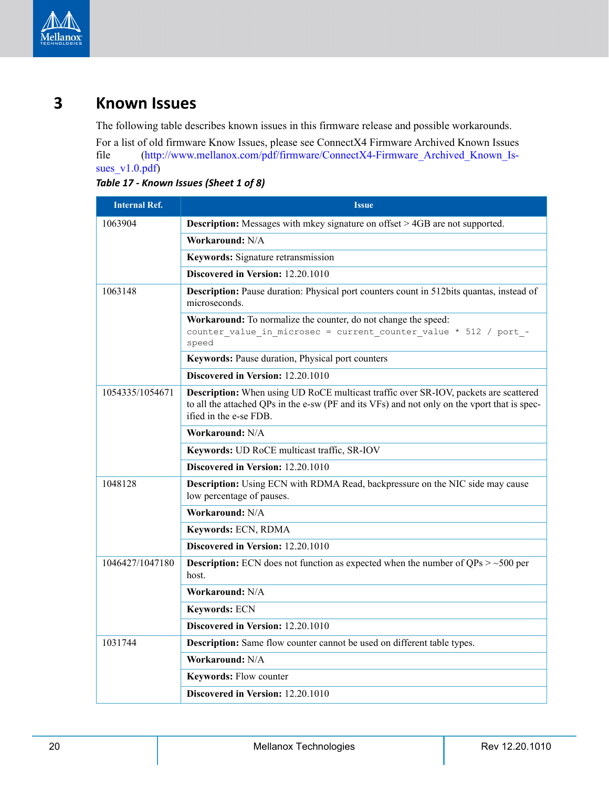

# <span id="page-19-0"></span>**3 Known Issues**

The following table describes known issues in this firmware release and possible workarounds.

For a list of old firmware Know Issues, please see ConnectX4 Firmware Archived Known Issues file (http://www.mellanox.com/pdf/firmware/ConnectX4-Firmware\_Archived\_Known\_Issues\_v1.0.pdf)

| <b>Internal Ref.</b> | <b>Issue</b>                                                                                                                                                                                                   |
|----------------------|----------------------------------------------------------------------------------------------------------------------------------------------------------------------------------------------------------------|
| 1063904              | <b>Description:</b> Messages with mkey signature on offset > 4GB are not supported.                                                                                                                            |
|                      | Workaround: N/A                                                                                                                                                                                                |
|                      | Keywords: Signature retransmission                                                                                                                                                                             |
|                      | Discovered in Version: 12.20.1010                                                                                                                                                                              |
| 1063148              | <b>Description:</b> Pause duration: Physical port counters count in 512bits quantas, instead of<br>microseconds.                                                                                               |
|                      | Workaround: To normalize the counter, do not change the speed:<br>counter value in microsec = current counter value * 512 / port -<br>speed                                                                    |
|                      | Keywords: Pause duration, Physical port counters                                                                                                                                                               |
|                      | Discovered in Version: 12.20.1010                                                                                                                                                                              |
| 1054335/1054671      | Description: When using UD RoCE multicast traffic over SR-IOV, packets are scattered<br>to all the attached QPs in the e-sw (PF and its VFs) and not only on the vport that is spec-<br>ified in the e-se FDB. |
|                      | Workaround: N/A                                                                                                                                                                                                |
|                      | Keywords: UD RoCE multicast traffic, SR-IOV                                                                                                                                                                    |
|                      | Discovered in Version: 12.20.1010                                                                                                                                                                              |
| 1048128              | <b>Description:</b> Using ECN with RDMA Read, backpressure on the NIC side may cause<br>low percentage of pauses.                                                                                              |
|                      | Workaround: N/A                                                                                                                                                                                                |
|                      | Keywords: ECN, RDMA                                                                                                                                                                                            |
|                      | Discovered in Version: 12.20.1010                                                                                                                                                                              |
| 1046427/1047180      | <b>Description:</b> ECN does not function as expected when the number of $QPs > -500$ per<br>host.                                                                                                             |
|                      | Workaround: N/A                                                                                                                                                                                                |
|                      | Keywords: ECN                                                                                                                                                                                                  |
|                      | Discovered in Version: 12.20.1010                                                                                                                                                                              |
| 1031744              | <b>Description:</b> Same flow counter cannot be used on different table types.                                                                                                                                 |
|                      | Workaround: N/A                                                                                                                                                                                                |
|                      | Keywords: Flow counter                                                                                                                                                                                         |
|                      | Discovered in Version: 12.20.1010                                                                                                                                                                              |

<span id="page-19-1"></span>*Table 17 - Known Issues (Sheet 1 of 8)*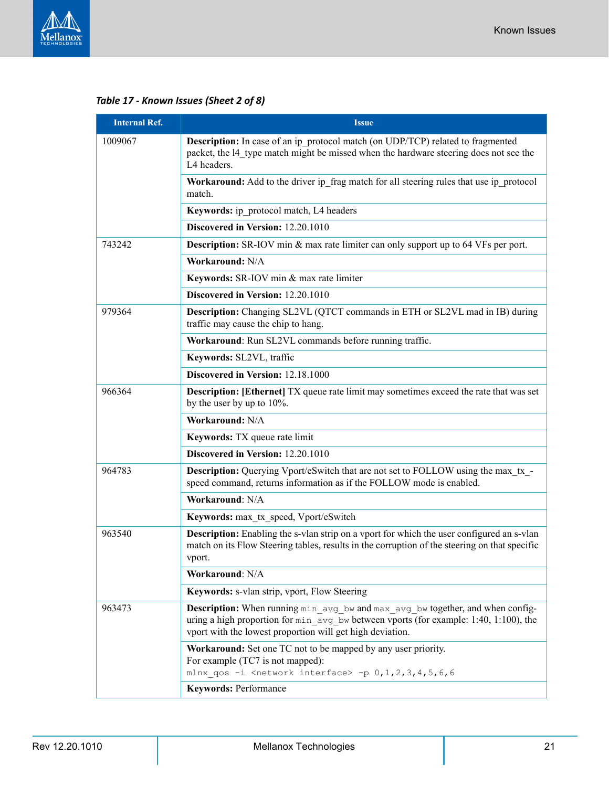

*Table 17 - Known Issues (Sheet 2 of 8)*

| <b>Issue</b>                                                                                                                                                                                                                                   |
|------------------------------------------------------------------------------------------------------------------------------------------------------------------------------------------------------------------------------------------------|
| <b>Description:</b> In case of an ip protocol match (on UDP/TCP) related to fragmented<br>packet, the 14 type match might be missed when the hardware steering does not see the<br>L4 headers.                                                 |
| <b>Workaround:</b> Add to the driver ip frag match for all steering rules that use ip protocol<br>match.                                                                                                                                       |
| Keywords: ip protocol match, L4 headers                                                                                                                                                                                                        |
| Discovered in Version: 12.20.1010                                                                                                                                                                                                              |
| <b>Description:</b> SR-IOV min & max rate limiter can only support up to 64 VFs per port.                                                                                                                                                      |
| Workaround: N/A                                                                                                                                                                                                                                |
| Keywords: SR-IOV min & max rate limiter                                                                                                                                                                                                        |
| Discovered in Version: 12.20.1010                                                                                                                                                                                                              |
| Description: Changing SL2VL (QTCT commands in ETH or SL2VL mad in IB) during<br>traffic may cause the chip to hang.                                                                                                                            |
| Workaround: Run SL2VL commands before running traffic.                                                                                                                                                                                         |
| Keywords: SL2VL, traffic                                                                                                                                                                                                                       |
| Discovered in Version: 12.18.1000                                                                                                                                                                                                              |
| <b>Description:</b> [Ethernet] TX queue rate limit may sometimes exceed the rate that was set<br>by the user by up to $10\%$ .                                                                                                                 |
| Workaround: N/A                                                                                                                                                                                                                                |
| Keywords: TX queue rate limit                                                                                                                                                                                                                  |
| Discovered in Version: 12.20.1010                                                                                                                                                                                                              |
| <b>Description:</b> Querying Vport/eSwitch that are not set to FOLLOW using the max_tx_-<br>speed command, returns information as if the FOLLOW mode is enabled.                                                                               |
| Workaround: N/A                                                                                                                                                                                                                                |
| Keywords: max tx speed, Vport/eSwitch                                                                                                                                                                                                          |
| <b>Description:</b> Enabling the s-vlan strip on a vport for which the user configured an s-vlan<br>match on its Flow Steering tables, results in the corruption of the steering on that specific<br>vport.                                    |
| Workaround: N/A                                                                                                                                                                                                                                |
| Keywords: s-vlan strip, vport, Flow Steering                                                                                                                                                                                                   |
| <b>Description:</b> When running min avg bw and max avg bw together, and when config-<br>uring a high proportion for $\min$ avg bw between vports (for example: 1:40, 1:100), the<br>vport with the lowest proportion will get high deviation. |
| Workaround: Set one TC not to be mapped by any user priority.<br>For example (TC7 is not mapped):<br>mlnx qos -i <network interface=""> -p 0, 1, 2, 3, 4, 5, 6, 6</network>                                                                    |
| <b>Keywords: Performance</b>                                                                                                                                                                                                                   |
|                                                                                                                                                                                                                                                |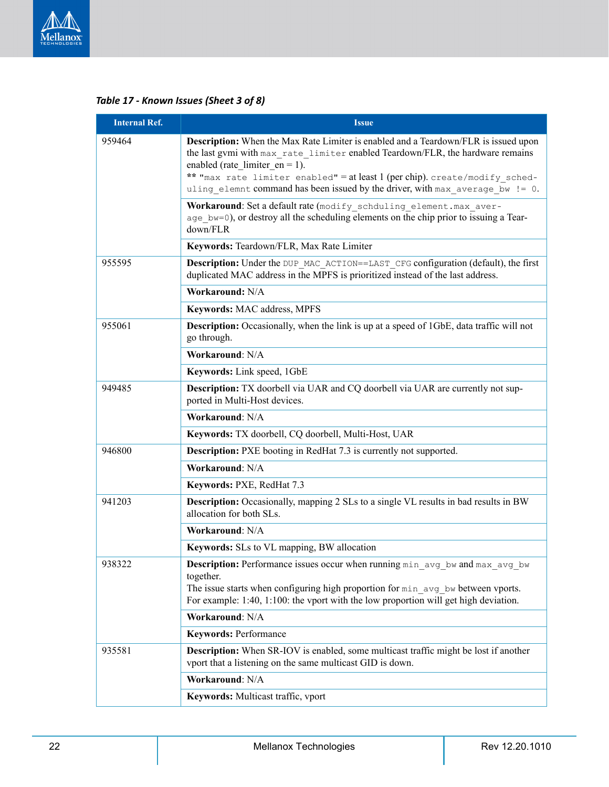

### *Table 17 - Known Issues (Sheet 3 of 8)*

| <b>Internal Ref.</b> | <b>Issue</b>                                                                                                                                                                                                                                                                                                                                                                      |
|----------------------|-----------------------------------------------------------------------------------------------------------------------------------------------------------------------------------------------------------------------------------------------------------------------------------------------------------------------------------------------------------------------------------|
| 959464               | <b>Description:</b> When the Max Rate Limiter is enabled and a Teardown/FLR is issued upon<br>the last gymi with max rate limiter enabled Teardown/FLR, the hardware remains<br>enabled (rate limiter $en = 1$ ).<br>** "max rate limiter enabled" = at least 1 (per chip). create/modify sched-<br>uling elemnt command has been issued by the driver, with max average bw != 0. |
|                      | Workaround: Set a default rate (modify schduling element. max aver-<br>age bw=0), or destroy all the scheduling elements on the chip prior to issuing a Tear-<br>down/FLR                                                                                                                                                                                                         |
|                      | Keywords: Teardown/FLR, Max Rate Limiter                                                                                                                                                                                                                                                                                                                                          |
| 955595               | <b>Description:</b> Under the DUP MAC ACTION==LAST CFG configuration (default), the first<br>duplicated MAC address in the MPFS is prioritized instead of the last address.                                                                                                                                                                                                       |
|                      | Workaround: N/A                                                                                                                                                                                                                                                                                                                                                                   |
|                      | Keywords: MAC address, MPFS                                                                                                                                                                                                                                                                                                                                                       |
| 955061               | <b>Description:</b> Occasionally, when the link is up at a speed of 1GbE, data traffic will not<br>go through.                                                                                                                                                                                                                                                                    |
|                      | Workaround: N/A                                                                                                                                                                                                                                                                                                                                                                   |
|                      | Keywords: Link speed, 1GbE                                                                                                                                                                                                                                                                                                                                                        |
| 949485               | <b>Description:</b> TX doorbell via UAR and CQ doorbell via UAR are currently not sup-<br>ported in Multi-Host devices.                                                                                                                                                                                                                                                           |
|                      | Workaround: N/A                                                                                                                                                                                                                                                                                                                                                                   |
|                      | Keywords: TX doorbell, CQ doorbell, Multi-Host, UAR                                                                                                                                                                                                                                                                                                                               |
| 946800               | <b>Description:</b> PXE booting in RedHat 7.3 is currently not supported.                                                                                                                                                                                                                                                                                                         |
|                      | Workaround: N/A                                                                                                                                                                                                                                                                                                                                                                   |
|                      | Keywords: PXE, RedHat 7.3                                                                                                                                                                                                                                                                                                                                                         |
| 941203               | <b>Description:</b> Occasionally, mapping 2 SLs to a single VL results in bad results in BW<br>allocation for both SLs.                                                                                                                                                                                                                                                           |
|                      | Workaround: N/A                                                                                                                                                                                                                                                                                                                                                                   |
|                      | <b>Keywords:</b> SLs to VL mapping, BW allocation                                                                                                                                                                                                                                                                                                                                 |
| 938322               | Description: Performance issues occur when running min avg bw and max avg bw<br>together.<br>The issue starts when configuring high proportion for min avg bw between vports.<br>For example: 1:40, 1:100: the vport with the low proportion will get high deviation.                                                                                                             |
|                      | Workaround: N/A                                                                                                                                                                                                                                                                                                                                                                   |
|                      | <b>Keywords: Performance</b>                                                                                                                                                                                                                                                                                                                                                      |
| 935581               | <b>Description:</b> When SR-IOV is enabled, some multicast traffic might be lost if another<br>vport that a listening on the same multicast GID is down.                                                                                                                                                                                                                          |
|                      | Workaround: N/A                                                                                                                                                                                                                                                                                                                                                                   |
|                      | Keywords: Multicast traffic, vport                                                                                                                                                                                                                                                                                                                                                |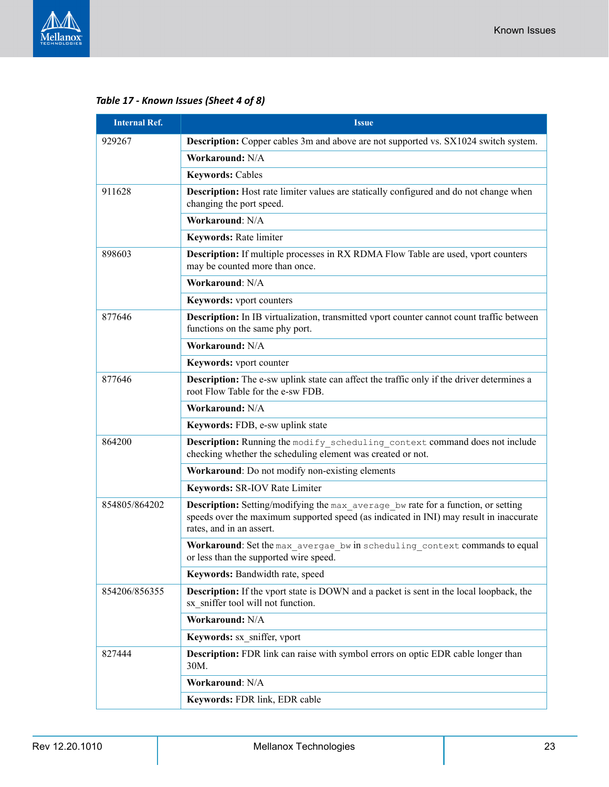

### *Table 17 - Known Issues (Sheet 4 of 8)*

| <b>Internal Ref.</b> | <b>Issue</b>                                                                                                                                                                                            |
|----------------------|---------------------------------------------------------------------------------------------------------------------------------------------------------------------------------------------------------|
| 929267               | <b>Description:</b> Copper cables 3m and above are not supported vs. SX1024 switch system.                                                                                                              |
|                      | Workaround: N/A                                                                                                                                                                                         |
|                      | <b>Keywords: Cables</b>                                                                                                                                                                                 |
| 911628               | <b>Description:</b> Host rate limiter values are statically configured and do not change when<br>changing the port speed.                                                                               |
|                      | Workaround: N/A                                                                                                                                                                                         |
|                      | <b>Keywords: Rate limiter</b>                                                                                                                                                                           |
| 898603               | <b>Description:</b> If multiple processes in RX RDMA Flow Table are used, vport counters<br>may be counted more than once.                                                                              |
|                      | Workaround: N/A                                                                                                                                                                                         |
|                      | Keywords: vport counters                                                                                                                                                                                |
| 877646               | <b>Description:</b> In IB virtualization, transmitted vport counter cannot count traffic between<br>functions on the same phy port.                                                                     |
|                      | Workaround: N/A                                                                                                                                                                                         |
|                      | Keywords: vport counter                                                                                                                                                                                 |
| 877646               | <b>Description:</b> The e-sw uplink state can affect the traffic only if the driver determines a<br>root Flow Table for the e-sw FDB.                                                                   |
|                      | Workaround: N/A                                                                                                                                                                                         |
|                      | Keywords: FDB, e-sw uplink state                                                                                                                                                                        |
| 864200               | <b>Description:</b> Running the modify scheduling context command does not include<br>checking whether the scheduling element was created or not.                                                       |
|                      | Workaround: Do not modify non-existing elements                                                                                                                                                         |
|                      | Keywords: SR-IOV Rate Limiter                                                                                                                                                                           |
| 854805/864202        | Description: Setting/modifying the max_average_bw rate for a function, or setting<br>speeds over the maximum supported speed (as indicated in INI) may result in inaccurate<br>rates, and in an assert. |
|                      | Workaround: Set the max_avergae_bw in scheduling context commands to equal<br>or less than the supported wire speed.                                                                                    |
|                      | Keywords: Bandwidth rate, speed                                                                                                                                                                         |
| 854206/856355        | <b>Description:</b> If the vport state is DOWN and a packet is sent in the local loopback, the<br>sx sniffer tool will not function.                                                                    |
|                      | Workaround: N/A                                                                                                                                                                                         |
|                      | Keywords: sx sniffer, vport                                                                                                                                                                             |
| 827444               | <b>Description:</b> FDR link can raise with symbol errors on optic EDR cable longer than<br>30M.                                                                                                        |
|                      | Workaround: N/A                                                                                                                                                                                         |
|                      | Keywords: FDR link, EDR cable                                                                                                                                                                           |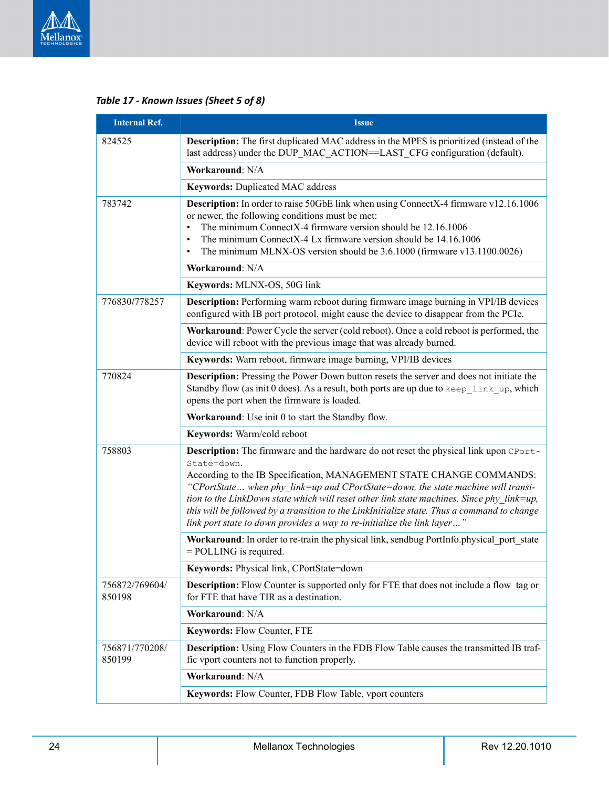

| <b>Internal Ref.</b>     | <b>Issue</b>                                                                                                                                                                                                                                                                                                                                                                                                                                                                                                                            |
|--------------------------|-----------------------------------------------------------------------------------------------------------------------------------------------------------------------------------------------------------------------------------------------------------------------------------------------------------------------------------------------------------------------------------------------------------------------------------------------------------------------------------------------------------------------------------------|
| 824525                   | Description: The first duplicated MAC address in the MPFS is prioritized (instead of the<br>last address) under the DUP_MAC_ACTION==LAST_CFG configuration (default).                                                                                                                                                                                                                                                                                                                                                                   |
|                          | Workaround: N/A                                                                                                                                                                                                                                                                                                                                                                                                                                                                                                                         |
|                          | Keywords: Duplicated MAC address                                                                                                                                                                                                                                                                                                                                                                                                                                                                                                        |
| 783742                   | Description: In order to raise 50GbE link when using ConnectX-4 firmware v12.16.1006<br>or newer, the following conditions must be met:<br>The minimum ConnectX-4 firmware version should be 12.16.1006<br>The minimum ConnectX-4 Lx firmware version should be 14.16.1006<br>$\bullet$<br>The minimum MLNX-OS version should be 3.6.1000 (firmware v13.1100.0026)<br>$\bullet$                                                                                                                                                         |
|                          | Workaround: N/A                                                                                                                                                                                                                                                                                                                                                                                                                                                                                                                         |
|                          | Keywords: MLNX-OS, 50G link                                                                                                                                                                                                                                                                                                                                                                                                                                                                                                             |
| 776830/778257            | <b>Description:</b> Performing warm reboot during firmware image burning in VPI/IB devices<br>configured with IB port protocol, might cause the device to disappear from the PCIe.                                                                                                                                                                                                                                                                                                                                                      |
|                          | Workaround: Power Cycle the server (cold reboot). Once a cold reboot is performed, the<br>device will reboot with the previous image that was already burned.                                                                                                                                                                                                                                                                                                                                                                           |
|                          | Keywords: Warn reboot, firmware image burning, VPI/IB devices                                                                                                                                                                                                                                                                                                                                                                                                                                                                           |
| 770824                   | Description: Pressing the Power Down button resets the server and does not initiate the<br>Standby flow (as init 0 does). As a result, both ports are up due to keep link up, which<br>opens the port when the firmware is loaded.                                                                                                                                                                                                                                                                                                      |
|                          | Workaround: Use init 0 to start the Standby flow.                                                                                                                                                                                                                                                                                                                                                                                                                                                                                       |
|                          | Keywords: Warm/cold reboot                                                                                                                                                                                                                                                                                                                                                                                                                                                                                                              |
| 758803                   | Description: The firmware and the hardware do not reset the physical link upon CPort-<br>State=down.<br>According to the IB Specification, MANAGEMENT STATE CHANGE COMMANDS:<br>"CPortState when phy link=up and CPortState=down, the state machine will transi-<br>tion to the LinkDown state which will reset other link state machines. Since phy link=up,<br>this will be followed by a transition to the LinkInitialize state. Thus a command to change<br>link port state to down provides a way to re-initialize the link layer" |
|                          | Workaround: In order to re-train the physical link, sendbug PortInfo.physical port state<br>$=$ POLLING is required.                                                                                                                                                                                                                                                                                                                                                                                                                    |
|                          | <b>Keywords:</b> Physical link, CPortState=down                                                                                                                                                                                                                                                                                                                                                                                                                                                                                         |
| 756872/769604/<br>850198 | <b>Description:</b> Flow Counter is supported only for FTE that does not include a flow tag or<br>for FTE that have TIR as a destination.                                                                                                                                                                                                                                                                                                                                                                                               |
|                          | Workaround: N/A                                                                                                                                                                                                                                                                                                                                                                                                                                                                                                                         |
|                          | Keywords: Flow Counter, FTE                                                                                                                                                                                                                                                                                                                                                                                                                                                                                                             |
| 756871/770208/<br>850199 | <b>Description:</b> Using Flow Counters in the FDB Flow Table causes the transmitted IB traf-<br>fic vport counters not to function properly.                                                                                                                                                                                                                                                                                                                                                                                           |
|                          | Workaround: N/A                                                                                                                                                                                                                                                                                                                                                                                                                                                                                                                         |
|                          | Keywords: Flow Counter, FDB Flow Table, vport counters                                                                                                                                                                                                                                                                                                                                                                                                                                                                                  |

### *Table 17 - Known Issues (Sheet 5 of 8)*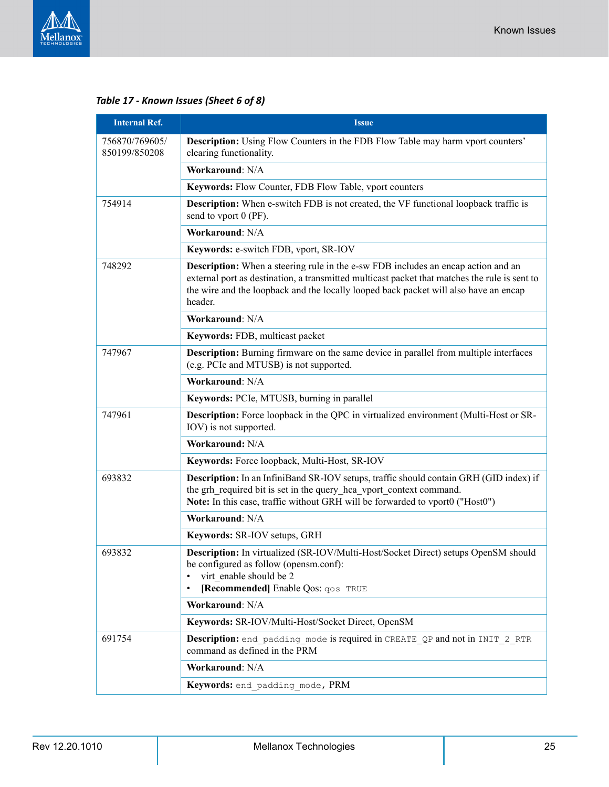

### *Table 17 - Known Issues (Sheet 6 of 8)*

| <b>Internal Ref.</b>            | <b>Issue</b>                                                                                                                                                                                                                                                                                 |
|---------------------------------|----------------------------------------------------------------------------------------------------------------------------------------------------------------------------------------------------------------------------------------------------------------------------------------------|
| 756870/769605/<br>850199/850208 | <b>Description:</b> Using Flow Counters in the FDB Flow Table may harm vport counters'<br>clearing functionality.                                                                                                                                                                            |
|                                 | Workaround: N/A                                                                                                                                                                                                                                                                              |
|                                 | Keywords: Flow Counter, FDB Flow Table, vport counters                                                                                                                                                                                                                                       |
| 754914                          | <b>Description:</b> When e-switch FDB is not created, the VF functional loopback traffic is<br>send to vport 0 (PF).                                                                                                                                                                         |
|                                 | Workaround: N/A                                                                                                                                                                                                                                                                              |
|                                 | Keywords: e-switch FDB, vport, SR-IOV                                                                                                                                                                                                                                                        |
| 748292                          | <b>Description:</b> When a steering rule in the e-sw FDB includes an encap action and an<br>external port as destination, a transmitted multicast packet that matches the rule is sent to<br>the wire and the loopback and the locally looped back packet will also have an encap<br>header. |
|                                 | Workaround: N/A                                                                                                                                                                                                                                                                              |
|                                 | Keywords: FDB, multicast packet                                                                                                                                                                                                                                                              |
| 747967                          | <b>Description:</b> Burning firmware on the same device in parallel from multiple interfaces<br>(e.g. PCIe and MTUSB) is not supported.                                                                                                                                                      |
|                                 | Workaround: N/A                                                                                                                                                                                                                                                                              |
|                                 | Keywords: PCIe, MTUSB, burning in parallel                                                                                                                                                                                                                                                   |
| 747961                          | Description: Force loopback in the QPC in virtualized environment (Multi-Host or SR-<br>IOV) is not supported.                                                                                                                                                                               |
|                                 | <b>Workaround: N/A</b>                                                                                                                                                                                                                                                                       |
|                                 | Keywords: Force loopback, Multi-Host, SR-IOV                                                                                                                                                                                                                                                 |
| 693832                          | Description: In an InfiniBand SR-IOV setups, traffic should contain GRH (GID index) if<br>the grh_required bit is set in the query_hca_vport_context command.<br>Note: In this case, traffic without GRH will be forwarded to vport0 ("Host0")                                               |
|                                 | Workaround: N/A                                                                                                                                                                                                                                                                              |
|                                 | Keywords: SR-IOV setups, GRH                                                                                                                                                                                                                                                                 |
| 693832                          | Description: In virtualized (SR-IOV/Multi-Host/Socket Direct) setups OpenSM should<br>be configured as follow (opensm.conf):<br>virt enable should be 2<br>٠<br>[Recommended] Enable Qos: qos TRUE<br>٠                                                                                      |
|                                 | Workaround: N/A                                                                                                                                                                                                                                                                              |
|                                 | Keywords: SR-IOV/Multi-Host/Socket Direct, OpenSM                                                                                                                                                                                                                                            |
| 691754                          | Description: end padding mode is required in CREATE QP and not in INIT 2 RTR<br>command as defined in the PRM                                                                                                                                                                                |
|                                 | Workaround: N/A                                                                                                                                                                                                                                                                              |
|                                 | Keywords: end_padding_mode, PRM                                                                                                                                                                                                                                                              |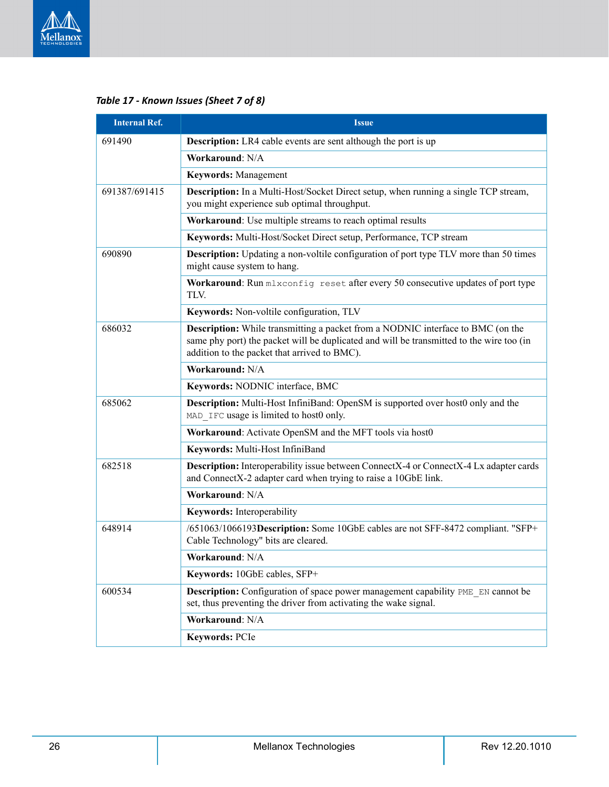

| <b>Internal Ref.</b> | Issue                                                                                                                                                                                                                              |
|----------------------|------------------------------------------------------------------------------------------------------------------------------------------------------------------------------------------------------------------------------------|
| 691490               | <b>Description:</b> LR4 cable events are sent although the port is up                                                                                                                                                              |
|                      | Workaround: N/A                                                                                                                                                                                                                    |
|                      | <b>Keywords: Management</b>                                                                                                                                                                                                        |
| 691387/691415        | <b>Description:</b> In a Multi-Host/Socket Direct setup, when running a single TCP stream,<br>you might experience sub optimal throughput.                                                                                         |
|                      | Workaround: Use multiple streams to reach optimal results                                                                                                                                                                          |
|                      | Keywords: Multi-Host/Socket Direct setup, Performance, TCP stream                                                                                                                                                                  |
| 690890               | <b>Description:</b> Updating a non-voltile configuration of port type TLV more than 50 times<br>might cause system to hang.                                                                                                        |
|                      | Workaround: Run mlxconfig reset after every 50 consecutive updates of port type<br>TLV.                                                                                                                                            |
|                      | Keywords: Non-voltile configuration, TLV                                                                                                                                                                                           |
| 686032               | <b>Description:</b> While transmitting a packet from a NODNIC interface to BMC (on the<br>same phy port) the packet will be duplicated and will be transmitted to the wire too (in<br>addition to the packet that arrived to BMC). |
|                      | Workaround: N/A                                                                                                                                                                                                                    |
|                      | Keywords: NODNIC interface, BMC                                                                                                                                                                                                    |
| 685062               | Description: Multi-Host InfiniBand: OpenSM is supported over host0 only and the<br>MAD IFC usage is limited to host0 only.                                                                                                         |
|                      | Workaround: Activate OpenSM and the MFT tools via host0                                                                                                                                                                            |
|                      | Keywords: Multi-Host InfiniBand                                                                                                                                                                                                    |
| 682518               | Description: Interoperability issue between ConnectX-4 or ConnectX-4 Lx adapter cards<br>and ConnectX-2 adapter card when trying to raise a 10GbE link.                                                                            |
|                      | Workaround: N/A                                                                                                                                                                                                                    |
|                      | Keywords: Interoperability                                                                                                                                                                                                         |
| 648914               | /651063/1066193Description: Some 10GbE cables are not SFF-8472 compliant. "SFP+<br>Cable Technology" bits are cleared.                                                                                                             |
|                      | <b>Workaround: N/A</b>                                                                                                                                                                                                             |
|                      | Keywords: 10GbE cables, SFP+                                                                                                                                                                                                       |
| 600534               | <b>Description:</b> Configuration of space power management capability PME EN cannot be<br>set, thus preventing the driver from activating the wake signal.                                                                        |
|                      | Workaround: N/A                                                                                                                                                                                                                    |
|                      | <b>Keywords: PCIe</b>                                                                                                                                                                                                              |

### *Table 17 - Known Issues (Sheet 7 of 8)*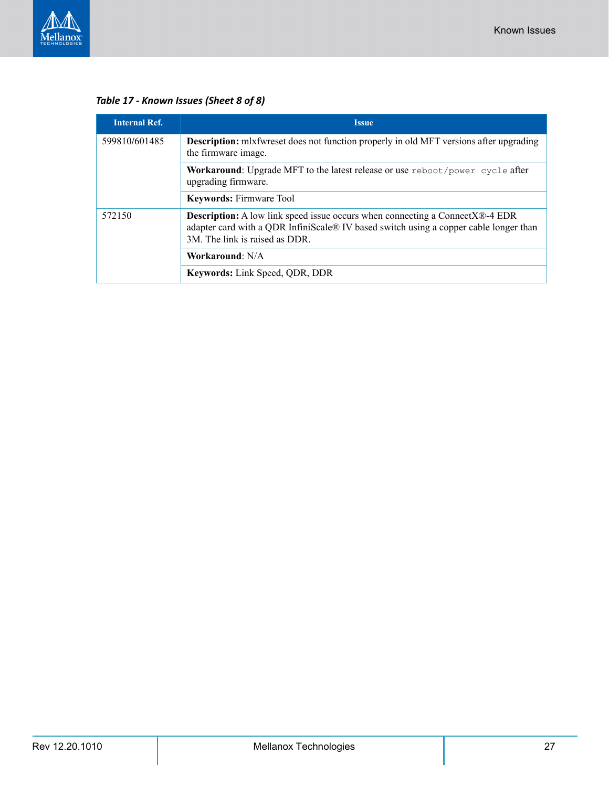

*Table 17 - Known Issues (Sheet 8 of 8)*

| <b>Internal Ref.</b> | <b>Issue</b>                                                                                                                                                                                                   |
|----------------------|----------------------------------------------------------------------------------------------------------------------------------------------------------------------------------------------------------------|
| 599810/601485        | <b>Description:</b> mlxfwreset does not function properly in old MFT versions after upgrading<br>the firmware image.                                                                                           |
|                      | Workaround: Upgrade MFT to the latest release or use reboot/power cycle after<br>upgrading firmware.                                                                                                           |
|                      | <b>Keywords: Firmware Tool</b>                                                                                                                                                                                 |
| 572150               | <b>Description:</b> A low link speed issue occurs when connecting a ConnectX®-4 EDR<br>adapter card with a QDR InfiniScale® IV based switch using a copper cable longer than<br>3M. The link is raised as DDR. |
|                      | Workaround: N/A                                                                                                                                                                                                |
|                      | <b>Keywords:</b> Link Speed, QDR, DDR                                                                                                                                                                          |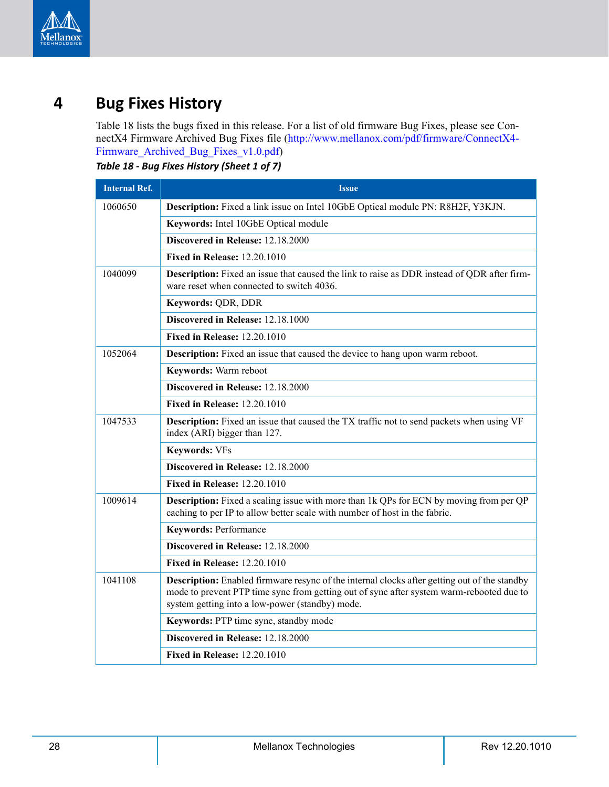

# <span id="page-27-0"></span>**4 Bug Fixes History**

<span id="page-27-2"></span>[Table](#page-27-1) 18 lists the bugs fixed in this release. For a list of old firmware Bug Fixes, please see ConnectX4 Firmware Archived Bug Fixes file (http://www.mellanox.com/pdf/firmware/ConnectX4- Firmware\_Archived\_Bug\_Fixes\_v1.0.pdf)

<span id="page-27-1"></span>*Table 18 - Bug Fixes History (Sheet 1 of 7)*

| <b>Internal Ref.</b> | <b>Issue</b>                                                                                                                                                                                                                                |
|----------------------|---------------------------------------------------------------------------------------------------------------------------------------------------------------------------------------------------------------------------------------------|
| 1060650              | Description: Fixed a link issue on Intel 10GbE Optical module PN: R8H2F, Y3KJN.                                                                                                                                                             |
|                      | Keywords: Intel 10GbE Optical module                                                                                                                                                                                                        |
|                      | Discovered in Release: 12.18.2000                                                                                                                                                                                                           |
|                      | <b>Fixed in Release: 12.20.1010</b>                                                                                                                                                                                                         |
| 1040099              | <b>Description:</b> Fixed an issue that caused the link to raise as DDR instead of QDR after firm-<br>ware reset when connected to switch 4036.                                                                                             |
|                      | Keywords: QDR, DDR                                                                                                                                                                                                                          |
|                      | Discovered in Release: 12.18.1000                                                                                                                                                                                                           |
|                      | <b>Fixed in Release: 12.20.1010</b>                                                                                                                                                                                                         |
| 1052064              | <b>Description:</b> Fixed an issue that caused the device to hang upon warm reboot.                                                                                                                                                         |
|                      | Keywords: Warm reboot                                                                                                                                                                                                                       |
|                      | Discovered in Release: 12.18.2000                                                                                                                                                                                                           |
|                      | <b>Fixed in Release: 12.20.1010</b>                                                                                                                                                                                                         |
| 1047533              | <b>Description:</b> Fixed an issue that caused the TX traffic not to send packets when using VF<br>index (ARI) bigger than 127.                                                                                                             |
|                      | <b>Keywords: VFs</b>                                                                                                                                                                                                                        |
|                      | Discovered in Release: 12.18.2000                                                                                                                                                                                                           |
|                      | <b>Fixed in Release: 12.20.1010</b>                                                                                                                                                                                                         |
| 1009614              | <b>Description:</b> Fixed a scaling issue with more than 1k QPs for ECN by moving from per QP<br>caching to per IP to allow better scale with number of host in the fabric.                                                                 |
|                      | <b>Keywords: Performance</b>                                                                                                                                                                                                                |
|                      | Discovered in Release: 12.18.2000                                                                                                                                                                                                           |
|                      | <b>Fixed in Release: 12.20.1010</b>                                                                                                                                                                                                         |
| 1041108              | Description: Enabled firmware resync of the internal clocks after getting out of the standby<br>mode to prevent PTP time sync from getting out of sync after system warm-rebooted due to<br>system getting into a low-power (standby) mode. |
|                      | Keywords: PTP time sync, standby mode                                                                                                                                                                                                       |
|                      | Discovered in Release: 12.18.2000                                                                                                                                                                                                           |
|                      | <b>Fixed in Release: 12.20.1010</b>                                                                                                                                                                                                         |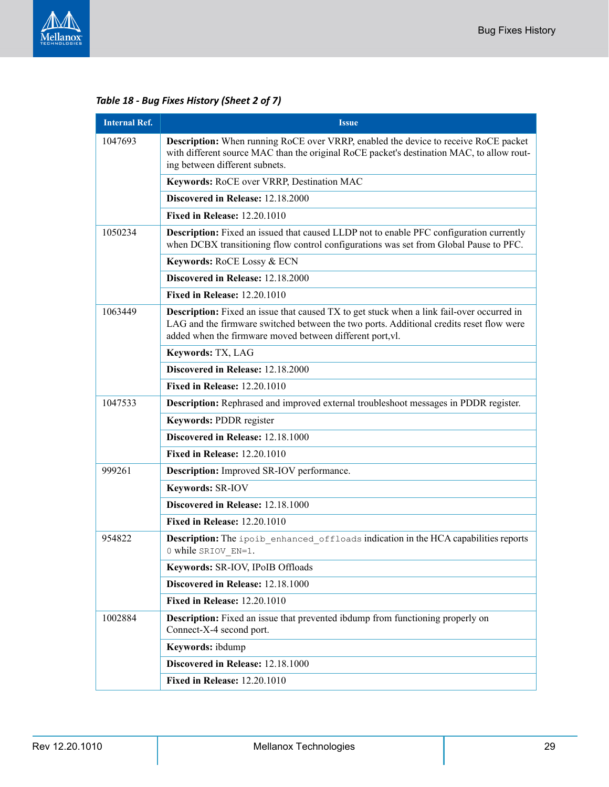

*Table 18 - Bug Fixes History (Sheet 2 of 7)*

| <b>Internal Ref.</b> | <b>Issue</b>                                                                                                                                                                                                                                             |  |
|----------------------|----------------------------------------------------------------------------------------------------------------------------------------------------------------------------------------------------------------------------------------------------------|--|
| 1047693              | Description: When running RoCE over VRRP, enabled the device to receive RoCE packet<br>with different source MAC than the original RoCE packet's destination MAC, to allow rout-<br>ing between different subnets.                                       |  |
|                      | Keywords: RoCE over VRRP, Destination MAC                                                                                                                                                                                                                |  |
|                      | Discovered in Release: 12.18.2000                                                                                                                                                                                                                        |  |
|                      | <b>Fixed in Release: 12.20.1010</b>                                                                                                                                                                                                                      |  |
| 1050234              | <b>Description:</b> Fixed an issued that caused LLDP not to enable PFC configuration currently<br>when DCBX transitioning flow control configurations was set from Global Pause to PFC.                                                                  |  |
|                      | Keywords: RoCE Lossy & ECN                                                                                                                                                                                                                               |  |
|                      | Discovered in Release: 12.18.2000                                                                                                                                                                                                                        |  |
|                      | <b>Fixed in Release: 12.20.1010</b>                                                                                                                                                                                                                      |  |
| 1063449              | <b>Description:</b> Fixed an issue that caused TX to get stuck when a link fail-over occurred in<br>LAG and the firmware switched between the two ports. Additional credits reset flow were<br>added when the firmware moved between different port, vl. |  |
|                      | Keywords: TX, LAG                                                                                                                                                                                                                                        |  |
|                      | Discovered in Release: 12.18.2000                                                                                                                                                                                                                        |  |
|                      | <b>Fixed in Release: 12.20.1010</b>                                                                                                                                                                                                                      |  |
| 1047533              | Description: Rephrased and improved external troubleshoot messages in PDDR register.                                                                                                                                                                     |  |
|                      | Keywords: PDDR register                                                                                                                                                                                                                                  |  |
|                      | Discovered in Release: 12.18.1000                                                                                                                                                                                                                        |  |
|                      | <b>Fixed in Release: 12.20.1010</b>                                                                                                                                                                                                                      |  |
| 999261               | <b>Description:</b> Improved SR-IOV performance.                                                                                                                                                                                                         |  |
|                      | Keywords: SR-IOV                                                                                                                                                                                                                                         |  |
|                      | Discovered in Release: 12.18.1000                                                                                                                                                                                                                        |  |
|                      | <b>Fixed in Release: 12.20.1010</b>                                                                                                                                                                                                                      |  |
| 954822               | Description: The ipoib enhanced offloads indication in the HCA capabilities reports<br>0 while SRIOV EN=1.                                                                                                                                               |  |
|                      | Keywords: SR-IOV, IPoIB Offloads                                                                                                                                                                                                                         |  |
|                      | Discovered in Release: 12.18.1000                                                                                                                                                                                                                        |  |
|                      | <b>Fixed in Release: 12.20.1010</b>                                                                                                                                                                                                                      |  |
| 1002884              | <b>Description:</b> Fixed an issue that prevented ibdump from functioning properly on<br>Connect-X-4 second port.                                                                                                                                        |  |
|                      | Keywords: ibdump                                                                                                                                                                                                                                         |  |
|                      | Discovered in Release: 12.18.1000                                                                                                                                                                                                                        |  |
|                      | <b>Fixed in Release: 12.20.1010</b>                                                                                                                                                                                                                      |  |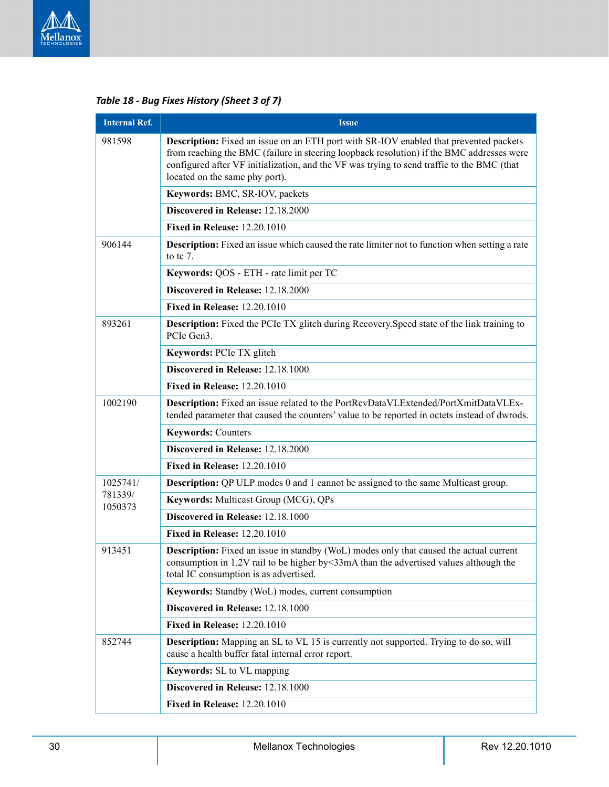

*Table 18 - Bug Fixes History (Sheet 3 of 7)*

| <b>Internal Ref.</b> | <b>Issue</b>                                                                                                                                                                                                                                                                                                       |
|----------------------|--------------------------------------------------------------------------------------------------------------------------------------------------------------------------------------------------------------------------------------------------------------------------------------------------------------------|
| 981598               | Description: Fixed an issue on an ETH port with SR-IOV enabled that prevented packets<br>from reaching the BMC (failure in steering loopback resolution) if the BMC addresses were<br>configured after VF initialization, and the VF was trying to send traffic to the BMC (that<br>located on the same phy port). |
|                      | Keywords: BMC, SR-IOV, packets                                                                                                                                                                                                                                                                                     |
|                      | Discovered in Release: 12.18.2000                                                                                                                                                                                                                                                                                  |
|                      | <b>Fixed in Release: 12.20.1010</b>                                                                                                                                                                                                                                                                                |
| 906144               | <b>Description:</b> Fixed an issue which caused the rate limiter not to function when setting a rate<br>to tc $7.$                                                                                                                                                                                                 |
|                      | Keywords: QOS - ETH - rate limit per TC                                                                                                                                                                                                                                                                            |
|                      | Discovered in Release: 12.18.2000                                                                                                                                                                                                                                                                                  |
|                      | <b>Fixed in Release: 12.20.1010</b>                                                                                                                                                                                                                                                                                |
| 893261               | <b>Description:</b> Fixed the PCIe TX glitch during Recovery. Speed state of the link training to<br>PCIe Gen3.                                                                                                                                                                                                    |
|                      | Keywords: PCIe TX glitch                                                                                                                                                                                                                                                                                           |
|                      | Discovered in Release: 12.18.1000                                                                                                                                                                                                                                                                                  |
|                      | <b>Fixed in Release: 12.20.1010</b>                                                                                                                                                                                                                                                                                |
| 1002190              | Description: Fixed an issue related to the PortRcvDataVLExtended/PortXmitDataVLEx-<br>tended parameter that caused the counters' value to be reported in octets instead of dwrods.                                                                                                                                 |
|                      | <b>Keywords: Counters</b>                                                                                                                                                                                                                                                                                          |
|                      | Discovered in Release: 12.18.2000                                                                                                                                                                                                                                                                                  |
|                      | <b>Fixed in Release: 12.20.1010</b>                                                                                                                                                                                                                                                                                |
| 1025741/             | <b>Description:</b> QP ULP modes 0 and 1 cannot be assigned to the same Multicast group.                                                                                                                                                                                                                           |
| 781339/<br>1050373   | Keywords: Multicast Group (MCG), QPs                                                                                                                                                                                                                                                                               |
|                      | Discovered in Release: 12.18.1000                                                                                                                                                                                                                                                                                  |
|                      | <b>Fixed in Release: 12.20.1010</b>                                                                                                                                                                                                                                                                                |
| 913451               | <b>Description:</b> Fixed an issue in standby (WoL) modes only that caused the actual current<br>consumption in 1.2V rail to be higher by < 33mA than the advertised values although the<br>total IC consumption is as advertised.                                                                                 |
|                      | Keywords: Standby (WoL) modes, current consumption                                                                                                                                                                                                                                                                 |
|                      | Discovered in Release: 12.18.1000                                                                                                                                                                                                                                                                                  |
|                      | <b>Fixed in Release: 12.20.1010</b>                                                                                                                                                                                                                                                                                |
| 852744               | Description: Mapping an SL to VL 15 is currently not supported. Trying to do so, will<br>cause a health buffer fatal internal error report.                                                                                                                                                                        |
|                      | Keywords: SL to VL mapping                                                                                                                                                                                                                                                                                         |
|                      | Discovered in Release: 12.18.1000                                                                                                                                                                                                                                                                                  |
|                      | <b>Fixed in Release: 12.20.1010</b>                                                                                                                                                                                                                                                                                |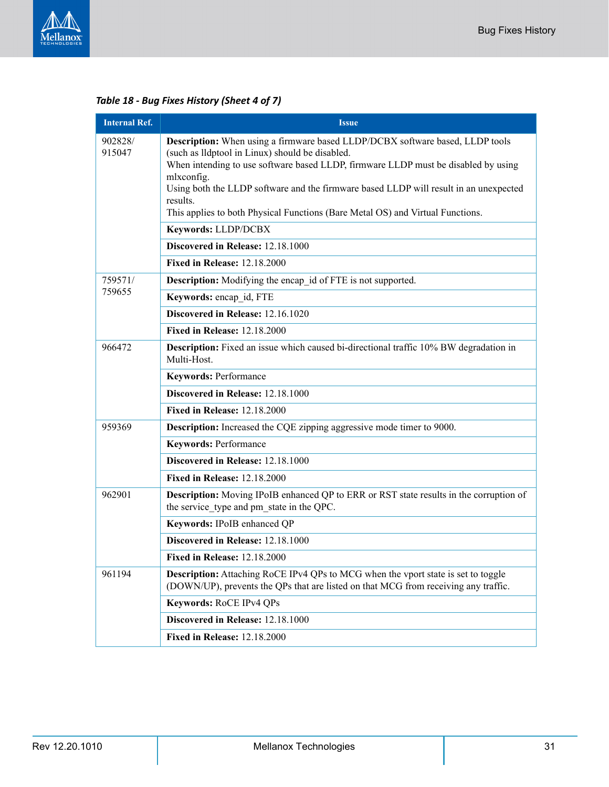

*Table 18 - Bug Fixes History (Sheet 4 of 7)*

| <b>Internal Ref.</b> | <b>Issue</b>                                                                                                                                                                                                                                                                                                                                                                                                                |
|----------------------|-----------------------------------------------------------------------------------------------------------------------------------------------------------------------------------------------------------------------------------------------------------------------------------------------------------------------------------------------------------------------------------------------------------------------------|
| 902828/<br>915047    | Description: When using a firmware based LLDP/DCBX software based, LLDP tools<br>(such as lldptool in Linux) should be disabled.<br>When intending to use software based LLDP, firmware LLDP must be disabled by using<br>mlxconfig.<br>Using both the LLDP software and the firmware based LLDP will result in an unexpected<br>results.<br>This applies to both Physical Functions (Bare Metal OS) and Virtual Functions. |
|                      | Keywords: LLDP/DCBX                                                                                                                                                                                                                                                                                                                                                                                                         |
|                      | Discovered in Release: 12.18.1000                                                                                                                                                                                                                                                                                                                                                                                           |
|                      | <b>Fixed in Release: 12.18.2000</b>                                                                                                                                                                                                                                                                                                                                                                                         |
| 759571/              | <b>Description:</b> Modifying the encap id of FTE is not supported.                                                                                                                                                                                                                                                                                                                                                         |
| 759655               | Keywords: encap id, FTE                                                                                                                                                                                                                                                                                                                                                                                                     |
|                      | Discovered in Release: 12.16.1020                                                                                                                                                                                                                                                                                                                                                                                           |
|                      | <b>Fixed in Release: 12.18.2000</b>                                                                                                                                                                                                                                                                                                                                                                                         |
| 966472               | Description: Fixed an issue which caused bi-directional traffic 10% BW degradation in<br>Multi-Host.                                                                                                                                                                                                                                                                                                                        |
|                      | <b>Keywords: Performance</b>                                                                                                                                                                                                                                                                                                                                                                                                |
|                      | Discovered in Release: 12.18.1000                                                                                                                                                                                                                                                                                                                                                                                           |
|                      | <b>Fixed in Release: 12.18.2000</b>                                                                                                                                                                                                                                                                                                                                                                                         |
| 959369               | <b>Description:</b> Increased the CQE zipping aggressive mode timer to 9000.                                                                                                                                                                                                                                                                                                                                                |
|                      | <b>Keywords: Performance</b>                                                                                                                                                                                                                                                                                                                                                                                                |
|                      | Discovered in Release: 12.18.1000                                                                                                                                                                                                                                                                                                                                                                                           |
|                      | <b>Fixed in Release: 12.18.2000</b>                                                                                                                                                                                                                                                                                                                                                                                         |
| 962901               | <b>Description:</b> Moving IPoIB enhanced QP to ERR or RST state results in the corruption of<br>the service type and pm state in the QPC.                                                                                                                                                                                                                                                                                  |
|                      | Keywords: IPoIB enhanced QP                                                                                                                                                                                                                                                                                                                                                                                                 |
|                      | Discovered in Release: 12.18.1000                                                                                                                                                                                                                                                                                                                                                                                           |
|                      | <b>Fixed in Release: 12.18.2000</b>                                                                                                                                                                                                                                                                                                                                                                                         |
| 961194               | <b>Description:</b> Attaching RoCE IPv4 QPs to MCG when the vport state is set to toggle<br>(DOWN/UP), prevents the QPs that are listed on that MCG from receiving any traffic.                                                                                                                                                                                                                                             |
|                      | Keywords: RoCE IPv4 QPs                                                                                                                                                                                                                                                                                                                                                                                                     |
|                      |                                                                                                                                                                                                                                                                                                                                                                                                                             |
|                      | Discovered in Release: 12.18.1000                                                                                                                                                                                                                                                                                                                                                                                           |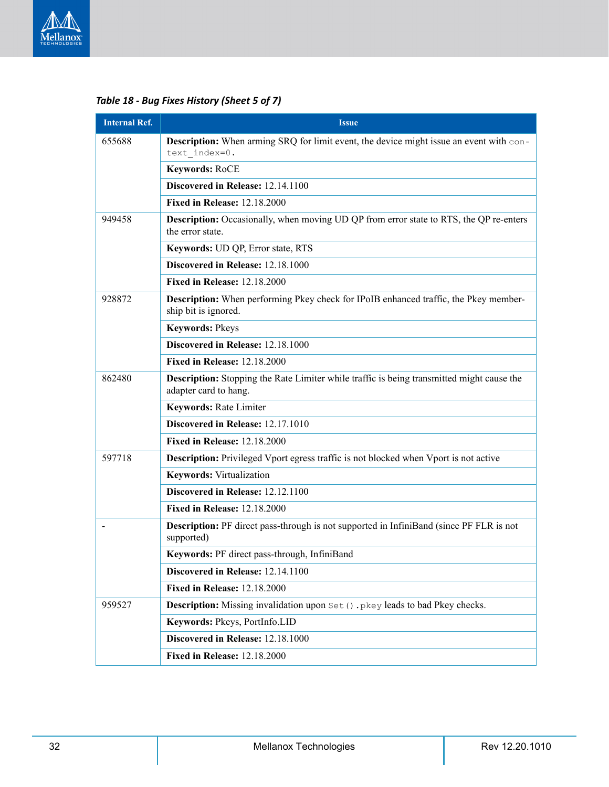

*Table 18 - Bug Fixes History (Sheet 5 of 7)*

| <b>Internal Ref.</b> | <b>Issue</b>                                                                                                       |  |
|----------------------|--------------------------------------------------------------------------------------------------------------------|--|
| 655688               | <b>Description:</b> When arming SRQ for limit event, the device might issue an event with con-<br>text index=0.    |  |
|                      | Keywords: RoCE                                                                                                     |  |
|                      | Discovered in Release: 12.14.1100                                                                                  |  |
|                      | <b>Fixed in Release: 12.18.2000</b>                                                                                |  |
| 949458               | <b>Description:</b> Occasionally, when moving UD QP from error state to RTS, the QP re-enters<br>the error state.  |  |
|                      | Keywords: UD QP, Error state, RTS                                                                                  |  |
|                      | Discovered in Release: 12.18.1000                                                                                  |  |
|                      | <b>Fixed in Release: 12.18.2000</b>                                                                                |  |
| 928872               | Description: When performing Pkey check for IPoIB enhanced traffic, the Pkey member-<br>ship bit is ignored.       |  |
|                      | <b>Keywords: Pkeys</b>                                                                                             |  |
|                      | Discovered in Release: 12.18.1000                                                                                  |  |
|                      | <b>Fixed in Release: 12.18.2000</b>                                                                                |  |
| 862480               | Description: Stopping the Rate Limiter while traffic is being transmitted might cause the<br>adapter card to hang. |  |
|                      | <b>Keywords: Rate Limiter</b>                                                                                      |  |
|                      | Discovered in Release: 12.17.1010                                                                                  |  |
|                      | <b>Fixed in Release: 12.18.2000</b>                                                                                |  |
| 597718               | <b>Description:</b> Privileged Vport egress traffic is not blocked when Vport is not active                        |  |
|                      | <b>Keywords:</b> Virtualization                                                                                    |  |
|                      | Discovered in Release: 12.12.1100                                                                                  |  |
|                      | <b>Fixed in Release: 12.18.2000</b>                                                                                |  |
|                      | Description: PF direct pass-through is not supported in InfiniBand (since PF FLR is not<br>supported)              |  |
|                      | Keywords: PF direct pass-through, InfiniBand                                                                       |  |
|                      | Discovered in Release: 12.14.1100                                                                                  |  |
|                      | <b>Fixed in Release: 12.18.2000</b>                                                                                |  |
| 959527               | <b>Description:</b> Missing invalidation upon Set () . pkey leads to bad Pkey checks.                              |  |
|                      | Keywords: Pkeys, PortInfo.LID                                                                                      |  |
|                      | Discovered in Release: 12.18.1000                                                                                  |  |
|                      | <b>Fixed in Release: 12.18.2000</b>                                                                                |  |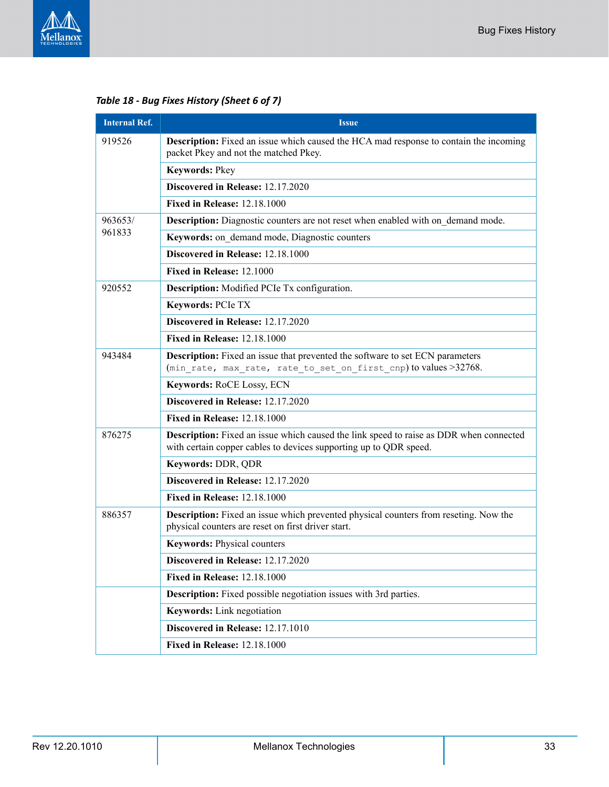

*Table 18 - Bug Fixes History (Sheet 6 of 7)*

| <b>Internal Ref.</b> | <b>Issue</b>                                                                                                                                                |  |
|----------------------|-------------------------------------------------------------------------------------------------------------------------------------------------------------|--|
| 919526               | <b>Description:</b> Fixed an issue which caused the HCA mad response to contain the incoming<br>packet Pkey and not the matched Pkey.                       |  |
|                      | Keywords: Pkey                                                                                                                                              |  |
|                      | Discovered in Release: 12.17.2020                                                                                                                           |  |
|                      | <b>Fixed in Release: 12.18.1000</b>                                                                                                                         |  |
| 963653/              | <b>Description:</b> Diagnostic counters are not reset when enabled with on demand mode.                                                                     |  |
| 961833               | Keywords: on demand mode, Diagnostic counters                                                                                                               |  |
|                      | Discovered in Release: 12.18.1000                                                                                                                           |  |
|                      | Fixed in Release: 12.1000                                                                                                                                   |  |
| 920552               | <b>Description:</b> Modified PCIe Tx configuration.                                                                                                         |  |
|                      | Keywords: PCIe TX                                                                                                                                           |  |
|                      | Discovered in Release: 12.17.2020                                                                                                                           |  |
|                      | <b>Fixed in Release: 12.18.1000</b>                                                                                                                         |  |
| 943484               | <b>Description:</b> Fixed an issue that prevented the software to set ECN parameters<br>(min rate, max rate, rate to set on first cnp) to values >32768.    |  |
|                      | <b>Keywords: RoCE Lossy, ECN</b>                                                                                                                            |  |
|                      | Discovered in Release: 12.17.2020                                                                                                                           |  |
|                      | <b>Fixed in Release: 12.18.1000</b>                                                                                                                         |  |
| 876275               | Description: Fixed an issue which caused the link speed to raise as DDR when connected<br>with certain copper cables to devices supporting up to QDR speed. |  |
|                      | Keywords: DDR, QDR                                                                                                                                          |  |
|                      | Discovered in Release: 12.17.2020                                                                                                                           |  |
|                      | <b>Fixed in Release: 12.18.1000</b>                                                                                                                         |  |
| 886357               | <b>Description:</b> Fixed an issue which prevented physical counters from reseting. Now the<br>physical counters are reset on first driver start.           |  |
|                      | <b>Keywords: Physical counters</b>                                                                                                                          |  |
|                      | Discovered in Release: 12.17.2020                                                                                                                           |  |
|                      | <b>Fixed in Release: 12.18.1000</b>                                                                                                                         |  |
|                      | <b>Description:</b> Fixed possible negotiation issues with 3rd parties.                                                                                     |  |
|                      | Keywords: Link negotiation                                                                                                                                  |  |
|                      | Discovered in Release: 12.17.1010                                                                                                                           |  |
|                      | <b>Fixed in Release: 12.18.1000</b>                                                                                                                         |  |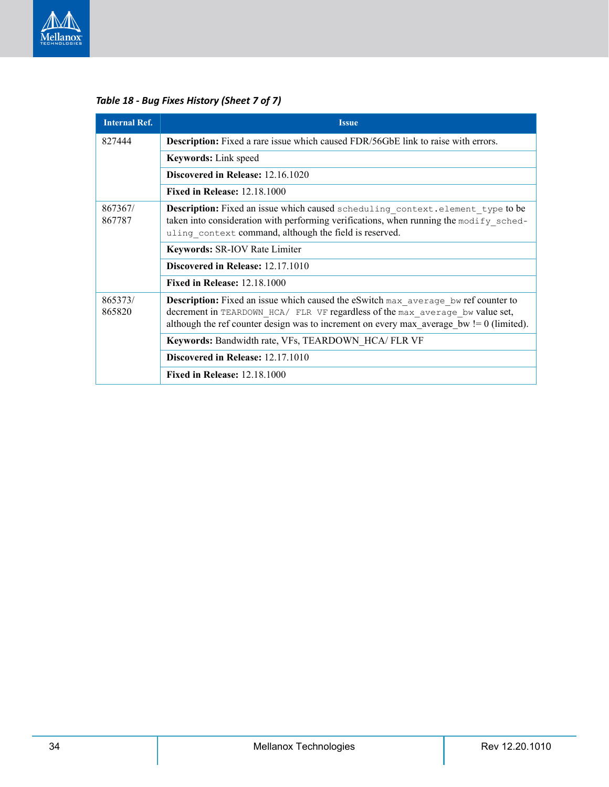

827444 **Description:** Fixed a rare issue which caused FDR/56GbE link to raise with errors. **Keywords:** Link speed **Discovered in Release:** 12.16.1020 **Fixed in Release:** 12.18.1000 867367/ 867787 **Description:** Fixed an issue which caused scheduling context.element type to be taken into consideration with performing verifications, when running the modify scheduling context command, although the field is reserved. **Keywords:** SR-IOV Rate Limiter **Discovered in Release:** 12.17.1010 **Fixed in Release:** 12.18.1000 865373/ 865820 **Description:** Fixed an issue which caused the eSwitch max\_average\_bw ref counter to decrement in TEARDOWN\_HCA/ FLR VF regardless of the max\_average\_bw value set, although the ref counter design was to increment on every max average  $bw = 0$  (limited). **Keywords:** Bandwidth rate, VFs, TEARDOWN\_HCA/ FLR VF **Discovered in Release:** 12.17.1010 **Fixed in Release:** 12.18.1000 **Internal Ref. Issue** 

*Table 18 - Bug Fixes History (Sheet 7 of 7)*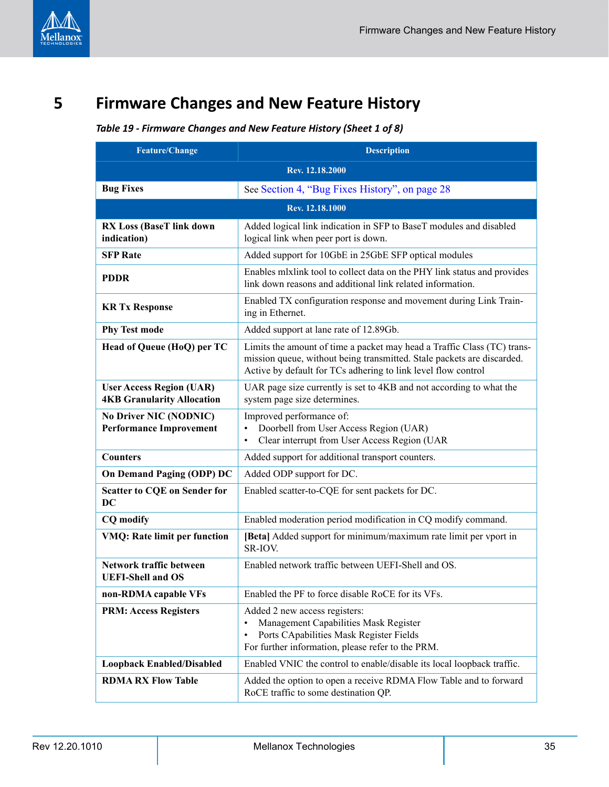<span id="page-34-1"></span><span id="page-34-0"></span>**5 Firmware Changes and New Feature History**

### *Table 19 - Firmware Changes and New Feature History (Sheet 1 of 8)*

| <b>Feature/Change</b>                                                | <b>Description</b>                                                                                                                                                                                                 |
|----------------------------------------------------------------------|--------------------------------------------------------------------------------------------------------------------------------------------------------------------------------------------------------------------|
|                                                                      | Rev. 12.18.2000                                                                                                                                                                                                    |
| <b>Bug Fixes</b>                                                     | See Section 4, "Bug Fixes History", on page 28                                                                                                                                                                     |
|                                                                      | Rev. 12.18.1000                                                                                                                                                                                                    |
| <b>RX Loss (BaseT link down</b><br>indication)                       | Added logical link indication in SFP to BaseT modules and disabled<br>logical link when peer port is down.                                                                                                         |
| <b>SFP Rate</b>                                                      | Added support for 10GbE in 25GbE SFP optical modules                                                                                                                                                               |
| <b>PDDR</b>                                                          | Enables mixlink tool to collect data on the PHY link status and provides<br>link down reasons and additional link related information.                                                                             |
| <b>KR Tx Response</b>                                                | Enabled TX configuration response and movement during Link Train-<br>ing in Ethernet.                                                                                                                              |
| <b>Phy Test mode</b>                                                 | Added support at lane rate of 12.89Gb.                                                                                                                                                                             |
| Head of Queue (HoQ) per TC                                           | Limits the amount of time a packet may head a Traffic Class (TC) trans-<br>mission queue, without being transmitted. Stale packets are discarded.<br>Active by default for TCs adhering to link level flow control |
| <b>User Access Region (UAR)</b><br><b>4KB Granularity Allocation</b> | UAR page size currently is set to 4KB and not according to what the<br>system page size determines.                                                                                                                |
| <b>No Driver NIC (NODNIC)</b><br><b>Performance Improvement</b>      | Improved performance of:<br>Doorbell from User Access Region (UAR)<br>$\bullet$<br>Clear interrupt from User Access Region (UAR<br>$\bullet$                                                                       |
| <b>Counters</b>                                                      | Added support for additional transport counters.                                                                                                                                                                   |
| On Demand Paging (ODP) DC                                            | Added ODP support for DC.                                                                                                                                                                                          |
| <b>Scatter to CQE on Sender for</b><br>DC                            | Enabled scatter-to-CQE for sent packets for DC.                                                                                                                                                                    |
| <b>CQ</b> modify                                                     | Enabled moderation period modification in CQ modify command.                                                                                                                                                       |
| <b>VMQ: Rate limit per function</b>                                  | [Beta] Added support for minimum/maximum rate limit per vport in<br>SR-IOV.                                                                                                                                        |
| Network traffic between<br><b>UEFI-Shell and OS</b>                  | Enabled network traffic between UEFI-Shell and OS.                                                                                                                                                                 |
| non-RDMA capable VFs                                                 | Enabled the PF to force disable RoCE for its VFs.                                                                                                                                                                  |
| <b>PRM: Access Registers</b>                                         | Added 2 new access registers:<br>Management Capabilities Mask Register<br>$\bullet$<br>Ports CApabilities Mask Register Fields<br>$\bullet$<br>For further information, please refer to the PRM.                   |
| <b>Loopback Enabled/Disabled</b>                                     | Enabled VNIC the control to enable/disable its local loopback traffic.                                                                                                                                             |
| <b>RDMA RX Flow Table</b>                                            | Added the option to open a receive RDMA Flow Table and to forward<br>RoCE traffic to some destination QP.                                                                                                          |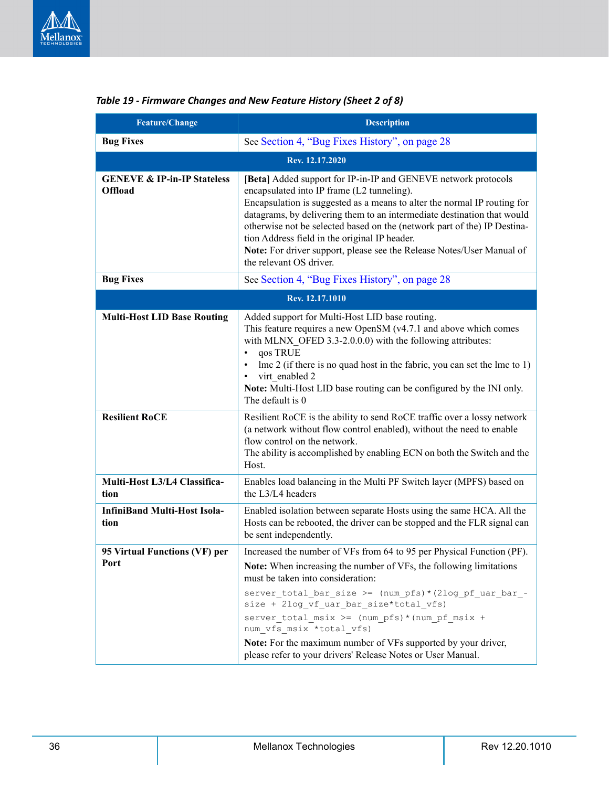| <b>Feature/Change</b>                                    | <b>Description</b>                                                                                                                                                                                                                                                                                                                                                                                                                                                                                   |
|----------------------------------------------------------|------------------------------------------------------------------------------------------------------------------------------------------------------------------------------------------------------------------------------------------------------------------------------------------------------------------------------------------------------------------------------------------------------------------------------------------------------------------------------------------------------|
| <b>Bug Fixes</b>                                         | See Section 4, "Bug Fixes History", on page 28                                                                                                                                                                                                                                                                                                                                                                                                                                                       |
|                                                          | Rev. 12.17.2020                                                                                                                                                                                                                                                                                                                                                                                                                                                                                      |
| <b>GENEVE &amp; IP-in-IP Stateless</b><br><b>Offload</b> | [Beta] Added support for IP-in-IP and GENEVE network protocols<br>encapsulated into IP frame (L2 tunneling).<br>Encapsulation is suggested as a means to alter the normal IP routing for<br>datagrams, by delivering them to an intermediate destination that would<br>otherwise not be selected based on the (network part of the) IP Destina-<br>tion Address field in the original IP header.<br>Note: For driver support, please see the Release Notes/User Manual of<br>the relevant OS driver. |
| <b>Bug Fixes</b>                                         | See Section 4, "Bug Fixes History", on page 28                                                                                                                                                                                                                                                                                                                                                                                                                                                       |
|                                                          | Rev. 12.17.1010                                                                                                                                                                                                                                                                                                                                                                                                                                                                                      |
| <b>Multi-Host LID Base Routing</b>                       | Added support for Multi-Host LID base routing.<br>This feature requires a new OpenSM (v4.7.1 and above which comes<br>with MLNX OFED $3.3\n-2.0.0.0$ ) with the following attributes:<br>qos TRUE<br>$\bullet$<br>$\text{Im}$ 2 (if there is no quad host in the fabric, you can set the $\text{Im}$ to 1)<br>$\bullet$<br>virt enabled 2<br>$\bullet$<br>Note: Multi-Host LID base routing can be configured by the INI only.<br>The default is 0                                                   |
| <b>Resilient RoCE</b>                                    | Resilient RoCE is the ability to send RoCE traffic over a lossy network<br>(a network without flow control enabled), without the need to enable<br>flow control on the network.<br>The ability is accomplished by enabling ECN on both the Switch and the<br>Host.                                                                                                                                                                                                                                   |
| Multi-Host L3/L4 Classifica-<br>tion                     | Enables load balancing in the Multi PF Switch layer (MPFS) based on<br>the L3/L4 headers                                                                                                                                                                                                                                                                                                                                                                                                             |
| <b>InfiniBand Multi-Host Isola-</b><br>tion              | Enabled isolation between separate Hosts using the same HCA. All the<br>Hosts can be rebooted, the driver can be stopped and the FLR signal can<br>be sent independently.                                                                                                                                                                                                                                                                                                                            |
| 95 Virtual Functions (VF) per<br>rort                    | Increased the number of VFs from 64 to 95 per Physical Function (PF).<br>Note: When increasing the number of VFs, the following limitations<br>must be taken into consideration:<br>server total bar size >= (num pfs) * (2log pf uar bar -<br>size + 2log vf uar bar size*total vfs)<br>server_total_msix >= (num_pfs) * (num_pf_msix +<br>num vfs_msix *total_vfs)<br>Note: For the maximum number of VFs supported by your driver,<br>please refer to your drivers' Release Notes or User Manual. |

### *Table 19 - Firmware Changes and New Feature History (Sheet 2 of 8)*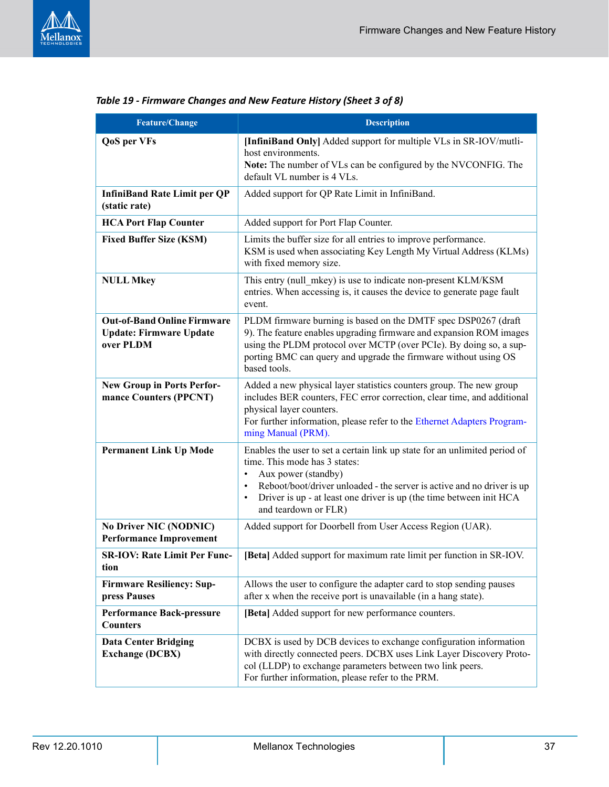

| <b>Feature/Change</b>                                                             | <b>Description</b>                                                                                                                                                                                                                                                                                                                                 |
|-----------------------------------------------------------------------------------|----------------------------------------------------------------------------------------------------------------------------------------------------------------------------------------------------------------------------------------------------------------------------------------------------------------------------------------------------|
| <b>QoS</b> per VFs                                                                | [InfiniBand Only] Added support for multiple VLs in SR-IOV/mutli-<br>host environments.<br>Note: The number of VLs can be configured by the NVCONFIG. The<br>default VL number is 4 VLs.                                                                                                                                                           |
| <b>InfiniBand Rate Limit per QP</b><br>(static rate)                              | Added support for QP Rate Limit in InfiniBand.                                                                                                                                                                                                                                                                                                     |
| <b>HCA Port Flap Counter</b>                                                      | Added support for Port Flap Counter.                                                                                                                                                                                                                                                                                                               |
| <b>Fixed Buffer Size (KSM)</b>                                                    | Limits the buffer size for all entries to improve performance.<br>KSM is used when associating Key Length My Virtual Address (KLMs)<br>with fixed memory size.                                                                                                                                                                                     |
| <b>NULL Mkey</b>                                                                  | This entry (null mkey) is use to indicate non-present KLM/KSM<br>entries. When accessing is, it causes the device to generate page fault<br>event.                                                                                                                                                                                                 |
| <b>Out-of-Band Online Firmware</b><br><b>Update: Firmware Update</b><br>over PLDM | PLDM firmware burning is based on the DMTF spec DSP0267 (draft<br>9). The feature enables upgrading firmware and expansion ROM images<br>using the PLDM protocol over MCTP (over PCIe). By doing so, a sup-<br>porting BMC can query and upgrade the firmware without using OS<br>based tools.                                                     |
| <b>New Group in Ports Perfor-</b><br>mance Counters (PPCNT)                       | Added a new physical layer statistics counters group. The new group<br>includes BER counters, FEC error correction, clear time, and additional<br>physical layer counters.<br>For further information, please refer to the Ethernet Adapters Program-<br>ming Manual (PRM).                                                                        |
| <b>Permanent Link Up Mode</b>                                                     | Enables the user to set a certain link up state for an unlimited period of<br>time. This mode has 3 states:<br>Aux power (standby)<br>$\bullet$<br>Reboot/boot/driver unloaded - the server is active and no driver is up<br>$\bullet$<br>Driver is up - at least one driver is up (the time between init HCA<br>$\bullet$<br>and teardown or FLR) |
| <b>No Driver NIC (NODNIC)</b><br><b>Performance Improvement</b>                   | Added support for Doorbell from User Access Region (UAR).                                                                                                                                                                                                                                                                                          |
| <b>SR-IOV: Rate Limit Per Func-</b><br>tion                                       | [Beta] Added support for maximum rate limit per function in SR-IOV.                                                                                                                                                                                                                                                                                |
| <b>Firmware Resiliency: Sup-</b><br>press Pauses                                  | Allows the user to configure the adapter card to stop sending pauses<br>after x when the receive port is unavailable (in a hang state).                                                                                                                                                                                                            |
| <b>Performance Back-pressure</b><br><b>Counters</b>                               | [Beta] Added support for new performance counters.                                                                                                                                                                                                                                                                                                 |
| <b>Data Center Bridging</b><br><b>Exchange (DCBX)</b>                             | DCBX is used by DCB devices to exchange configuration information<br>with directly connected peers. DCBX uses Link Layer Discovery Proto-<br>col (LLDP) to exchange parameters between two link peers.<br>For further information, please refer to the PRM.                                                                                        |

### *Table 19 - Firmware Changes and New Feature History (Sheet 3 of 8)*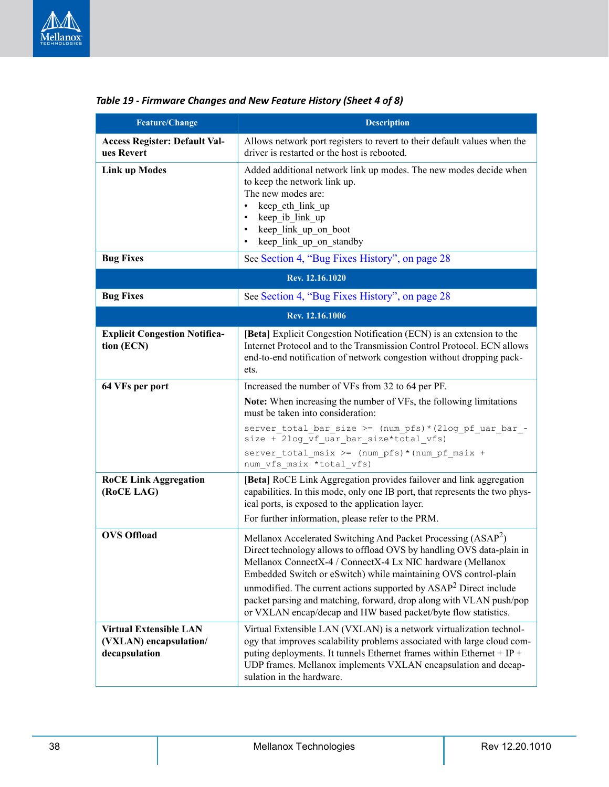

| <b>Feature/Change</b>                                                    | <b>Description</b>                                                                                                                                                                                                                                                                                                                                                                                                                                                                                  |  |
|--------------------------------------------------------------------------|-----------------------------------------------------------------------------------------------------------------------------------------------------------------------------------------------------------------------------------------------------------------------------------------------------------------------------------------------------------------------------------------------------------------------------------------------------------------------------------------------------|--|
| <b>Access Register: Default Val-</b><br>ues Revert                       | Allows network port registers to revert to their default values when the<br>driver is restarted or the host is rebooted.                                                                                                                                                                                                                                                                                                                                                                            |  |
| <b>Link up Modes</b>                                                     | Added additional network link up modes. The new modes decide when<br>to keep the network link up.<br>The new modes are:<br>keep_eth_link_up<br>$\bullet$<br>keep ib link up<br>$\bullet$<br>keep link up on boot<br>$\bullet$<br>keep link up on standby<br>$\bullet$                                                                                                                                                                                                                               |  |
| <b>Bug Fixes</b>                                                         | See Section 4, "Bug Fixes History", on page 28                                                                                                                                                                                                                                                                                                                                                                                                                                                      |  |
|                                                                          | Rev. 12.16.1020                                                                                                                                                                                                                                                                                                                                                                                                                                                                                     |  |
| <b>Bug Fixes</b>                                                         | See Section 4, "Bug Fixes History", on page 28                                                                                                                                                                                                                                                                                                                                                                                                                                                      |  |
|                                                                          | Rev. 12.16.1006                                                                                                                                                                                                                                                                                                                                                                                                                                                                                     |  |
| <b>Explicit Congestion Notifica-</b><br>tion (ECN)                       | [Beta] Explicit Congestion Notification (ECN) is an extension to the<br>Internet Protocol and to the Transmission Control Protocol. ECN allows<br>end-to-end notification of network congestion without dropping pack-<br>ets.                                                                                                                                                                                                                                                                      |  |
| 64 VFs per port                                                          | Increased the number of VFs from 32 to 64 per PF.                                                                                                                                                                                                                                                                                                                                                                                                                                                   |  |
|                                                                          | Note: When increasing the number of VFs, the following limitations<br>must be taken into consideration:                                                                                                                                                                                                                                                                                                                                                                                             |  |
|                                                                          | server total bar size >= (num pfs) * (2log pf uar bar -<br>size + 2log_vf_uar_bar_size*total_vfs)                                                                                                                                                                                                                                                                                                                                                                                                   |  |
|                                                                          | server total msix >= (num pfs) * (num pf msix +<br>num vfs msix *total vfs)                                                                                                                                                                                                                                                                                                                                                                                                                         |  |
| <b>RoCE Link Aggregation</b><br>(RoCE LAG)                               | [Beta] RoCE Link Aggregation provides failover and link aggregation<br>capabilities. In this mode, only one IB port, that represents the two phys-<br>ical ports, is exposed to the application layer.<br>For further information, please refer to the PRM.                                                                                                                                                                                                                                         |  |
| <b>OVS Offload</b>                                                       |                                                                                                                                                                                                                                                                                                                                                                                                                                                                                                     |  |
|                                                                          | Mellanox Accelerated Switching And Packet Processing (ASAP <sup>2</sup> )<br>Direct technology allows to offload OVS by handling OVS data-plain in<br>Mellanox ConnectX-4 / ConnectX-4 Lx NIC hardware (Mellanox<br>Embedded Switch or eSwitch) while maintaining OVS control-plain<br>unmodified. The current actions supported by $ASAP2$ Direct include<br>packet parsing and matching, forward, drop along with VLAN push/pop<br>or VXLAN encap/decap and HW based packet/byte flow statistics. |  |
| <b>Virtual Extensible LAN</b><br>(VXLAN) encapsulation/<br>decapsulation | Virtual Extensible LAN (VXLAN) is a network virtualization technol-<br>ogy that improves scalability problems associated with large cloud com-<br>puting deployments. It tunnels Ethernet frames within Ethernet + IP +<br>UDP frames. Mellanox implements VXLAN encapsulation and decap-<br>sulation in the hardware.                                                                                                                                                                              |  |

### *Table 19 - Firmware Changes and New Feature History (Sheet 4 of 8)*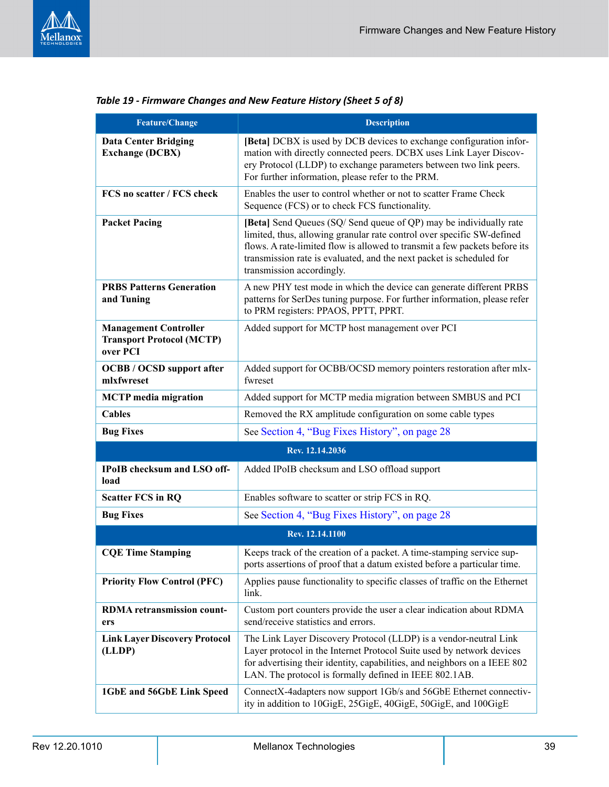

| Feature/Change                                                               | <b>Description</b>                                                                                                                                                                                                                                                                                                             |
|------------------------------------------------------------------------------|--------------------------------------------------------------------------------------------------------------------------------------------------------------------------------------------------------------------------------------------------------------------------------------------------------------------------------|
| <b>Data Center Bridging</b><br><b>Exchange (DCBX)</b>                        | [Beta] DCBX is used by DCB devices to exchange configuration infor-<br>mation with directly connected peers. DCBX uses Link Layer Discov-<br>ery Protocol (LLDP) to exchange parameters between two link peers.<br>For further information, please refer to the PRM.                                                           |
| FCS no scatter / FCS check                                                   | Enables the user to control whether or not to scatter Frame Check<br>Sequence (FCS) or to check FCS functionality.                                                                                                                                                                                                             |
| <b>Packet Pacing</b>                                                         | [Beta] Send Queues (SQ/Send queue of QP) may be individually rate<br>limited, thus, allowing granular rate control over specific SW-defined<br>flows. A rate-limited flow is allowed to transmit a few packets before its<br>transmission rate is evaluated, and the next packet is scheduled for<br>transmission accordingly. |
| <b>PRBS Patterns Generation</b><br>and Tuning                                | A new PHY test mode in which the device can generate different PRBS<br>patterns for SerDes tuning purpose. For further information, please refer<br>to PRM registers: PPAOS, PPTT, PPRT.                                                                                                                                       |
| <b>Management Controller</b><br><b>Transport Protocol (MCTP)</b><br>over PCI | Added support for MCTP host management over PCI                                                                                                                                                                                                                                                                                |
| <b>OCBB</b> / <b>OCSD</b> support after<br>mlxfwreset                        | Added support for OCBB/OCSD memory pointers restoration after mlx-<br>fwreset                                                                                                                                                                                                                                                  |
| <b>MCTP</b> media migration                                                  | Added support for MCTP media migration between SMBUS and PCI                                                                                                                                                                                                                                                                   |
| <b>Cables</b>                                                                | Removed the RX amplitude configuration on some cable types                                                                                                                                                                                                                                                                     |
| <b>Bug Fixes</b>                                                             | See Section 4, "Bug Fixes History", on page 28                                                                                                                                                                                                                                                                                 |
|                                                                              | Rev. 12.14.2036                                                                                                                                                                                                                                                                                                                |
| IPoIB checksum and LSO off-<br>load                                          | Added IPoIB checksum and LSO offload support                                                                                                                                                                                                                                                                                   |
| <b>Scatter FCS in RQ</b>                                                     | Enables software to scatter or strip FCS in RQ.                                                                                                                                                                                                                                                                                |
| <b>Bug Fixes</b>                                                             | See Section 4, "Bug Fixes History", on page 28                                                                                                                                                                                                                                                                                 |
|                                                                              | Rev. 12.14.1100                                                                                                                                                                                                                                                                                                                |
| <b>CQE Time Stamping</b>                                                     | Keeps track of the creation of a packet. A time-stamping service sup-<br>ports assertions of proof that a datum existed before a particular time.                                                                                                                                                                              |
| <b>Priority Flow Control (PFC)</b>                                           | Applies pause functionality to specific classes of traffic on the Ethernet<br>link.                                                                                                                                                                                                                                            |
| <b>RDMA</b> retransmission count-<br>ers                                     | Custom port counters provide the user a clear indication about RDMA<br>send/receive statistics and errors.                                                                                                                                                                                                                     |
| <b>Link Layer Discovery Protocol</b><br>(LLDP)                               | The Link Layer Discovery Protocol (LLDP) is a vendor-neutral Link<br>Layer protocol in the Internet Protocol Suite used by network devices<br>for advertising their identity, capabilities, and neighbors on a IEEE 802<br>LAN. The protocol is formally defined in IEEE 802.1AB.                                              |
| 1GbE and 56GbE Link Speed                                                    | ConnectX-4adapters now support 1Gb/s and 56GbE Ethernet connectiv-<br>ity in addition to 10GigE, 25GigE, 40GigE, 50GigE, and 100GigE                                                                                                                                                                                           |

|  | Table 19 - Firmware Changes and New Feature History (Sheet 5 of 8) |
|--|--------------------------------------------------------------------|
|--|--------------------------------------------------------------------|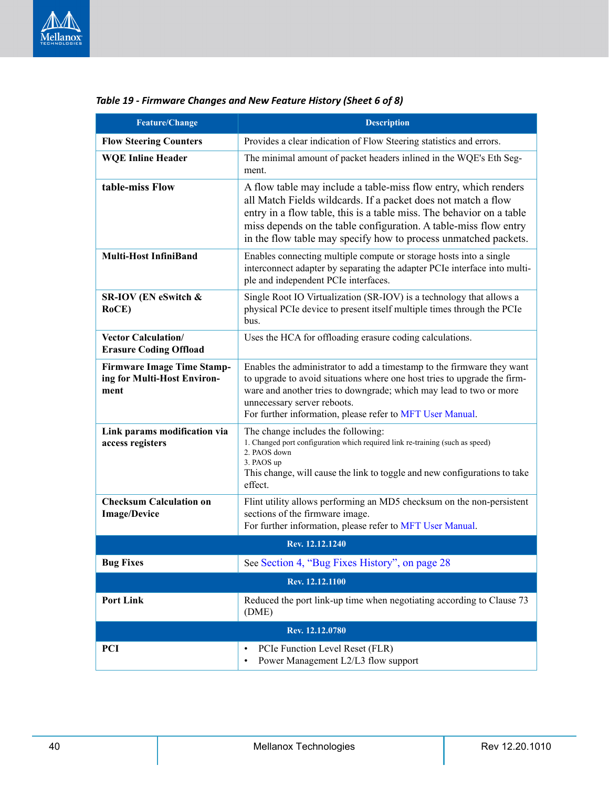

| <b>Feature/Change</b>                                                    | <b>Description</b>                                                                                                                                                                                                                                                                                                                              |  |
|--------------------------------------------------------------------------|-------------------------------------------------------------------------------------------------------------------------------------------------------------------------------------------------------------------------------------------------------------------------------------------------------------------------------------------------|--|
| <b>Flow Steering Counters</b>                                            | Provides a clear indication of Flow Steering statistics and errors.                                                                                                                                                                                                                                                                             |  |
| <b>WQE Inline Header</b>                                                 | The minimal amount of packet headers inlined in the WQE's Eth Seg-<br>ment.                                                                                                                                                                                                                                                                     |  |
| table-miss Flow                                                          | A flow table may include a table-miss flow entry, which renders<br>all Match Fields wildcards. If a packet does not match a flow<br>entry in a flow table, this is a table miss. The behavior on a table<br>miss depends on the table configuration. A table-miss flow entry<br>in the flow table may specify how to process unmatched packets. |  |
| <b>Multi-Host InfiniBand</b>                                             | Enables connecting multiple compute or storage hosts into a single<br>interconnect adapter by separating the adapter PCIe interface into multi-<br>ple and independent PCIe interfaces.                                                                                                                                                         |  |
| SR-IOV (EN eSwitch &<br>RoCE)                                            | Single Root IO Virtualization (SR-IOV) is a technology that allows a<br>physical PCIe device to present itself multiple times through the PCIe<br>bus.                                                                                                                                                                                          |  |
| <b>Vector Calculation/</b><br><b>Erasure Coding Offload</b>              | Uses the HCA for offloading erasure coding calculations.                                                                                                                                                                                                                                                                                        |  |
| <b>Firmware Image Time Stamp-</b><br>ing for Multi-Host Environ-<br>ment | Enables the administrator to add a timestamp to the firmware they want<br>to upgrade to avoid situations where one host tries to upgrade the firm-<br>ware and another tries to downgrade; which may lead to two or more<br>unnecessary server reboots.<br>For further information, please refer to MFT User Manual.                            |  |
| Link params modification via<br>access registers                         | The change includes the following:<br>1. Changed port configuration which required link re-training (such as speed)<br>2. PAOS down<br>3. PAOS up<br>This change, will cause the link to toggle and new configurations to take<br>effect.                                                                                                       |  |
| <b>Checksum Calculation on</b><br><b>Image/Device</b>                    | Flint utility allows performing an MD5 checksum on the non-persistent<br>sections of the firmware image.<br>For further information, please refer to MFT User Manual.                                                                                                                                                                           |  |
| Rev. 12.12.1240                                                          |                                                                                                                                                                                                                                                                                                                                                 |  |
| <b>Bug Fixes</b>                                                         | See Section 4, "Bug Fixes History", on page 28                                                                                                                                                                                                                                                                                                  |  |
|                                                                          | Rev. 12.12.1100                                                                                                                                                                                                                                                                                                                                 |  |
| <b>Port Link</b>                                                         | Reduced the port link-up time when negotiating according to Clause 73<br>(DME)                                                                                                                                                                                                                                                                  |  |
|                                                                          | Rev. 12.12.0780                                                                                                                                                                                                                                                                                                                                 |  |
| <b>PCI</b>                                                               | PCIe Function Level Reset (FLR)<br>٠<br>Power Management L2/L3 flow support<br>$\bullet$                                                                                                                                                                                                                                                        |  |

### *Table 19 - Firmware Changes and New Feature History (Sheet 6 of 8)*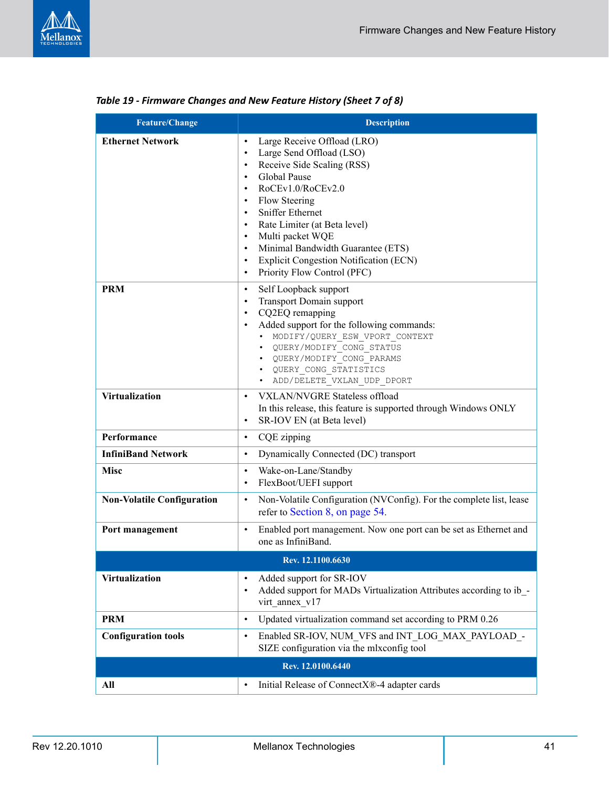

| <b>Feature/Change</b>             | <b>Description</b>                                                                                                                                                                                                                                                                                                                                                                                                                                                                                                 |
|-----------------------------------|--------------------------------------------------------------------------------------------------------------------------------------------------------------------------------------------------------------------------------------------------------------------------------------------------------------------------------------------------------------------------------------------------------------------------------------------------------------------------------------------------------------------|
| <b>Ethernet Network</b>           | Large Receive Offload (LRO)<br>$\bullet$<br>Large Send Offload (LSO)<br>$\bullet$<br>Receive Side Scaling (RSS)<br>$\bullet$<br><b>Global Pause</b><br>$\bullet$<br>RoCEv1.0/RoCEv2.0<br>$\bullet$<br>Flow Steering<br>$\bullet$<br><b>Sniffer Ethernet</b><br>$\bullet$<br>Rate Limiter (at Beta level)<br>$\bullet$<br>Multi packet WQE<br>$\bullet$<br>Minimal Bandwidth Guarantee (ETS)<br>$\bullet$<br><b>Explicit Congestion Notification (ECN)</b><br>$\bullet$<br>Priority Flow Control (PFC)<br>$\bullet$ |
| <b>PRM</b>                        | Self Loopback support<br>$\bullet$<br><b>Transport Domain support</b><br>$\bullet$<br>CQ2EQ remapping<br>$\bullet$<br>Added support for the following commands:<br>$\bullet$<br>MODIFY/QUERY ESW VPORT CONTEXT<br>$\bullet$<br>QUERY/MODIFY CONG STATUS<br>$\bullet$<br>QUERY/MODIFY CONG PARAMS<br>QUERY CONG STATISTICS<br>ADD/DELETE VXLAN UDP DPORT<br>$\bullet$                                                                                                                                               |
| <b>Virtualization</b>             | <b>VXLAN/NVGRE Stateless offload</b><br>$\bullet$<br>In this release, this feature is supported through Windows ONLY<br>SR-IOV EN (at Beta level)<br>$\bullet$                                                                                                                                                                                                                                                                                                                                                     |
| Performance                       | CQE zipping<br>$\bullet$                                                                                                                                                                                                                                                                                                                                                                                                                                                                                           |
| <b>InfiniBand Network</b>         | Dynamically Connected (DC) transport<br>$\bullet$                                                                                                                                                                                                                                                                                                                                                                                                                                                                  |
| <b>Misc</b>                       | Wake-on-Lane/Standby<br>$\bullet$<br>FlexBoot/UEFI support<br>$\bullet$                                                                                                                                                                                                                                                                                                                                                                                                                                            |
| <b>Non-Volatile Configuration</b> | Non-Volatile Configuration (NVConfig). For the complete list, lease<br>$\bullet$<br>refer to Section 8, on page 54.                                                                                                                                                                                                                                                                                                                                                                                                |
| Port management                   | Enabled port management. Now one port can be set as Ethernet and<br>$\bullet$<br>one as InfiniBand.                                                                                                                                                                                                                                                                                                                                                                                                                |
|                                   | Rev. 12.1100.6630                                                                                                                                                                                                                                                                                                                                                                                                                                                                                                  |
| <b>Virtualization</b>             | Added support for SR-IOV<br>$\bullet$<br>Added support for MADs Virtualization Attributes according to ib -<br>$\bullet$<br>virt annex v17                                                                                                                                                                                                                                                                                                                                                                         |
| <b>PRM</b>                        | Updated virtualization command set according to PRM 0.26<br>$\bullet$                                                                                                                                                                                                                                                                                                                                                                                                                                              |
| <b>Configuration tools</b>        | Enabled SR-IOV, NUM_VFS and INT_LOG_MAX_PAYLOAD_-<br>$\bullet$<br>SIZE configuration via the mlxconfig tool                                                                                                                                                                                                                                                                                                                                                                                                        |
|                                   | Rev. 12.0100.6440                                                                                                                                                                                                                                                                                                                                                                                                                                                                                                  |
| All                               | Initial Release of ConnectX®-4 adapter cards<br>$\bullet$                                                                                                                                                                                                                                                                                                                                                                                                                                                          |

| Table 19 - Firmware Changes and New Feature History (Sheet 7 of 8) |  |  |  |  |  |
|--------------------------------------------------------------------|--|--|--|--|--|
|--------------------------------------------------------------------|--|--|--|--|--|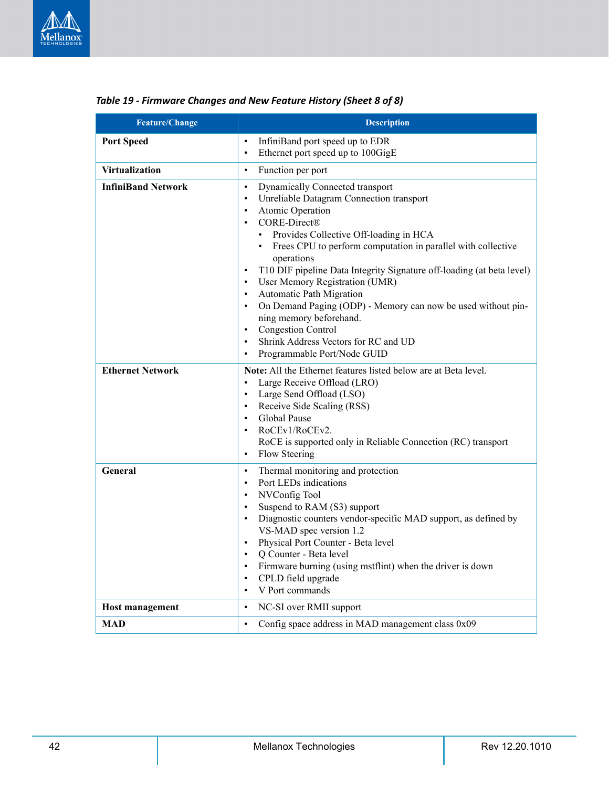

| <b>Feature/Change</b>     | <b>Description</b>                                                                                                                                                                                                                                                                                                                                                                                                                                                                                                                                                                                                                                                                                                                               |
|---------------------------|--------------------------------------------------------------------------------------------------------------------------------------------------------------------------------------------------------------------------------------------------------------------------------------------------------------------------------------------------------------------------------------------------------------------------------------------------------------------------------------------------------------------------------------------------------------------------------------------------------------------------------------------------------------------------------------------------------------------------------------------------|
| <b>Port Speed</b>         | InfiniBand port speed up to EDR<br>$\bullet$<br>Ethernet port speed up to 100GigE<br>$\bullet$                                                                                                                                                                                                                                                                                                                                                                                                                                                                                                                                                                                                                                                   |
| <b>Virtualization</b>     | Function per port<br>$\bullet$                                                                                                                                                                                                                                                                                                                                                                                                                                                                                                                                                                                                                                                                                                                   |
| <b>InfiniBand Network</b> | <b>Dynamically Connected transport</b><br>$\bullet$<br>Unreliable Datagram Connection transport<br>$\bullet$<br>Atomic Operation<br>$\bullet$<br>CORE-Direct®<br>$\bullet$<br>Provides Collective Off-loading in HCA<br>Frees CPU to perform computation in parallel with collective<br>$\bullet$<br>operations<br>T10 DIF pipeline Data Integrity Signature off-loading (at beta level)<br>$\bullet$<br>User Memory Registration (UMR)<br>$\bullet$<br>Automatic Path Migration<br>$\bullet$<br>On Demand Paging (ODP) - Memory can now be used without pin-<br>$\bullet$<br>ning memory beforehand.<br><b>Congestion Control</b><br>$\bullet$<br>Shrink Address Vectors for RC and UD<br>$\bullet$<br>Programmable Port/Node GUID<br>$\bullet$ |
| <b>Ethernet Network</b>   | Note: All the Ethernet features listed below are at Beta level.<br>Large Receive Offload (LRO)<br>$\bullet$<br>Large Send Offload (LSO)<br>$\bullet$<br>Receive Side Scaling (RSS)<br>$\bullet$<br>Global Pause<br>$\bullet$<br>RoCEv1/RoCEv2.<br>$\bullet$<br>RoCE is supported only in Reliable Connection (RC) transport<br>Flow Steering<br>$\bullet$                                                                                                                                                                                                                                                                                                                                                                                        |
| General                   | Thermal monitoring and protection<br>$\bullet$<br>Port LEDs indications<br>$\bullet$<br>NVConfig Tool<br>$\bullet$<br>Suspend to RAM (S3) support<br>$\bullet$<br>Diagnostic counters vendor-specific MAD support, as defined by<br>$\bullet$<br>VS-MAD spec version 1.2<br>Physical Port Counter - Beta level<br>$\bullet$<br>Q Counter - Beta level<br>$\bullet$<br>Firmware burning (using mstflint) when the driver is down<br>$\bullet$<br>CPLD field upgrade<br>$\bullet$<br>V Port commands<br>$\bullet$                                                                                                                                                                                                                                  |
| <b>Host management</b>    | NC-SI over RMII support<br>$\bullet$                                                                                                                                                                                                                                                                                                                                                                                                                                                                                                                                                                                                                                                                                                             |
| <b>MAD</b>                | Config space address in MAD management class 0x09<br>$\bullet$                                                                                                                                                                                                                                                                                                                                                                                                                                                                                                                                                                                                                                                                                   |

### *Table 19 - Firmware Changes and New Feature History (Sheet 8 of 8)*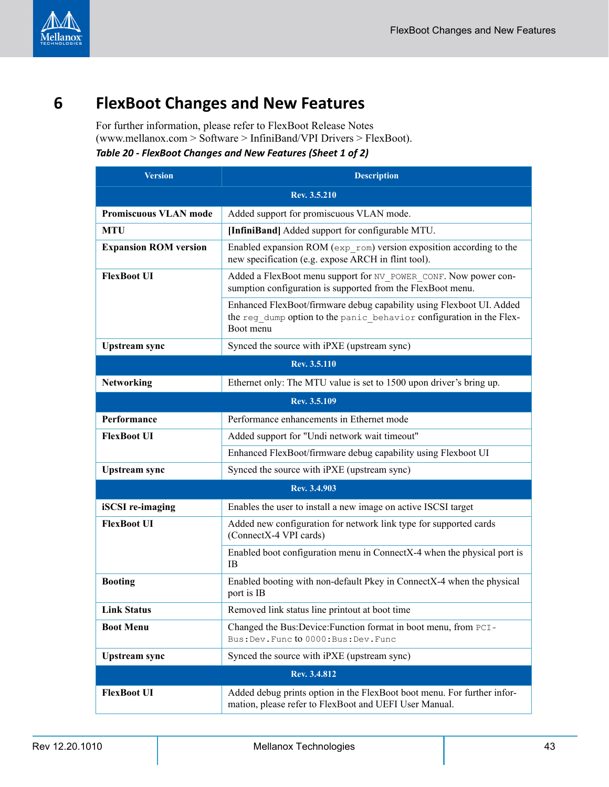

# <span id="page-42-0"></span>**6 FlexBoot Changes and New Features**

For further information, please refer to FlexBoot Release Notes (www.mellanox.com > Software > InfiniBand/VPI Drivers > FlexBoot). *Table 20 - FlexBoot Changes and New Features (Sheet 1 of 2)*

<span id="page-42-1"></span>

| <b>Version</b>               | <b>Description</b>                                                                                                                                        |  |
|------------------------------|-----------------------------------------------------------------------------------------------------------------------------------------------------------|--|
| Rev. 3.5.210                 |                                                                                                                                                           |  |
| <b>Promiscuous VLAN mode</b> | Added support for promiscuous VLAN mode.                                                                                                                  |  |
| <b>MTU</b>                   | [InfiniBand] Added support for configurable MTU.                                                                                                          |  |
| <b>Expansion ROM version</b> | Enabled expansion ROM ( $exp$ rom) version exposition according to the<br>new specification (e.g. expose ARCH in flint tool).                             |  |
| <b>FlexBoot UI</b>           | Added a FlexBoot menu support for NV POWER CONF. Now power con-<br>sumption configuration is supported from the FlexBoot menu.                            |  |
|                              | Enhanced FlexBoot/firmware debug capability using Flexboot UI. Added<br>the reg dump option to the panic behavior configuration in the Flex-<br>Boot menu |  |
| <b>Upstream</b> sync         | Synced the source with iPXE (upstream sync)                                                                                                               |  |
|                              | Rev. 3.5.110                                                                                                                                              |  |
| Networking                   | Ethernet only: The MTU value is set to 1500 upon driver's bring up.                                                                                       |  |
|                              | Rev. 3.5.109                                                                                                                                              |  |
| Performance                  | Performance enhancements in Ethernet mode                                                                                                                 |  |
| <b>FlexBoot UI</b>           | Added support for "Undi network wait timeout"                                                                                                             |  |
|                              | Enhanced FlexBoot/firmware debug capability using Flexboot UI                                                                                             |  |
| <b>Upstream</b> sync         | Synced the source with iPXE (upstream sync)                                                                                                               |  |
|                              | Rev. 3.4.903                                                                                                                                              |  |
| <b>iSCSI</b> re-imaging      | Enables the user to install a new image on active ISCSI target                                                                                            |  |
| <b>FlexBoot UI</b>           | Added new configuration for network link type for supported cards<br>(ConnectX-4 VPI cards)                                                               |  |
|                              | Enabled boot configuration menu in ConnectX-4 when the physical port is<br><b>IB</b>                                                                      |  |
| <b>Booting</b>               | Enabled booting with non-default Pkey in ConnectX-4 when the physical<br>port is IB                                                                       |  |
| <b>Link Status</b>           | Removed link status line printout at boot time                                                                                                            |  |
| <b>Boot Menu</b>             | Changed the Bus: Device: Function format in boot menu, from PCI-<br>Bus: Dev. Func to 0000: Bus: Dev. Func                                                |  |
| <b>Upstream</b> sync         | Synced the source with iPXE (upstream sync)                                                                                                               |  |
|                              | Rev. 3.4.812                                                                                                                                              |  |
| <b>FlexBoot UI</b>           | Added debug prints option in the FlexBoot boot menu. For further infor-<br>mation, please refer to FlexBoot and UEFI User Manual.                         |  |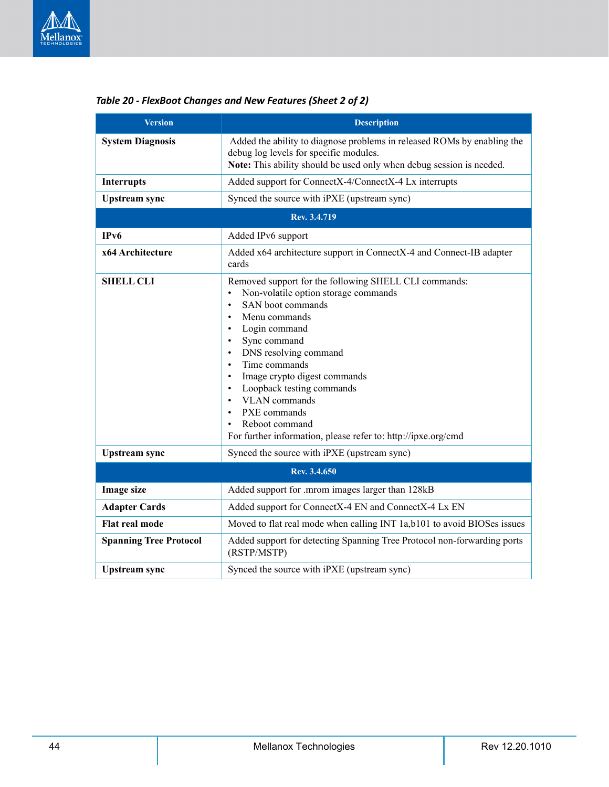

| Version                       | <b>Description</b>                                                                                                                                                                                                                                                                                                                                                                                                                                                                                                                       |
|-------------------------------|------------------------------------------------------------------------------------------------------------------------------------------------------------------------------------------------------------------------------------------------------------------------------------------------------------------------------------------------------------------------------------------------------------------------------------------------------------------------------------------------------------------------------------------|
| <b>System Diagnosis</b>       | Added the ability to diagnose problems in released ROMs by enabling the<br>debug log levels for specific modules.<br>Note: This ability should be used only when debug session is needed.                                                                                                                                                                                                                                                                                                                                                |
| <b>Interrupts</b>             | Added support for ConnectX-4/ConnectX-4 Lx interrupts                                                                                                                                                                                                                                                                                                                                                                                                                                                                                    |
| <b>Upstream</b> sync          | Synced the source with iPXE (upstream sync)                                                                                                                                                                                                                                                                                                                                                                                                                                                                                              |
|                               | Rev. 3.4.719                                                                                                                                                                                                                                                                                                                                                                                                                                                                                                                             |
| IP <sub>v</sub> 6             | Added IPv6 support                                                                                                                                                                                                                                                                                                                                                                                                                                                                                                                       |
| x64 Architecture              | Added x64 architecture support in ConnectX-4 and Connect-IB adapter<br>cards                                                                                                                                                                                                                                                                                                                                                                                                                                                             |
| <b>SHELL CLI</b>              | Removed support for the following SHELL CLI commands:<br>Non-volatile option storage commands<br>$\bullet$<br>SAN boot commands<br>$\bullet$<br>Menu commands<br>$\bullet$<br>Login command<br>$\bullet$<br>Sync command<br>$\bullet$<br>DNS resolving command<br>$\bullet$<br>Time commands<br>$\bullet$<br>Image crypto digest commands<br>$\bullet$<br>Loopback testing commands<br>$\bullet$<br><b>VLAN</b> commands<br>PXE commands<br>$\bullet$<br>Reboot command<br>For further information, please refer to: http://ipxe.org/cmd |
| <b>Upstream</b> sync          | Synced the source with iPXE (upstream sync)                                                                                                                                                                                                                                                                                                                                                                                                                                                                                              |
|                               | Rev. 3.4.650                                                                                                                                                                                                                                                                                                                                                                                                                                                                                                                             |
| <b>Image size</b>             | Added support for .mrom images larger than 128kB                                                                                                                                                                                                                                                                                                                                                                                                                                                                                         |
| <b>Adapter Cards</b>          | Added support for ConnectX-4 EN and ConnectX-4 Lx EN                                                                                                                                                                                                                                                                                                                                                                                                                                                                                     |
| Flat real mode                | Moved to flat real mode when calling INT 1a,b101 to avoid BIOSes issues                                                                                                                                                                                                                                                                                                                                                                                                                                                                  |
| <b>Spanning Tree Protocol</b> | Added support for detecting Spanning Tree Protocol non-forwarding ports<br>(RSTP/MSTP)                                                                                                                                                                                                                                                                                                                                                                                                                                                   |
| Upstream sync                 | Synced the source with iPXE (upstream sync)                                                                                                                                                                                                                                                                                                                                                                                                                                                                                              |

### *Table 20 - FlexBoot Changes and New Features (Sheet 2 of 2)*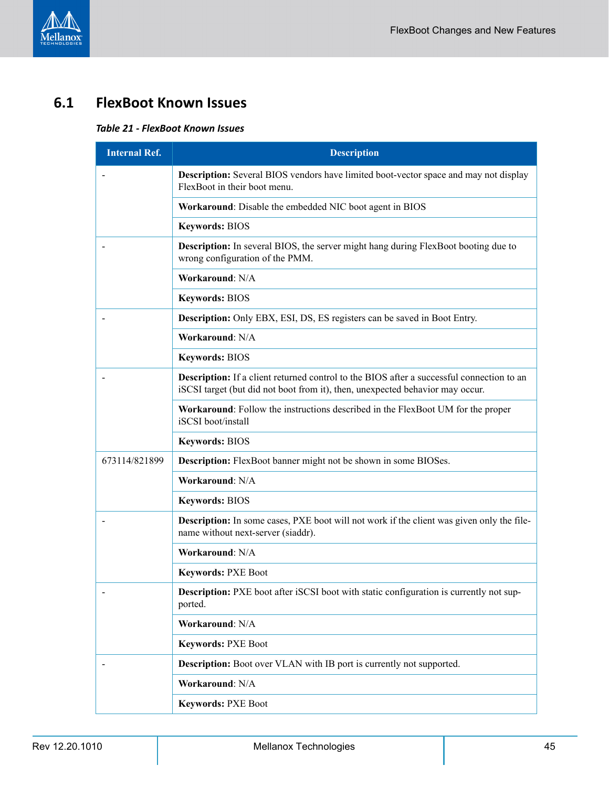# <span id="page-44-1"></span><span id="page-44-0"></span>**6.1 FlexBoot Known Issues**

### *Table 21 - FlexBoot Known Issues*

| <b>Internal Ref.</b> | <b>Description</b>                                                                                                                                                                |
|----------------------|-----------------------------------------------------------------------------------------------------------------------------------------------------------------------------------|
|                      | <b>Description:</b> Several BIOS vendors have limited boot-vector space and may not display<br>FlexBoot in their boot menu.                                                       |
|                      | Workaround: Disable the embedded NIC boot agent in BIOS                                                                                                                           |
|                      | <b>Keywords: BIOS</b>                                                                                                                                                             |
|                      | <b>Description:</b> In several BIOS, the server might hang during FlexBoot booting due to<br>wrong configuration of the PMM.                                                      |
|                      | Workaround: N/A                                                                                                                                                                   |
|                      | <b>Keywords: BIOS</b>                                                                                                                                                             |
|                      | <b>Description:</b> Only EBX, ESI, DS, ES registers can be saved in Boot Entry.                                                                                                   |
|                      | Workaround: N/A                                                                                                                                                                   |
|                      | <b>Keywords: BIOS</b>                                                                                                                                                             |
|                      | <b>Description:</b> If a client returned control to the BIOS after a successful connection to an<br>iSCSI target (but did not boot from it), then, unexpected behavior may occur. |
|                      | Workaround: Follow the instructions described in the FlexBoot UM for the proper<br>iSCSI boot/install                                                                             |
|                      | Keywords: BIOS                                                                                                                                                                    |
| 673114/821899        | <b>Description:</b> FlexBoot banner might not be shown in some BIOSes.                                                                                                            |
|                      | Workaround: N/A                                                                                                                                                                   |
|                      | <b>Keywords: BIOS</b>                                                                                                                                                             |
|                      | Description: In some cases, PXE boot will not work if the client was given only the file-<br>name without next-server (siaddr).                                                   |
|                      | Workaround: N/A                                                                                                                                                                   |
|                      | <b>Keywords: PXE Boot</b>                                                                                                                                                         |
|                      | Description: PXE boot after iSCSI boot with static configuration is currently not sup-<br>ported.                                                                                 |
|                      | Workaround: N/A                                                                                                                                                                   |
|                      | <b>Keywords: PXE Boot</b>                                                                                                                                                         |
|                      | <b>Description:</b> Boot over VLAN with IB port is currently not supported.                                                                                                       |
|                      | Workaround: N/A                                                                                                                                                                   |
|                      | <b>Keywords: PXE Boot</b>                                                                                                                                                         |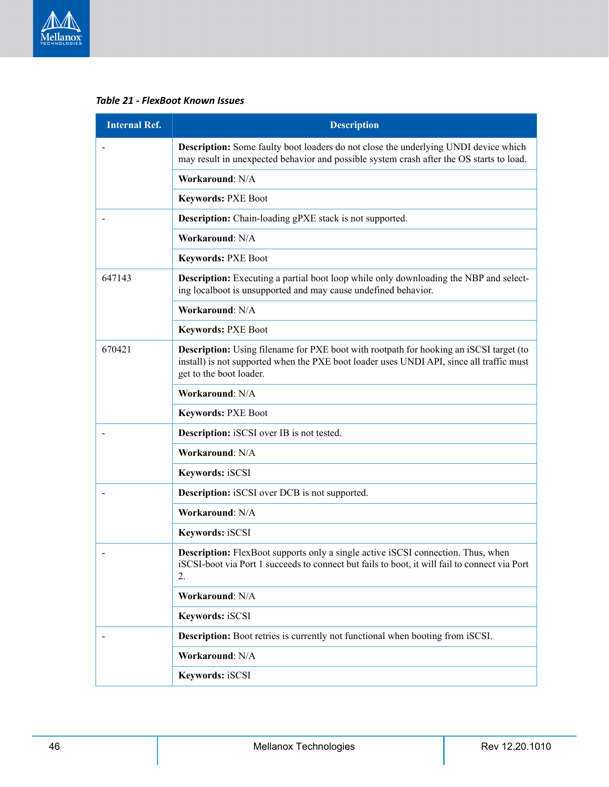

*Table 21 - FlexBoot Known Issues*

| <b>Internal Ref.</b> | <b>Description</b>                                                                                                                                                                                                   |
|----------------------|----------------------------------------------------------------------------------------------------------------------------------------------------------------------------------------------------------------------|
|                      | <b>Description:</b> Some faulty boot loaders do not close the underlying UNDI device which<br>may result in unexpected behavior and possible system crash after the OS starts to load.                               |
|                      | Workaround: N/A                                                                                                                                                                                                      |
|                      | <b>Keywords: PXE Boot</b>                                                                                                                                                                                            |
|                      | <b>Description:</b> Chain-loading gPXE stack is not supported.                                                                                                                                                       |
|                      | Workaround: N/A                                                                                                                                                                                                      |
|                      | <b>Keywords: PXE Boot</b>                                                                                                                                                                                            |
| 647143               | <b>Description:</b> Executing a partial boot loop while only downloading the NBP and select-<br>ing localboot is unsupported and may cause undefined behavior.                                                       |
|                      | Workaround: N/A                                                                                                                                                                                                      |
|                      | <b>Keywords: PXE Boot</b>                                                                                                                                                                                            |
| 670421               | <b>Description:</b> Using filename for PXE boot with rootpath for hooking an iSCSI target (to<br>install) is not supported when the PXE boot loader uses UNDI API, since all traffic must<br>get to the boot loader. |
|                      | Workaround: N/A                                                                                                                                                                                                      |
|                      | <b>Keywords: PXE Boot</b>                                                                                                                                                                                            |
|                      | <b>Description:</b> iSCSI over IB is not tested.                                                                                                                                                                     |
|                      | Workaround: N/A                                                                                                                                                                                                      |
|                      | Keywords: iSCSI                                                                                                                                                                                                      |
|                      | <b>Description:</b> iSCSI over DCB is not supported.                                                                                                                                                                 |
|                      | Workaround: N/A                                                                                                                                                                                                      |
|                      | Keywords: iSCSI                                                                                                                                                                                                      |
|                      | <b>Description:</b> FlexBoot supports only a single active iSCSI connection. Thus, when<br>iSCSI-boot via Port 1 succeeds to connect but fails to boot, it will fail to connect via Port<br>2.                       |
|                      | Workaround: N/A                                                                                                                                                                                                      |
|                      | Keywords: iSCSI                                                                                                                                                                                                      |
|                      | <b>Description:</b> Boot retries is currently not functional when booting from iSCSI.                                                                                                                                |
|                      | Workaround: N/A                                                                                                                                                                                                      |
|                      | Keywords: iSCSI                                                                                                                                                                                                      |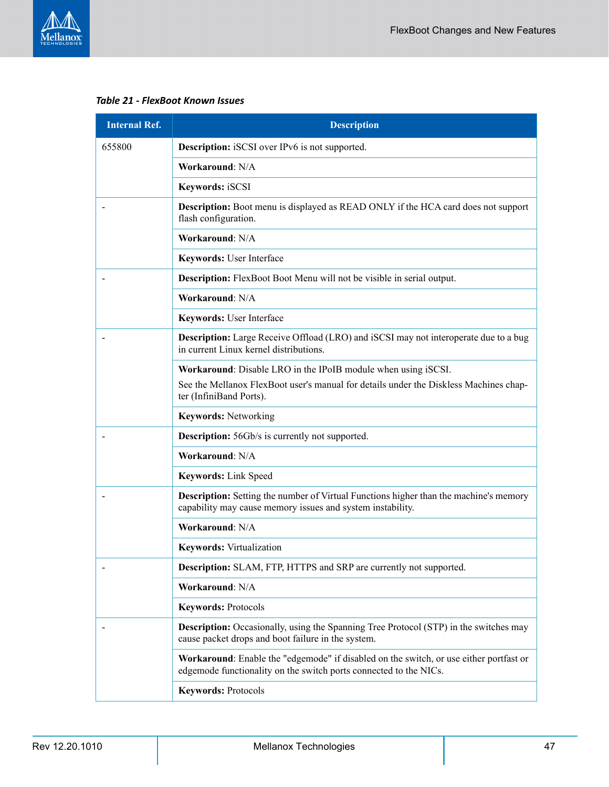

*Table 21 - FlexBoot Known Issues*

| <b>Internal Ref.</b> | <b>Description</b>                                                                                                                                          |
|----------------------|-------------------------------------------------------------------------------------------------------------------------------------------------------------|
| 655800               | <b>Description:</b> iSCSI over IPv6 is not supported.                                                                                                       |
|                      | Workaround: N/A                                                                                                                                             |
|                      | Keywords: iSCSI                                                                                                                                             |
|                      | <b>Description:</b> Boot menu is displayed as READ ONLY if the HCA card does not support<br>flash configuration.                                            |
|                      | Workaround: N/A                                                                                                                                             |
|                      | Keywords: User Interface                                                                                                                                    |
|                      | <b>Description:</b> FlexBoot Boot Menu will not be visible in serial output.                                                                                |
|                      | Workaround: N/A                                                                                                                                             |
|                      | Keywords: User Interface                                                                                                                                    |
|                      | <b>Description:</b> Large Receive Offload (LRO) and iSCSI may not interoperate due to a bug<br>in current Linux kernel distributions.                       |
|                      | Workaround: Disable LRO in the IPoIB module when using iSCSI.                                                                                               |
|                      | See the Mellanox FlexBoot user's manual for details under the Diskless Machines chap-<br>ter (InfiniBand Ports).                                            |
|                      | <b>Keywords: Networking</b>                                                                                                                                 |
|                      | <b>Description:</b> 56Gb/s is currently not supported.                                                                                                      |
|                      | Workaround: N/A                                                                                                                                             |
|                      | Keywords: Link Speed                                                                                                                                        |
|                      | <b>Description:</b> Setting the number of Virtual Functions higher than the machine's memory<br>capability may cause memory issues and system instability.  |
|                      | Workaround: N/A                                                                                                                                             |
|                      | <b>Keywords:</b> Virtualization                                                                                                                             |
|                      | <b>Description:</b> SLAM, FTP, HTTPS and SRP are currently not supported.                                                                                   |
|                      | Workaround: N/A                                                                                                                                             |
|                      | <b>Keywords: Protocols</b>                                                                                                                                  |
|                      | <b>Description:</b> Occasionally, using the Spanning Tree Protocol (STP) in the switches may<br>cause packet drops and boot failure in the system.          |
|                      | Workaround: Enable the "edgemode" if disabled on the switch, or use either portfast or<br>edgemode functionality on the switch ports connected to the NICs. |
|                      | <b>Keywords: Protocols</b>                                                                                                                                  |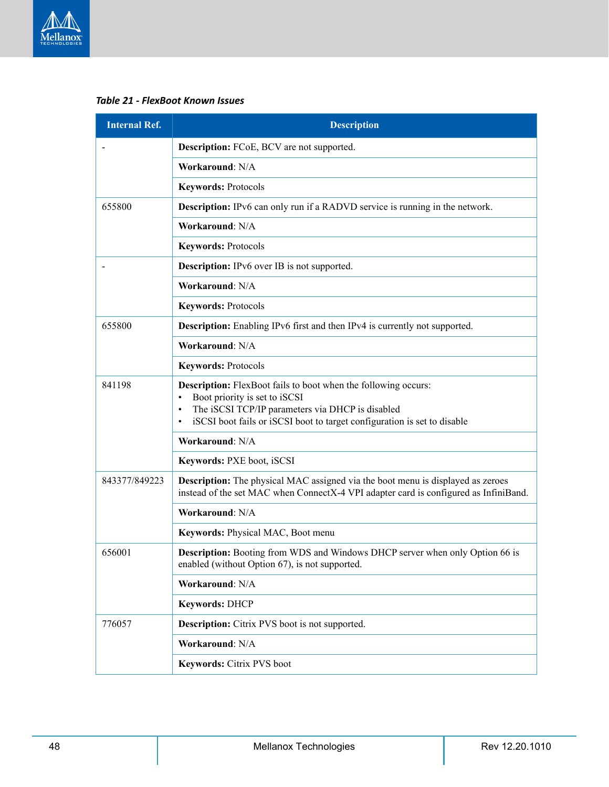

*Table 21 - FlexBoot Known Issues*

| <b>Internal Ref.</b>                               | <b>Description</b>                                                                                                                                                                                                                                                            |
|----------------------------------------------------|-------------------------------------------------------------------------------------------------------------------------------------------------------------------------------------------------------------------------------------------------------------------------------|
|                                                    | <b>Description:</b> FCoE, BCV are not supported.                                                                                                                                                                                                                              |
|                                                    | Workaround: N/A                                                                                                                                                                                                                                                               |
|                                                    | <b>Keywords: Protocols</b>                                                                                                                                                                                                                                                    |
| 655800                                             | <b>Description:</b> IPv6 can only run if a RADVD service is running in the network.                                                                                                                                                                                           |
|                                                    | Workaround: N/A                                                                                                                                                                                                                                                               |
|                                                    | <b>Keywords: Protocols</b>                                                                                                                                                                                                                                                    |
| <b>Description:</b> IPv6 over IB is not supported. |                                                                                                                                                                                                                                                                               |
|                                                    | Workaround: N/A                                                                                                                                                                                                                                                               |
|                                                    | <b>Keywords: Protocols</b>                                                                                                                                                                                                                                                    |
| 655800                                             | <b>Description:</b> Enabling IPv6 first and then IPv4 is currently not supported.                                                                                                                                                                                             |
|                                                    | Workaround: N/A                                                                                                                                                                                                                                                               |
|                                                    | <b>Keywords: Protocols</b>                                                                                                                                                                                                                                                    |
| 841198                                             | <b>Description:</b> FlexBoot fails to boot when the following occurs:<br>Boot priority is set to iSCSI<br>$\bullet$<br>The iSCSI TCP/IP parameters via DHCP is disabled<br>$\bullet$<br>iSCSI boot fails or iSCSI boot to target configuration is set to disable<br>$\bullet$ |
|                                                    | Workaround: N/A                                                                                                                                                                                                                                                               |
|                                                    | Keywords: PXE boot, iSCSI                                                                                                                                                                                                                                                     |
| 843377/849223                                      | <b>Description:</b> The physical MAC assigned via the boot menu is displayed as zeroes<br>instead of the set MAC when ConnectX-4 VPI adapter card is configured as InfiniBand.                                                                                                |
|                                                    | Workaround: N/A                                                                                                                                                                                                                                                               |
|                                                    | Keywords: Physical MAC, Boot menu                                                                                                                                                                                                                                             |
| 656001                                             | <b>Description:</b> Booting from WDS and Windows DHCP server when only Option 66 is<br>enabled (without Option 67), is not supported.                                                                                                                                         |
|                                                    | Workaround: N/A                                                                                                                                                                                                                                                               |
|                                                    | Keywords: DHCP                                                                                                                                                                                                                                                                |
| 776057                                             | Description: Citrix PVS boot is not supported.                                                                                                                                                                                                                                |
|                                                    | Workaround: N/A                                                                                                                                                                                                                                                               |
|                                                    | Keywords: Citrix PVS boot                                                                                                                                                                                                                                                     |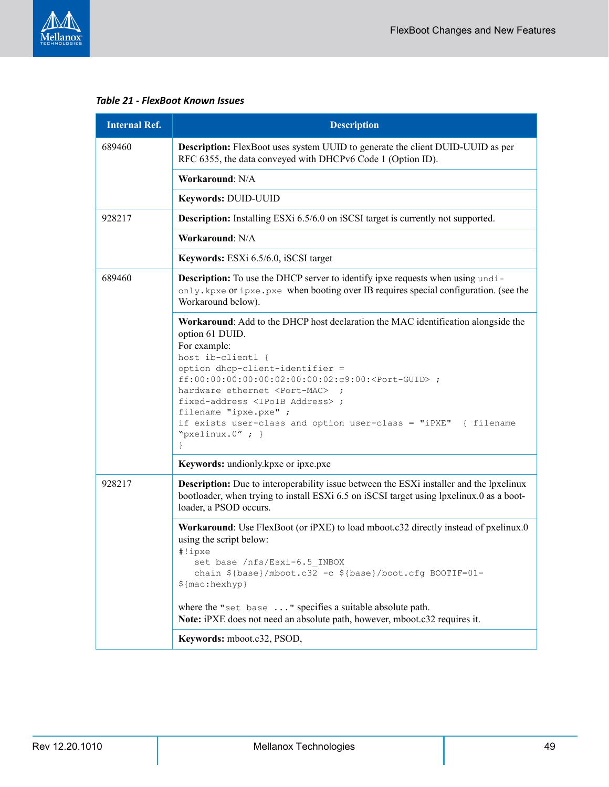

#### *Table 21 - FlexBoot Known Issues*

| <b>Internal Ref.</b> | <b>Description</b>                                                                                                                                                                                                                                                                                                                                                                                                                                                 |
|----------------------|--------------------------------------------------------------------------------------------------------------------------------------------------------------------------------------------------------------------------------------------------------------------------------------------------------------------------------------------------------------------------------------------------------------------------------------------------------------------|
| 689460               | <b>Description:</b> FlexBoot uses system UUID to generate the client DUID-UUID as per<br>RFC 6355, the data conveyed with DHCPv6 Code 1 (Option ID).                                                                                                                                                                                                                                                                                                               |
|                      | Workaround: N/A                                                                                                                                                                                                                                                                                                                                                                                                                                                    |
|                      | Keywords: DUID-UUID                                                                                                                                                                                                                                                                                                                                                                                                                                                |
| 928217               | <b>Description:</b> Installing ESXi 6.5/6.0 on iSCSI target is currently not supported.                                                                                                                                                                                                                                                                                                                                                                            |
|                      | Workaround: N/A                                                                                                                                                                                                                                                                                                                                                                                                                                                    |
|                      | Keywords: ESXi 6.5/6.0, iSCSI target                                                                                                                                                                                                                                                                                                                                                                                                                               |
| 689460               | <b>Description:</b> To use the DHCP server to identify ipxe requests when using undi-<br>only, kpxe or ipxe, pxe when booting over IB requires special configuration. (see the<br>Workaround below).                                                                                                                                                                                                                                                               |
|                      | Workaround: Add to the DHCP host declaration the MAC identification alongside the<br>option 61 DUID.<br>For example:<br>host ib-client1 {<br>option dhcp-client-identifier =<br>ff:00:00:00:00:00:02:00:00:02:c9:00: <port-guid> ;<br/>hardware ethernet <port-mac> ;<br/>fixed-address <ipoib address=""> ;<br/>filename "ipxe.pxe" ;<br/>if exists user-class and option user-class = "iPXE" { filename<br/>"pxelinux.0"; }<br/>}</ipoib></port-mac></port-guid> |
|                      | Keywords: undionly.kpxe or ipxe.pxe                                                                                                                                                                                                                                                                                                                                                                                                                                |
| 928217               | Description: Due to interoperability issue between the ESXi installer and the lpxelinux<br>bootloader, when trying to install ESXi 6.5 on iSCSI target using lpxelinux.0 as a boot-<br>loader, a PSOD occurs.                                                                                                                                                                                                                                                      |
|                      | Workaround: Use FlexBoot (or iPXE) to load mboot.c32 directly instead of pxelinux.0<br>using the script below:<br>#!ipxe<br>set base /nfs/Esxi-6.5 INBOX<br>chain \${base}/mboot.c32 -c \${base}/boot.cfg BOOTIF=01-<br>$$$ {mac:hexhyp}<br>where the "set base " specifies a suitable absolute path.<br>Note: iPXE does not need an absolute path, however, mboot.c32 requires it.                                                                                |
|                      | Keywords: mboot.c32, PSOD,                                                                                                                                                                                                                                                                                                                                                                                                                                         |
|                      |                                                                                                                                                                                                                                                                                                                                                                                                                                                                    |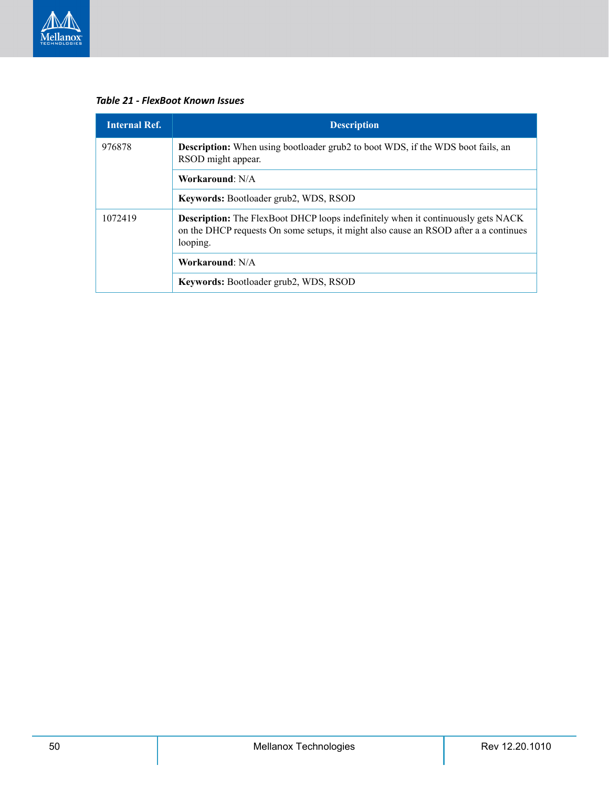

*Table 21 - FlexBoot Known Issues*

| <b>Internal Ref.</b> | <b>Description</b>                                                                                                                                                                          |
|----------------------|---------------------------------------------------------------------------------------------------------------------------------------------------------------------------------------------|
| 976878               | <b>Description:</b> When using bootloader grub2 to boot WDS, if the WDS boot fails, an<br>RSOD might appear.                                                                                |
|                      | Workaround: N/A                                                                                                                                                                             |
|                      | <b>Keywords:</b> Bootloader grub2, WDS, RSOD                                                                                                                                                |
| 1072419              | <b>Description:</b> The FlexBoot DHCP loops indefinitely when it continuously gets NACK<br>on the DHCP requests On some setups, it might also cause an RSOD after a a continues<br>looping. |
|                      | Workaround: N/A                                                                                                                                                                             |
|                      | Keywords: Bootloader grub2, WDS, RSOD                                                                                                                                                       |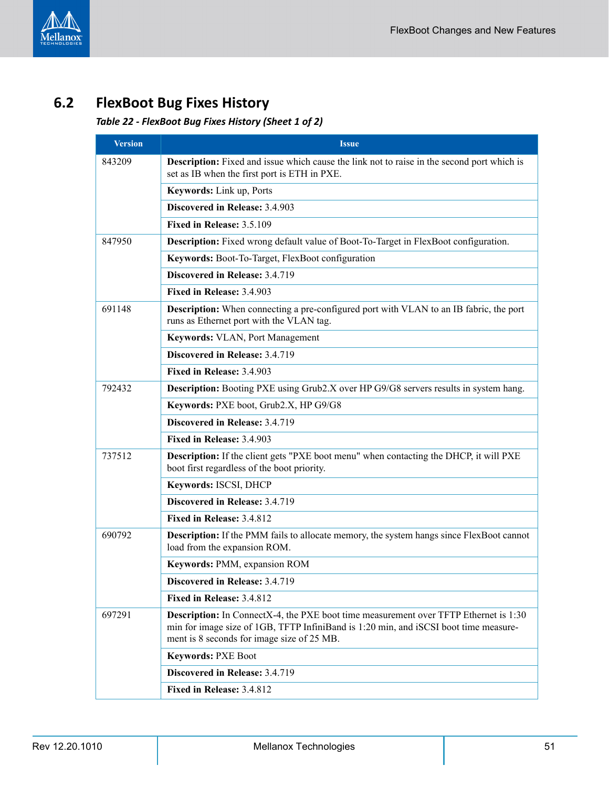

# <span id="page-50-1"></span><span id="page-50-0"></span>**6.2 FlexBoot Bug Fixes History**

### *Table 22 - FlexBoot Bug Fixes History (Sheet 1 of 2)*

| <b>Version</b> | <b>Issue</b>                                                                                                                                                                                                                      |
|----------------|-----------------------------------------------------------------------------------------------------------------------------------------------------------------------------------------------------------------------------------|
| 843209         | Description: Fixed and issue which cause the link not to raise in the second port which is<br>set as IB when the first port is ETH in PXE.                                                                                        |
|                | Keywords: Link up, Ports                                                                                                                                                                                                          |
|                | Discovered in Release: 3.4.903                                                                                                                                                                                                    |
|                | Fixed in Release: 3.5.109                                                                                                                                                                                                         |
| 847950         | <b>Description:</b> Fixed wrong default value of Boot-To-Target in FlexBoot configuration.                                                                                                                                        |
|                | Keywords: Boot-To-Target, FlexBoot configuration                                                                                                                                                                                  |
|                | Discovered in Release: 3.4.719                                                                                                                                                                                                    |
|                | Fixed in Release: 3.4.903                                                                                                                                                                                                         |
| 691148         | <b>Description:</b> When connecting a pre-configured port with VLAN to an IB fabric, the port<br>runs as Ethernet port with the VLAN tag.                                                                                         |
|                | <b>Keywords: VLAN, Port Management</b>                                                                                                                                                                                            |
|                | Discovered in Release: 3.4.719                                                                                                                                                                                                    |
|                | Fixed in Release: 3.4.903                                                                                                                                                                                                         |
| 792432         | <b>Description:</b> Booting PXE using Grub2.X over HP G9/G8 servers results in system hang.                                                                                                                                       |
|                | Keywords: PXE boot, Grub2.X, HP G9/G8                                                                                                                                                                                             |
|                | Discovered in Release: 3.4.719                                                                                                                                                                                                    |
|                | Fixed in Release: 3.4.903                                                                                                                                                                                                         |
| 737512         | <b>Description:</b> If the client gets "PXE boot menu" when contacting the DHCP, it will PXE<br>boot first regardless of the boot priority.                                                                                       |
|                | Keywords: ISCSI, DHCP                                                                                                                                                                                                             |
|                | Discovered in Release: 3.4.719                                                                                                                                                                                                    |
|                | Fixed in Release: 3.4.812                                                                                                                                                                                                         |
| 690792         | <b>Description:</b> If the PMM fails to allocate memory, the system hangs since FlexBoot cannot<br>load from the expansion ROM.                                                                                                   |
|                | Keywords: PMM, expansion ROM                                                                                                                                                                                                      |
|                | Discovered in Release: 3.4.719                                                                                                                                                                                                    |
|                | Fixed in Release: 3.4.812                                                                                                                                                                                                         |
| 697291         | <b>Description:</b> In ConnectX-4, the PXE boot time measurement over TFTP Ethernet is 1:30<br>min for image size of 1GB, TFTP InfiniBand is 1:20 min, and iSCSI boot time measure-<br>ment is 8 seconds for image size of 25 MB. |
|                | <b>Keywords: PXE Boot</b>                                                                                                                                                                                                         |
|                | Discovered in Release: 3.4.719                                                                                                                                                                                                    |
|                | Fixed in Release: 3.4.812                                                                                                                                                                                                         |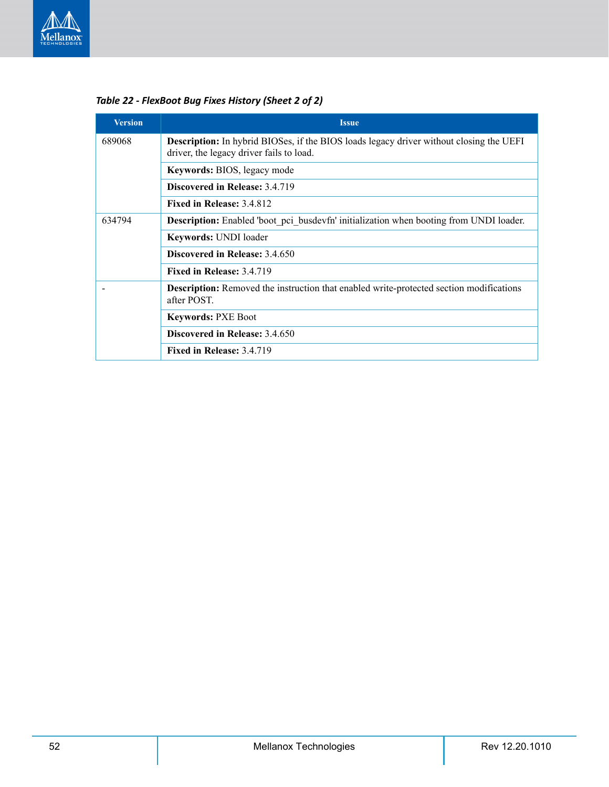

| <b>Version</b> | <b>Issue</b>                                                                                                                               |
|----------------|--------------------------------------------------------------------------------------------------------------------------------------------|
| 689068         | <b>Description:</b> In hybrid BIOSes, if the BIOS loads legacy driver without closing the UEFI<br>driver, the legacy driver fails to load. |
|                | <b>Keywords:</b> BIOS, legacy mode                                                                                                         |
|                | <b>Discovered in Release: 3.4.719</b>                                                                                                      |
|                | Fixed in Release: 3.4.812                                                                                                                  |
| 634794         | Description: Enabled 'boot pci busdevfn' initialization when booting from UNDI loader.                                                     |
|                | Keywords: UNDI loader                                                                                                                      |
|                | <b>Discovered in Release: 3.4.650</b>                                                                                                      |
|                | Fixed in Release: 3.4.719                                                                                                                  |
|                | Description: Removed the instruction that enabled write-protected section modifications<br>after POST.                                     |
|                | <b>Keywords: PXE Boot</b>                                                                                                                  |
|                | Discovered in Release: 3.4.650                                                                                                             |
|                | Fixed in Release: 3.4.719                                                                                                                  |

*Table 22 - FlexBoot Bug Fixes History (Sheet 2 of 2)*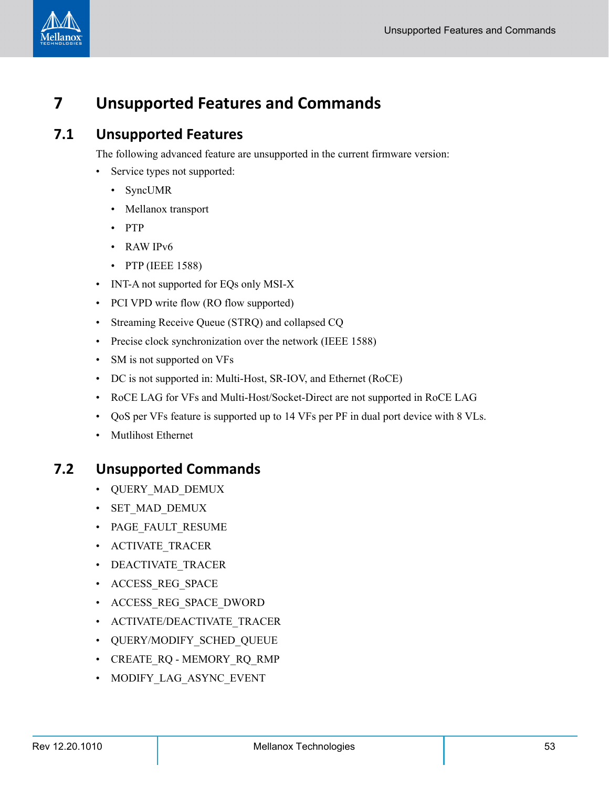

# <span id="page-52-0"></span>**7 Unsupported Features and Commands**

### <span id="page-52-1"></span>**7.1 Unsupported Features**

The following advanced feature are unsupported in the current firmware version:

- Service types not supported:
	- SyncUMR
	- Mellanox transport
	- PTP
	- RAW IPv6
	- PTP (IEEE 1588)
- INT-A not supported for EQs only MSI-X
- PCI VPD write flow (RO flow supported)
- Streaming Receive Queue (STRQ) and collapsed CQ
- Precise clock synchronization over the network (IEEE 1588)
- SM is not supported on VFs
- DC is not supported in: Multi-Host, SR-IOV, and Ethernet (RoCE)
- RoCE LAG for VFs and Multi-Host/Socket-Direct are not supported in RoCE LAG
- QoS per VFs feature is supported up to 14 VFs per PF in dual port device with 8 VLs.
- Mutlihost Ethernet

### <span id="page-52-2"></span>**7.2 Unsupported Commands**

- QUERY MAD DEMUX
- SET MAD DEMUX
- PAGE FAULT RESUME
- ACTIVATE\_TRACER
- DEACTIVATE TRACER
- ACCESS REG SPACE
- ACCESS REG SPACE DWORD
- ACTIVATE/DEACTIVATE TRACER
- QUERY/MODIFY SCHED QUEUE
- CREATE RQ MEMORY RQ RMP
- MODIFY LAG ASYNC EVENT